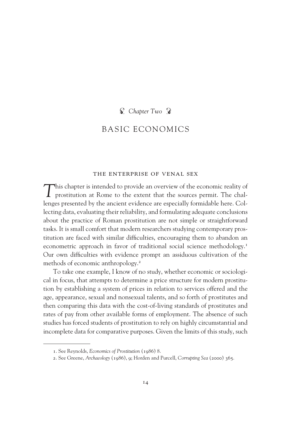# $\mathcal{C}$  Chapter Two  $\mathcal{D}$

## BASIC ECONOMICS

## the enterprise of venal sex

This chapter is intended to provide an overview of the economic reality of prostitution at Rome to the extent that the sources permit. The challenges presented by the ancient evidence are especially formidable here. Collecting data, evaluating their reliability, and formulating adequate conclusions about the practice of Roman prostitution are not simple or straightforward tasks. It is small comfort that modern researchers studying contemporary prostitution are faced with similar difficulties, encouraging them to abandon an econometric approach in favor of traditional social science methodology.<sup>1</sup> Our own difficulties with evidence prompt an assiduous cultivation of the methods of economic anthropology.2

To take one example, I know of no study, whether economic or sociological in focus, that attempts to determine a price structure for modern prostitution by establishing a system of prices in relation to services offered and the age, appearance, sexual and nonsexual talents, and so forth of prostitutes and then comparing this data with the cost-of-living standards of prostitutes and rates of pay from other available forms of employment. The absence of such studies has forced students of prostitution to rely on highly circumstantial and incomplete data for comparative purposes. Given the limits of this study, such

<sup>1.</sup> See Reynolds, *Economics of Prostitution* (1986) 8.

<sup>2.</sup> See Greene, *Archaeology* (1986), 9; Horden and Purcell, *Corrupting Sea* (2000) 365.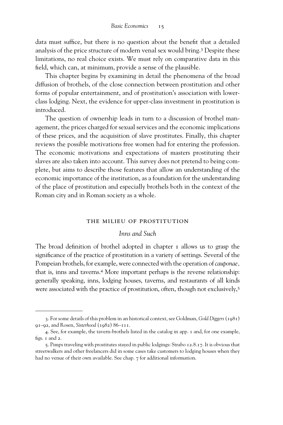data must suffice, but there is no question about the benefit that a detailed analysis of the price structure of modern venal sex would bring.3 Despite these limitations, no real choice exists. We must rely on comparative data in this field, which can, at minimum, provide a sense of the plausible.

This chapter begins by examining in detail the phenomena of the broad diffusion of brothels, of the close connection between prostitution and other forms of popular entertainment, and of prostitution's association with lowerclass lodging. Next, the evidence for upper-class investment in prostitution is introduced.

The question of ownership leads in turn to a discussion of brothel management, the prices charged for sexual services and the economic implications of these prices, and the acquisition of slave prostitutes. Finally, this chapter reviews the possible motivations free women had for entering the profession. The economic motivations and expectations of masters prostituting their slaves are also taken into account. This survey does not pretend to being complete, but aims to describe those features that allow an understanding of the economic importance of the institution, as a foundation for the understanding of the place of prostitution and especially brothels both in the context of the Roman city and in Roman society as a whole.

#### the milieu of prostitution

## *Inns and Such*

The broad definition of brothel adopted in chapter 1 allows us to grasp the significance of the practice of prostitution in a variety of settings. Several of the Pompeian brothels, for example, were connected with the operation of *cauponae,* that is, inns and taverns.4 More important perhaps is the reverse relationship: generally speaking, inns, lodging houses, taverns, and restaurants of all kinds were associated with the practice of prostitution, often, though not exclusively,<sup>5</sup>

<sup>3.</sup> For some details of this problem in an historical context, see Goldman, *Gold Diggers* (1981) 91–92, and Rosen, *Sisterhood* (1982) 86–111.

<sup>4.</sup> See, for example, the tavern-brothels listed in the catalog in app. 1 and, for one example, figs.  $1$  and  $2$ .

<sup>5.</sup> Pimps traveling with prostitutes stayed in public lodgings: Strabo 12.8.17. It is obvious that streetwalkers and other freelancers did in some cases take customers to lodging houses when they had no venue of their own available. See chap. 7 for additional information.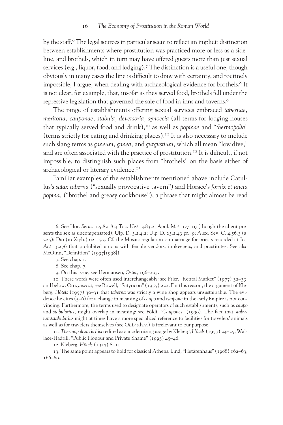by the staff.<sup>6</sup> The legal sources in particular seem to reflect an implicit distinction between establishments where prostitution was practiced more or less as a sideline, and brothels, which in turn may have offered guests more than just sexual services (e.g., liquor, food, and lodging).7 The distinction is a useful one, though obviously in many cases the line is difficult to draw with certainty, and routinely impossible, I argue, when dealing with archaeological evidence for brothels.<sup>8</sup> It is not clear, for example, that, insofar as they served food, brothels fell under the repressive legislation that governed the sale of food in inns and taverns.9

The range of establishments offering sexual services embraced *tabernae, meritoria, cauponae, stabula, deversoria, synoecia* (all terms for lodging houses that typically served food and drink),10 as well as *popinae* and "*thermopolia*" (terms strictly for eating and drinking places).11 It is also necessary to include such slang terms as *ganeum, ganea,* and *gurgustium,* which all mean "low dive," and are often associated with the practice of prostitution.<sup>12</sup> It is difficult, if not impossible, to distinguish such places from "brothels" on the basis either of archaeological or literary evidence.<sup>13</sup>

Familiar examples of the establishments mentioned above include Catullus's *salax taberna* ("sexually provocative tavern") and Horace's *fornix et uncta popina,* ("brothel and greasy cookhouse"), a phrase that might almost be read

11. *Thermopolium* is discredited as a modernizing usage by Kleberg, *Hôtels* (1957) 24–25; Wallace-Hadrill, "Public Honour and Private Shame" (1995) 45–46.

12. Kleberg, *Hôtels* (1957) 8–11.

13. The same point appears to hold for classical Athens: Lind, "Hetärenhaus" (1988) 162–63, 166–69.

<sup>6.</sup> See Hor. *Serm.* 1.5.82–85; Tac. *Hist.* 3.83.2; Apul. *Met.* 1.7–19 (though the client presents the sex as uncompensated); Ulp. D. 3.2.4.2; Ulp. D. 23.2.43 pr., 9; Alex. Sev. C. 4.56.3 (a. 225); Dio (in Xiph.) 62.15.3. Cf. the Mosaic regulation on marriage for priests recorded at Ios. *Ant.* 3.276 that prohibited unions with female vendors, innkeepers, and prostitutes. See also McGinn, "Definition" (1997[1998]).

<sup>7.</sup> See chap. 1.

<sup>8.</sup> See chap. 7.

<sup>9.</sup> On this issue, see Hermansen, *Ostia,* 196–203.

<sup>10.</sup> These words were often used interchangeably: see Frier, "Rental Market" (1977) 32–33, and below. On *synoecia,* see Rowell, "Satyricon" (1957) 222. For this reason, the argument of Kleberg, *Hôtels* (1957) 30–31 that *taberna* was strictly a wine shop appears unsustainable. The evidence he cites (5–6) for a change in meaning of *caupo* and *caupona* in the early Empire is not convincing. Furthermore, the terms used to designate operators of such establishments, such as *caupo* and *stabularius,* might overlap in meaning: see Földi, "*Caupones*" (1999). The fact that *stabulum/stabularius* might at times have a more specialized reference to facilities for travelers' animals as well as for travelers themselves (see *OLD* s.h.v.) is irrelevant to our purpose.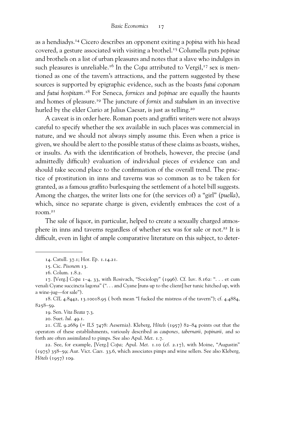as a hendiadys.14 Cicero describes an opponent exiting a *popina* with his head covered, a gesture associated with visiting a brothel.15 Columella puts *popinae* and brothels on a list of urban pleasures and notes that a slave who indulges in such pleasures is unreliable.<sup>16</sup> In the *Copa* attributed to Vergil,<sup>17</sup> sex is mentioned as one of the tavern's attractions, and the pattern suggested by these sources is supported by epigraphic evidence, such as the boasts *futui coponam* and *futui hospitam.*<sup>18</sup> For Seneca, *fornices* and *popinae* are equally the haunts and homes of pleasure.19 The juncture of *fornix* and *stabulum* in an invective hurled by the elder Curio at Julius Caesar, is just as telling.<sup>20</sup>

A caveat is in order here. Roman poets and graffiti writers were not always careful to specify whether the sex available in such places was commercial in nature, and we should not always simply assume this. Even when a price is given, we should be alert to the possible status of these claims as boasts, wishes, or insults. As with the identification of brothels, however, the precise (and admittedly difficult) evaluation of individual pieces of evidence can and should take second place to the confirmation of the overall trend. The practice of prostitution in inns and taverns was so common as to be taken for granted, as a famous graffito burlesquing the settlement of a hotel bill suggests. Among the charges, the writer lists one for (the services of) a "girl" (*puella*), which, since no separate charge is given, evidently embraces the cost of a room. $2<sup>1</sup>$ 

The sale of liquor, in particular, helped to create a sexually charged atmosphere in inns and taverns regardless of whether sex was for sale or not.22 It is difficult, even in light of ample comparative literature on this subject, to deter-

19. Sen. *Vita Beata* 7.3.

20. Suet. *Iul.* 49.1.

21. *CIL* 9.2689 (= *ILS* 7478: Aesernia). Kleberg, *Hôtels* (1957) 82–84 points out that the operators of these establishments, variously described as *caupones, tabernarii, popinarii,* and so forth are often assimilated to pimps. See also Apul. *Met.* 1.7.

22. See, for example, [Verg.] *Copa;* Apul. *Met.* 1.10 (cf. 2.17), with Moine, "Augustin" (1975) 358–59; Aur. Vict. *Caes.* 33.6, which associates pimps and wine sellers. See also Kleberg, *Hôtels* (1957) 109.

<sup>14.</sup> Catull. 37.1; Hor. *Ep.* 1.14.21.

<sup>15.</sup> Cic. *Pisonem* 13.

<sup>16.</sup> Colum. 1.8.2.

<sup>17. [</sup>Verg.] *Copa* 1–4, 33, with Rosivach, "Sociology" (1996). Cf. Iuv. 8.162: ". . . et cum venali Cyane succincta lagona" (". . . and Cyane [runs up to the client] her tunic hitched up, with a wine-jug—for sale").

<sup>18.</sup> *CIL* 4.8442, 13.10018.95 ( both mean "I fucked the mistress of the tavern"); cf. 4.4884, 8258–59.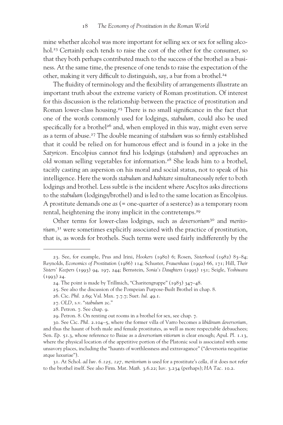mine whether alcohol was more important for selling sex or sex for selling alcohol.<sup>23</sup> Certainly each tends to raise the cost of the other for the consumer, so that they both perhaps contributed much to the success of the brothel as a business. At the same time, the presence of one tends to raise the expectation of the other, making it very difficult to distinguish, say, a bar from a brothel.<sup>24</sup>

The fluidity of terminology and the flexibility of arrangements illustrate an important truth about the extreme variety of Roman prostitution. Of interest for this discussion is the relationship between the practice of prostitution and Roman lower-class housing.<sup>25</sup> There is no small significance in the fact that one of the words commonly used for lodgings, *stabulum,* could also be used specifically for a brothel<sup>26</sup> and, when employed in this way, might even serve as a term of abuse.<sup>27</sup> The double meaning of *stabulum* was so firmly established that it could be relied on for humorous effect and is found in a joke in the *Satyricon.* Encolpius cannot find his lodgings (*stabulum*) and approaches an old woman selling vegetables for information.28 She leads him to a brothel, tacitly casting an aspersion on his moral and social status, not to speak of his intelligence. Here the words *stabulum* and *habitare* simultaneously refer to both lodgings and brothel. Less subtle is the incident where Ascyltos asks directions to the *stabulum* (lodgings/brothel) and is led to the same location as Encolpius. A prostitute demands one *as* (= one-quarter of a sesterce) as a temporary room rental, heightening the irony implicit in the contretemps.<sup>29</sup>

Other terms for lower-class lodgings, such as *deversorium*<sup>30</sup> and *meritorium,*<sup>31</sup> were sometimes explicitly associated with the practice of prostitution, that is, as words for brothels. Such terms were used fairly indifferently by the

<sup>23.</sup> See, for example, Prus and Irini, *Hookers* (1980) 6; Rosen, *Sisterhood* (1982) 83–84; Reynolds, *Economics of Prostitution* (1986) 114; Schuster, *Frauenhaus* (1992) 66, 171; Hill, *Their Sisters' Keepers* (1993) 94, 197, 244; Bernstein, *Sonia's Daughters* (1995) 151; Seigle, *Yoshiwara*  $(1993)$  24.

<sup>24.</sup> The point is made by Trillmich, "Charitengruppe" (1983) 347–48.

<sup>25.</sup> See also the discussion of the Pompeian Purpose-Built Brothel in chap. 8.

<sup>26.</sup> Cic. *Phil.* 2.69; Val. Max. 7.7.7; Suet. *Iul.* 49.1.

<sup>27.</sup> *OLD,* s.v. "*stabulum* 2c."

<sup>28.</sup> Petron. 7. See chap. 9.

<sup>29.</sup> Petron. 8. On renting out rooms in a brothel for sex, see chap. 7.

<sup>30.</sup> See Cic. *Phil.* 2.104–5, where the former villa of Varro becomes a *libidinum deversorium,* and thus the haunt of both male and female prostitutes, as well as more respectable debauchees; Sen. *Ep.* 51.3, whose reference to Baiae as a *deversorium vitiorum* is clear enough; Apul. *Pl.* 1.13, where the physical location of the appetitive portion of the Platonic soul is associated with some unsavory places, including the "haunts of worthlessness and extravagance" ("deversoria nequitiae atque luxuriae").

<sup>31.</sup> At Schol. *ad Iuv. 6.125, 127, meritorium* is used for a prostitute's *cella,* if it does not refer to the brothel itself. See also Firm. Mat. *Math.* 3.6.22; Iuv. 3.234 (perhaps); *HA Tac.* 10.2.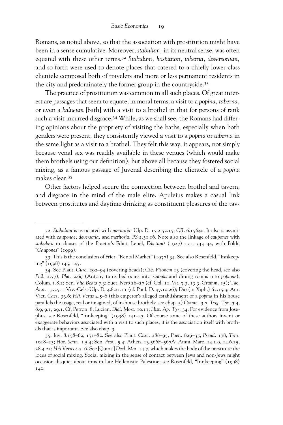Romans, as noted above, so that the association with prostitution might have been in a sense cumulative. Moreover, *stabulum,* in its neutral sense, was often equated with these other terms.32 *Stabulum, hospitium, taberna, deversorium,* and so forth were used to denote places that catered to a chiefly lower-class clientele composed both of travelers and more or less permanent residents in the city and predominately the former group in the countryside.33

The practice of prostitution was common in all such places. Of great interest are passages that seem to equate, in moral terms, a visit to a *popina, taberna,* or even a *balneum* [bath] with a visit to a brothel in that for persons of rank such a visit incurred disgrace.<sup>34</sup> While, as we shall see, the Romans had differing opinions about the propriety of visiting the baths, especially when both genders were present, they consistently viewed a visit to a *popina* or *taberna* in the same light as a visit to a brothel. They felt this way, it appears, not simply because venal sex was readily available in these venues (which would make them brothels using our definition), but above all because they fostered social mixing, as a famous passage of Juvenal describing the clientele of a *popina* makes clear.35

Other factors helped secure the connection between brothel and tavern, and disgrace in the mind of the male elite. Apuleius makes a casual link between prostitutes and daytime drinking as constituent pleasures of the tav-

<sup>32.</sup> *Stabulum* is associated with *meritoria:* Ulp. D. 17.2.52.15; *CIL* 6.15640. It also is associated with *cauponae, deversoria,* and *meritoria: PS* 2.31.16. Note also the linkage of *caupones* with *stabularii* in clauses of the Praetor's Edict: Lenel, *Edictum*<sup>3</sup> (1927) 131, 333–34, with Földi, "*Caupones*" (1999).

<sup>33.</sup> This is the conclusion of Frier, "Rental Market" (1977) 34. See also Rosenfeld, "Innkeeping" (1998) 145, 147.

<sup>34.</sup> See Plaut. *Curc.* 292–94 (covering heads); Cic. *Pisonem* 13 (covering the head, see also *Phil.* 2.77), *Phil.* 2.69 (Antony turns bedrooms into *stabula* and dining rooms into *popinae*); Colum. 1.8.2; Sen. *Vita Beata* 7.3; Suet. *Nero* 26–27 (cf. *Cal.* 11, *Vit.* 7.3, 13.3, *Gramm.* 15); Tac. *Ann.* 13.25.1; Viv.-Cels.-Ulp. D. 4.8.21.11 (cf. Paul. D. 47.10.26); Dio (in Xiph.) 62.15.3; Aur. Vict. *Caes.* 33.6; *HA Verus* 4.5–6 (this emperor's alleged establishment of a *popina* in his house parallels the usage, real or imagined, of in-house brothels: see chap. 5) *Comm.* 3.7, *Trig. Tyr.* 3.4, 8.9, 9.1, 29.1. Cf. Petron. 8; Lucian. *Dial. Mort.* 10.11; *Hist. Ap. Tyr.* 34. For evidence from Josephus, see Rosenfeld, "Innkeeping" (1998) 141–43. Of course some of these authors invent or exaggerate behaviors associated with a visit to such places; it is the association itself with brothels that is important. See also chap. 3.

<sup>35.</sup> Iuv. 8.158–62, 171–82. See also Plaut. *Curc.* 288–95, *Poen.* 829–35, *Pseud.* 178, *Trin.* 1018–23; Hor. *Serm.* 1.5.4; Sen. *Prov.* 5.4; Athen. 13.566F–567A; Amm. Marc. 14.1.9, 14.6.25, 28.4.21; *HA Verus* 4.5–6. See [Quint.] *Decl. Mai.* 14.7, which makes the body of the prostitute the locus of social mixing. Social mixing in the sense of contact between Jews and non-Jews might occasion disquiet about inns in late Hellenistic Palestine: see Rosenfeld, "Innkeeping" (1998) 140.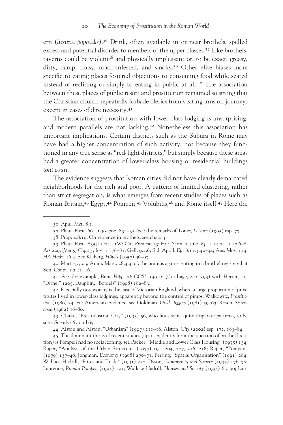ern (*luxuria popinalis*).36 Drink, often available in or near brothels, spelled excess and potential disorder to members of the upper classes.37 Like brothels, taverns could be violent<sup>38</sup> and physically unpleasant or, to be exact, greasy, dirty, damp, noisy, roach-infested, and smoky.39 Other elite biases more specific to eating places fostered objections to consuming food while seated instead of reclining or simply to eating in public at all.40 The association between these places of public resort and prostitution remained so strong that the Christian church repeatedly forbade clerics from visiting inns on journeys except in cases of dire necessity.<sup>41</sup>

The association of prostitution with lower-class lodging is unsurprising, and modern parallels are not lacking.42 Nonetheless this association has important implications. Certain districts such as the Subura in Rome may have had a higher concentration of such activity, not because they functioned in any true sense as "red-light districts," but simply because these areas had a greater concentration of lower-class housing or residential buildings *tout court.*

The evidence suggests that Roman cities did not have clearly demarcated neighborhoods for the rich and poor. A pattern of limited clustering, rather than strict segregation, is what emerges from recent studies of places such as Roman Britain,43 Egypt,44 Pompeii,45 Volubilis,46 and Rome itself.47 Here the

41. See, for example, *Brev. Hipp.* 26 *CCSL* 149.40 (Carthage, a.d. 393) with Herter, s.v. "Dirne," 1205; Dauphin, "Bordels" (1998) 182–83.

42. Especially noteworthy is the case of Victorian England, where a large proportion of prostitutes lived in lower-class lodgings, apparently beyond the control of pimps: Walkowitz, *Prostitution* (1980) 24. For American evidence, see Goldman, *Gold Diggers* (1981) 59–63; Rosen, *Sisterhood* (1982) 78–80.

43. Clarke, "Pre-Industrial City" (1993) 56, who finds some quite disparate patterns, to be sure. See also 63 and 65.

44. Alston and Alston, "Urbanism" (1997) 211–16; Alston, *City* (2002) esp. 172, 183–84.

45. The dominant thesis of recent studies (apart evidently from the question of brothel location) is Pompeii had no social zoning: see Packer, "Middle and Lower Class Housing" (1975) 134; Raper, "Analysis of the Urban Structure" (1977) 191, 204, 207, 216, 218; Raper, "Pompeii" (1979) 137–48; Jongman, *Economy* (1988) 270–71; Perring, "Spatial Organisation" (1991) 284; Wallace-Hadrill, "Elites and Trade" (1991) 250; Dyson, *Community and Society* (1992) 176–77; Laurence, *Roman Pompeii* (1994) 121; Wallace-Hadrill, *Houses and Society* (1994) 65–90; Lau-

<sup>36.</sup> Apul. *Met.* 8.1.

<sup>37.</sup> Plaut. *Poen.* 661, 699–700, 834–35. See the remarks of Toner, *Leisure* (1995) esp. 77.

<sup>38.</sup> Prop. 4.8.19. On violence in brothels, see chap. 3.

<sup>39.</sup> Plaut. *Poen.* 835; Lucil. 11W; Cic. *Pisonem* 13; Hor. *Serm.* 2.4.62, *Ep.* 1.14.21, 1.17.6–8, *Ars* 229; [Verg.] *Copa* 3; Iuv. 11.78–81; Gell. 9.2.6; Sid. Apoll. *Ep.* 8.11.3.42–44; Aus. *Mos.* 124; *HA Hadr.* 16.4. See Kleberg, *Hôtels* (1957) 96–97.

<sup>40.</sup> Mart. 5.70.3; Amm. Marc. 28.4.4; cf. the animus against eating in a brothel registered at Sen. *Contr.* 1.2.11, 16.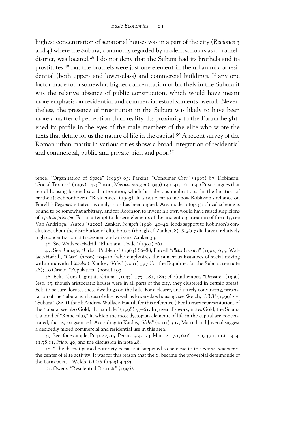highest concentration of senatorial houses was in a part of the city (*Regiones* 3 and 4) where the Subura, commonly regarded by modern scholars as a brotheldistrict, was located.48 I do not deny that the Subura had its brothels and its prostitutes.49 But the brothels were just one element in the urban mix of residential (both upper- and lower-class) and commercial buildings. If any one factor made for a somewhat higher concentration of brothels in the Subura it was the relative absence of public construction, which would have meant more emphasis on residential and commercial establishments overall. Nevertheless, the presence of prostitution in the Subura was likely to have been more a matter of perception than reality. Its proximity to the Forum heightened its profile in the eyes of the male members of the elite who wrote the texts that define for us the nature of life in the capital.<sup>50</sup> A recent survey of the Roman urban matrix in various cities shows a broad integration of residential and commercial, public and private, rich and poor.51

46. See Wallace-Hadrill, "Elites and Trade" (1991) 261.

47. See Ramage, "Urban Problems" (1983) 86–88; Purcell "*Plebs Urbana*" (1994) 675; Wallace-Hadrill, "Case" (2000) 204–12 (who emphasizes the numerous instances of social mixing within individual *insulae*); Kardos, "*Vrbs*" (2001) 397 (for the Esquiline; for the Subura, see note 48); Lo Cascio, "Population" (2001) 193.

48. Eck, "Cum Dignitate Otium" (1997) 177, 181, 183; cf. Guilhembet, "Densité" (1996) (esp. 15: though aristocratic houses were in all parts of the city, they clustered in certain areas). Eck, to be sure, locates these dwellings on the hills. For a clearer, and utterly convincing, presentation of the Subura as a locus of elite as well as lower-class housing, see Welch, *LTUR* (1999) s.v. "Subura" 382. (I thank Andrew Wallace-Hadrill for this reference.) For literary representations of the Subura, see also Gold, "Urban Life" (1998) 57–61. In Juvenal's work, notes Gold, the Subura is a kind of "Rome-plus," in which the most dystopian elements of life in the capital are concentrated, that is, exaggerated. According to Kardos, "*Vrbs*" (2001) 393, Martial and Juvenal suggest a decidedly mixed commercial and residential use in this area.

49. See, for example, Prop. 4.7.15; Persius 5.32–33; Mart. 2.17.1, 6.66.1–2, 9.37.1, 11.61.3–4, 11.78.11, *Priap.* 40; and the discussion in note 48.

50. "The district gained notoriety because it happened to be close to the *Forum Romanum,* the center of elite activity. It was for this reason that the S. became the proverbial demimonde of the Latin poets": Welch, *LTUR* (1999) 4:383.

51. Owens, "Residential Districts" (1996).

rence, "Organization of Space" (1995) 65; Parkins, "Consumer City" (1997) 87; Robinson, "Social Texture" (1997) 142; Pirson, *Mietwohnungen* (1999) 140–41, 161–64. (Pirson argues that rental housing fostered social integration, which has obvious implications for the location of brothels); Schoonhoven, "Residences" (1999). It is not clear to me how Robinson's reliance on Fiorelli's *Regiones* vitiates his analysis, as has been argued. Any modern topographical scheme is bound to be somewhat arbitrary, and for Robinson to invent his own would have raised suspicions of a *petitio principii.* For an attempt to discern elements of the ancient organization of the city, see Van Andringa, "Autels" (2000). Zanker, *Pompeii* (1998) 41–42, lends support to Robinson's conclusions about the distribution of elite houses (though cf. Zanker, 8). *Regio* 7 did have a relatively high concentration of tradesmen and artisans: Zanker 33.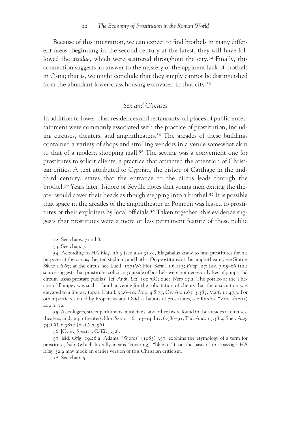Because of this integration, we can expect to find brothels in many different areas. Beginning in the second century at the latest, they will have followed the *insulae*, which were scattered throughout the city.<sup>52</sup> Finally, this connection suggests an answer to the mystery of the apparent lack of brothels in Ostia; that is, we might conclude that they simply cannot be distinguished from the abundant lower-class housing excavated in that city.53

## *Sex and Circuses*

In addition to lower-class residences and restaurants, all places of public entertainment were commonly associated with the practice of prostitution, including circuses, theaters, and amphitheaters.54 The arcades of these buildings contained a variety of shops and strolling vendors in a venue somewhat akin to that of a modern shopping mall.55 The setting was a convenient one for prostitutes to solicit clients, a practice that attracted the attention of Christian critics. A text attributed to Cyprian, the bishop of Carthage in the midthird century, states that the entrance to the circus leads through the brothel.56 Years later, Isidore of Seville notes that young men exiting the theater would cover their heads as though stepping into a brothel.57 It is possible that space in the arcades of the amphitheater in Pompeii was leased to prostitutes or their exploiters by local officials.<sup>58</sup> Taken together, this evidence suggests that prostitutes were a more or less permanent feature of these public

56. [Cypr.] *Spect.* 5 *CSEL* 3.3.8.

57. Isid. *Orig.* 19.26.2. Adams, "Words" (1983) 357, explains the etymology of a term for prostitute, *lodix* (which literally means "covering," "blanket"), on the basis of this passage. *HA Elag.* 32.9 may mock an earlier version of this Christian criticism.

58. See chap. 5.

<sup>52.</sup> See chaps. 7 and 8.

<sup>53.</sup> See chap. 7.

<sup>54.</sup> According to *HA Elag.* 26.3 (see also 32.9), Elagabalus knew to find prostitutes for his purposes at the circus, theater, stadium, and baths. On prostitutes at the amphitheater, see Statius *Silvae* 1.6.67; at the circus, see Lucil. 1071W; Hor. *Serm.* 1.6.113; *Priap.* 27; Iuv. 3.65–66 (this source suggests that prostitutes soliciting outside of brothels were not necessarily free of pimps: "ad circum iussas prostare puellas" (cf. *Anth. Lat.* 190.7R); Suet. *Nero* 27.2. The portico at the Theater of Pompey was such a familiar venue for the solicitation of clients that the association was elevated to a literary topos: Catull. 55.6–10; Prop. 4.8.75; Ov. *Ars* 1.67, 3.387; Mart. 11.47.3. For other porticoes cited by Propertius and Ovid as haunts of prostitutes, see Kardos, "*Vrbs*" (2001) 402 n. 72.

<sup>55.</sup> Astrologers, street performers, musicians, and others were found in the arcades of circuses, theaters, and amphitheaters: Hor. *Serm.* 1.6.113–14; Iuv. 6.588–91; Tac. *Ann.* 15.38.2; Suet. *Aug.* 74; *CIL* 6.9822 (= *ILS* 7496).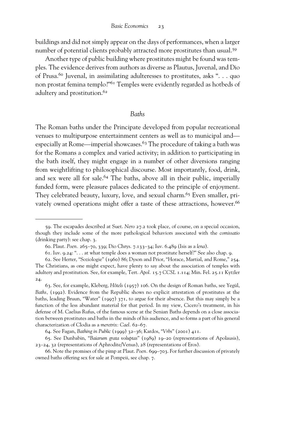buildings and did not simply appear on the days of performances, when a larger number of potential clients probably attracted more prostitutes than usual.59

Another type of public building where prostitutes might be found was temples. The evidence derives from authors as diverse as Plautus, Juvenal, and Dio of Prusa.<sup>60</sup> Juvenal, in assimilating adulteresses to prostitutes, asks ". . . quo non prostat femina templo?"61 Temples were evidently regarded as hotbeds of adultery and prostitution.<sup>62</sup>

## *Baths*

The Roman baths under the Principate developed from popular recreational venues to multipurpose entertainment centers as well as to municipal and especially at Rome—imperial showcases.<sup>63</sup> The procedure of taking a bath was for the Romans a complex and varied activity; in addition to participating in the bath itself, they might engage in a number of other diversions ranging from weightlifting to philosophical discourse. Most importantly, food, drink, and sex were all for sale.<sup>64</sup> The baths, above all in their public, imperially funded form, were pleasure palaces dedicated to the principle of enjoyment. They celebrated beauty, luxury, love, and sexual charm.<sup>65</sup> Even smaller, privately owned operations might offer a taste of these attractions, however.<sup>66</sup>

<sup>59.</sup> The escapades described at Suet. *Nero* 27.2 took place, of course, on a special occasion, though they include some of the more pathological behaviors associated with the *comissatio* (drinking party): see chap. 3.

<sup>60.</sup> Plaut. *Poen.* 265–70, 339; Dio Chrys. 7.133–34; Iuv. 6.489 (Isis as a *lena*).

<sup>61.</sup> Iuv. 9.24: ". . . at what temple does a woman not prostitute herself?" See also chap. 9.

<sup>62.</sup> See Herter, "Soziologie" (1960) 86; Dyson and Prior, "Horace, Martial, and Rome," 254. The Christians, as one might expect, have plenty to say about the association of temples with adultery and prostitution. See, for example, Tert. *Apol.* 15.7 *CCSL* 1.114; Min. Fel. 25.11 Kytzler 24.

<sup>63.</sup> See, for example, Kleberg, *Hôtels* (1957) 106. On the design of Roman baths, see Yegül, *Baths,* (1992). Evidence from the Republic shows no explicit attestation of prostitutes at the baths, leading Bruun, "Water" (1997) 371, to argue for their absence. But this may simply be a function of the less abundant material for that period. In my view, Cicero's treatment, in his defense of M. Caelius Rufus, of the famous scene at the Senian Baths depends on a close association between prostitutes and baths in the minds of his audience, and so forms a part of his general characterization of Clodia as a *meretrix: Cael.* 62–67.

<sup>64.</sup> See Fagan, *Bathing in Public* (1999) 32–36; Kardos, "*Vrbs*" (2001) 411.

<sup>65.</sup> See Dunbabin, "*Baiarum grata voluptas*" (1989) 19–20 (representations of Apolausis), 23–24, 32 (representations of Aphrodite/Venus), 28 (representations of Eros).

<sup>66.</sup> Note the promises of the pimp at Plaut. *Poen.* 699–703. For further discussion of privately owned baths offering sex for sale at Pompeii, see chap. 7.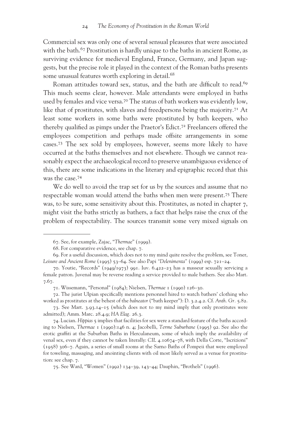Commercial sex was only one of several sensual pleasures that were associated with the bath.<sup>67</sup> Prostitution is hardly unique to the baths in ancient Rome, as surviving evidence for medieval England, France, Germany, and Japan suggests, but the precise role it played in the context of the Roman baths presents some unusual features worth exploring in detail.<sup>68</sup>

Roman attitudes toward sex, status, and the bath are difficult to read.<sup>69</sup> This much seems clear, however. Male attendants were employed in baths used by females and vice versa.<sup>70</sup> The status of bath workers was evidently low, like that of prostitutes, with slaves and freedpersons being the majority.<sup>71</sup> At least some workers in some baths were prostituted by bath keepers, who thereby qualified as pimps under the Praetor's Edict.<sup>72</sup> Freelancers offered the employees competition and perhaps made offsite arrangements in some cases.73 The sex sold by employees, however, seems more likely to have occurred at the baths themselves and not elsewhere. Though we cannot reasonably expect the archaeological record to preserve unambiguous evidence of this, there are some indications in the literary and epigraphic record that this was the case.74

We do well to avoid the trap set for us by the sources and assume that no respectable woman would attend the baths when men were present.75 There was, to be sure, some sensitivity about this. Prostitutes, as noted in chapter 7, might visit the baths strictly as bathers, a fact that helps raise the crux of the problem of respectability. The sources transmit some very mixed signals on

<sup>67.</sup> See, for example, Zajac, "*Thermae*" (1999).

<sup>68.</sup> For comparative evidence, see chap. 7.

<sup>69.</sup> For a useful discussion, which does not to my mind quite resolve the problem, see Toner, *Leisure and Ancient Rome* (1995) 53–64. See also Papi *"Delenimenta"* (1999) esp. 721–24.

<sup>70.</sup> Youtie, "Records" (1949/1973) 991. Iuv. 6.422–23 has a masseur sexually servicing a female patron. Juvenal may be reverse reading a service provided to male bathers. See also Mart. 7.67.

<sup>71.</sup> Wissemann, "Personal" (1984); Nielsen, *Thermae* 1 (1990) 126–30.

<sup>72.</sup> The jurist Ulpian specifically mentions personnel hired to watch bathers' clothing who worked as prostitutes at the behest of the *balneator* ("bath keeper"): D. 3.2.4.2. Cf. *Anth. Gr.* 5.82.

<sup>73.</sup> See Mart. 3.93.14–15 (which does not to my mind imply that only prostitutes were admitted); Amm. Marc. 28.4.9; *HA Elag.* 26.3.

<sup>74.</sup> Lucian. *Hippias* 5 implies that facilities for sex were a standard feature of the baths according to Nielsen, *Thermae* 1 (1990):146 n. 4; Jacobelli, *Terme Suburbane* (1995) 92. See also the erotic graffiti at the Suburban Baths in Herculaneum, some of which imply the availability of venal sex, even if they cannot be taken literally: *CIL* 4.10674–78, with Della Corte, "Iscrizioni" (1958) 306–7. Again, a series of small rooms at the Sarno Baths of Pompeii that were employed for toweling, massaging, and anointing clients with oil most likely served as a venue for prostitution: see chap. 7.

<sup>75.</sup> See Ward, "Women" (1992) 134–39, 143–44; Dauphin, "Brothels" (1996).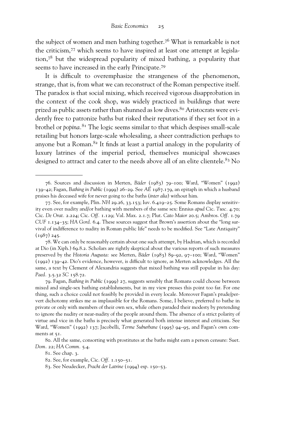the subject of women and men bathing together.76 What is remarkable is not the criticism,77 which seems to have inspired at least one attempt at legislation,78 but the widespread popularity of mixed bathing, a popularity that seems to have increased in the early Principate.79

It is difficult to overemphasize the strangeness of the phenomenon, strange, that is, from what we can reconstruct of the Roman perspective itself. The paradox is that social mixing, which received vigorous disapprobation in the context of the cook shop, was widely practiced in buildings that were prized as public assets rather than shunned as low dives.<sup>80</sup> Aristocrats were evidently free to patronize baths but risked their reputations if they set foot in a brothel or *popina.*<sup>81</sup> The logic seems similar to that which despises small-scale retailing but honors large-scale wholesaling, a sheer contradiction perhaps to anyone but a Roman.<sup>82</sup> It finds at least a partial analogy in the popularity of luxury latrines of the imperial period, themselves municipal showcases designed to attract and cater to the needs above all of an elite clientele.<sup>83</sup> No

78. We can only be reasonably certain about one such attempt, by Hadrian, which is recorded at Dio (in Xiph.) 69.8.2. Scholars are rightly skeptical about the various reports of such measures preserved by the *Historia Augusta:* see Merten, *Bäder* (1983) 89–92, 97–100; Ward, "Women"  $(1992)$  139–42. Dio's evidence, however, is difficult to ignore, as Merten acknowledges. All the same, a text by Clement of Alexandria suggests that mixed bathing was still popular in his day: *Paed.* 3.5.32 *SC* 158.72.

79. Fagan, *Bathing in Public* (1999) 27, suggests sensibly that Romans could choose between mixed and single-sex bathing establishments, but in my view presses this point too far. For one thing, such a choice could not feasibly be provided in every locale. Moreover Fagan's prude/pervert dichotomy strikes me as implausible for the Romans. Some, I believe, preferred to bathe in private or only with members of their own sex, while others paraded their modesty by pretending to ignore the nudity or near-nudity of the people around them. The absence of a strict polarity of virtue and vice in the baths is precisely what generated both intense interest and criticism. See Ward, "Women" (1992) 137; Jacobelli, *Terme Suburbane* (1995) 94–95, and Fagan's own comments at 51.

80. All the same, consorting with prostitutes at the baths might earn a person censure: Suet. *Dom.* 22; *HA Comm.* 5.4.

81. See chap. 3.

82. See, for example, Cic. *Off.* 1.150–51.

83. See Neudecker, *Pracht der Latrine* (1994) esp. 150–53.

<sup>76.</sup> Sources and discussion in Merten, *Bäder* (1983) 79–100; Ward, "Women" (1992) 139–42; Fagan, *Bathing in Public* (1999) 26–29. See *AÉ* 1987.179, an epitaph in which a husband praises his deceased wife for never going to the baths (*inter alia*) without him.

<sup>77.</sup> See, for example, Plin. *NH* 29.26, 33.153; Iuv. 6.419–25. Some Romans display sensitivity even over nudity and/or bathing with members of the same sex: Ennius *apud* Cic. *Tusc.* 4.70; Cic. *De Orat.* 2.224; Cic. *Off.* 1.129; Val. Max. 2.1.7; Plut. *Cato Maior* 20.5; Ambros. *Off.* 1.79 *CUF* 1.134–35; *HA Gord.* 6.4. These sources suggest that Brown's assertion about the "long survival of indifference to nudity in Roman public life" needs to be modified. See "Late Antiquity"  $(1987)$  245.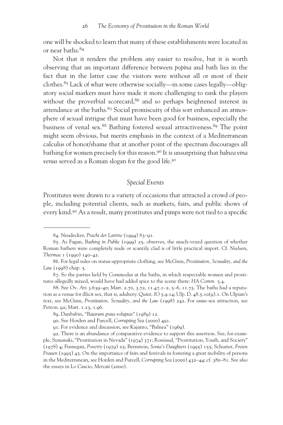one will be shocked to learn that many of these establishments were located in or near baths.84

Not that it renders the problem any easier to resolve, but it is worth observing that an important difference between *popina* and bath lies in the fact that in the latter case the visitors were without all or most of their clothes.85 Lack of what were otherwise socially—in some cases legally—obligatory social markers must have made it more challenging to rank the players without the proverbial scorecard,<sup>86</sup> and so perhaps heightened interest in attendance at the baths.<sup>87</sup> Social promiscuity of this sort enhanced an atmosphere of sexual intrigue that must have been good for business, especially the business of venal sex.<sup>88</sup> Bathing fostered sexual attractiveness.<sup>89</sup> The point might seem obvious, but merits emphasis in the context of a Mediterranean calculus of honor/shame that at another point of the spectrum discourages all bathing for women precisely for this reason.90 It is unsurprising that *balnea vina venus* served as a Roman slogan for the good life.91

## *Special Events*

Prostitutes were drawn to a variety of occasions that attracted a crowd of people, including potential clients, such as markets, fairs, and public shows of every kind.<sup>92</sup> As a result, many prostitutes and pimps were not tied to a specific

<sup>84.</sup> Neudecker, *Pracht der Latrine* (1994) 83–91.

<sup>85.</sup> As Fagan, *Bathing in Public* (1999) 25, observes, the much-vexed question of whether Roman bathers were completely nude or scantily clad is of little practical import. Cf. Nielsen, *Thermae* 1 (1990) 140–42.

<sup>86.</sup> For legal rules on status-appropriate clothing, see McGinn, *Prostitution, Sexuality, and the Law* (1998) chap. 5.

<sup>87.</sup> So the parties held by Commodus at the baths, in which respectable women and prostitutes allegedly mixed, would have had added spice to the scene there: *HA Comm.* 5.4.

<sup>88.</sup> See Ov. *Ars* 3.639–40; Mart. 2.70, 3.72, 11.47.1–2, 5–6, 11.75. The baths had a reputation as a venue for illicit sex, that is, adultery: Quint. *IO* 5.9.14; Ulp. D. 48.5.10(9).1. On Ulpian's text, see McGinn, *Prostitution, Sexuality, and the Law* (1998) 242. For same-sex attraction, see Petron. 92; Mart. 1.23, 1.96.

<sup>89.</sup> Dunbabin, "*Baiarum grata voluptas*" (1989) 12.

<sup>90.</sup> See Horden and Purcell, *Corrupting Sea* (2000) 491.

<sup>91.</sup> For evidence and discussion, see Kajanto, "Balnea" (1969).

<sup>92.</sup> There is an abundance of comparative evidence to support this assertion. See, for example, Symanski, "Prostitution in Nevada" (1974) 371; Rossiaud, "Prostitution, Youth, and Society" (1978) 4; Finnegan, *Poverty* (1979) 25; Bernstein, *Sonia's Daughters* (1995) 155; Schuster, *Freien Frauen* (1995) 45. On the importance of fairs and festivals in fostering a great mobility of persons in the Mediterranean, see Horden and Purcell, *Corrupting Sea* (2000) 432–44; cf. 380–81. See also the essays in Lo Cascio, *Mercati* (2000).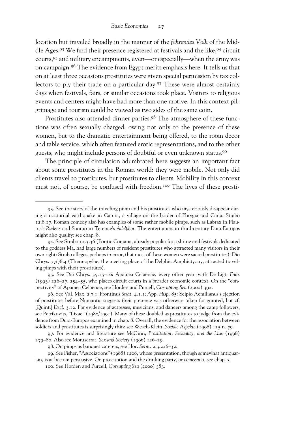location but traveled broadly in the manner of the *fahrendes Volk* of the Middle Ages.<sup>93</sup> We find their presence registered at festivals and the like,<sup>94</sup> circuit courts,95 and military encampments, even—or especially—when the army was on campaign.96 The evidence from Egypt merits emphasis here. It tells us that on at least three occasions prostitutes were given special permission by tax collectors to ply their trade on a particular day.97 These were almost certainly days when festivals, fairs, or similar occasions took place. Visitors to religious events and centers might have had more than one motive. In this context pilgrimage and tourism could be viewed as two sides of the same coin.

Prostitutes also attended dinner parties.<sup>98</sup> The atmosphere of these functions was often sexually charged, owing not only to the presence of these women, but to the dramatic entertainment being offered, to the room decor and table service, which often featured erotic representations, and to the other guests, who might include persons of doubtful or even unknown status.99

The principle of circulation adumbrated here suggests an important fact about some prostitutes in the Roman world: they were mobile. Not only did clients travel to prostitutes, but prostitutes to clients. Mobility in this context must not, of course, be confused with freedom.<sup>100</sup> The lives of these prosti-

<sup>93.</sup> See the story of the traveling pimp and his prostitutes who mysteriously disappear during a nocturnal earthquake in Carura, a village on the border of Phrygia and Caria: Strabo 12.8.17. Roman comedy also has examples of some rather mobile pimps, such as Labrax in Plautus's *Rudens* and Sannio in Terence's *Adelphoi.* The entertainers in third-century Dura-Europos might also qualify: see chap. 8.

<sup>94.</sup> See Strabo 12.3.36 (Pontic Comana, already popular for a shrine and festivals dedicated to the goddess Ma, had large numbers of resident prostitutes who attracted many visitors in their own right: Strabo alleges, perhaps in error, that most of these women were sacred prostitutes); Dio Chrys. 77/78.4 (Thermopylae, the meeting place of the Delphic Amphictyony, attracted traveling pimps with their prostitutes).

<sup>95.</sup> See Dio Chrys. 35.15–16: Apamea Celaenae, every other year, with De Ligt, *Fairs* (1993) 226–27, 254–55, who places circuit courts in a broader economic context. On the "connectivity" of Apamea Celaenae, see Horden and Purcell, *Corrupting Sea* (2000) 392.

<sup>96.</sup> See Val. Max. 2.7.1; Frontinus *Strat.* 4.1.1; App. *Hisp.* 85: Scipio Aemilianus's ejection of prostitutes before Numantia suggests their presence was otherwise taken for granted, but cf. [Quint.] *Decl.* 3.12. For evidence of actresses, musicians, and dancers among the camp followers, see Petrikovits, "Lixae" (1980/1991). Many of these doubled as prostitutes to judge from the evidence from Dura-Europos examined in chap. 8. Overall, the evidence for the association between soldiers and prostitutes is surprisingly thin: see Wesch-Klein, *Soziale Aspekte* (1998) 115 n. 79.

<sup>97.</sup> For evidence and literature see McGinn, *Prostitution, Sexuality, and the Law* (1998) 279–80. Also see Montserrat, *Sex and Society* (1996) 126–29.

<sup>98.</sup> On pimps as banquet caterers, see Hor. *Serm.* 2.3.226–32.

<sup>99.</sup> See Fisher, "Associations" (1988) 1208, whose presentation, though somewhat antiquarian, is at bottom persuasive. On prostitution and the drinking party, or *comissatio,* see chap. 3.

<sup>100.</sup> See Horden and Purcell, *Corrupting Sea* (2000) 383.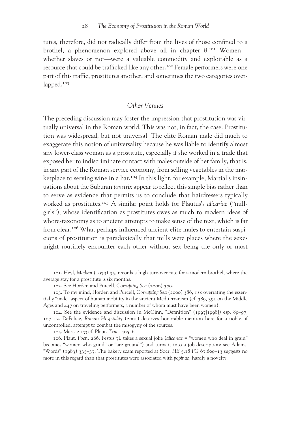tutes, therefore, did not radically differ from the lives of those confined to a brothel, a phenomenon explored above all in chapter 8.101 Women whether slaves or not—were a valuable commodity and exploitable as a resource that could be trafficked like any other.<sup>102</sup> Female performers were one part of this traffic, prostitutes another, and sometimes the two categories overlapped.<sup>103</sup>

## *Other Venues*

The preceding discussion may foster the impression that prostitution was virtually universal in the Roman world. This was not, in fact, the case. Prostitution was widespread, but not universal. The elite Roman male did much to exaggerate this notion of universality because he was liable to identify almost any lower-class woman as a prostitute, especially if she worked in a trade that exposed her to indiscriminate contact with males outside of her family, that is, in any part of the Roman service economy, from selling vegetables in the marketplace to serving wine in a bar.<sup>104</sup> In this light, for example, Martial's insinuations about the Suburan *tonstrix* appear to reflect this simple bias rather than to serve as evidence that permits us to conclude that hairdressers typically worked as prostitutes.105 A similar point holds for Plautus's *alicariae* ("millgirls"), whose identification as prostitutes owes as much to modern ideas of whore-taxonomy as to ancient attempts to make sense of the text, which is far from clear.<sup>106</sup> What perhaps influenced ancient elite males to entertain suspicions of prostitution is paradoxically that mills were places where the sexes might routinely encounter each other without sex being the only or most

<sup>101.</sup> Heyl, *Madam* (1979) 95, records a high turnover rate for a modern brothel, where the average stay for a prostitute is six months.

<sup>102.</sup> See Horden and Purcell, *Corrupting Sea* (2000) 379.

<sup>103.</sup> To my mind, Horden and Purcell, *Corrupting Sea* (2000) 386, risk overrating the essentially "male" aspect of human mobility in the ancient Mediterranean (cf. 389, 391 on the Middle Ages and 447 on traveling performers, a number of whom must have been women).

<sup>104.</sup> See the evidence and discussion in McGinn, "Definition" (1997[1998]) esp. 89-97, 107–12. DeFelice, *Roman Hospitality* (2001) deserves honorable mention here for a noble, if uncontrolled, attempt to combat the misogyny of the sources.

<sup>105.</sup> Mart. 2.17; cf. Plaut. *Truc.* 405–6.

<sup>106.</sup> Plaut. *Poen.* 266. Festus 7L takes a sexual joke (*alicariae* = "women who deal in grain" becomes "women who grind" or "are ground") and turns it into a job description: see Adams, "Words" (1983) 335–37. The bakery scam reported at Socr. *HE* 5.18 *PG* 67.609–13 suggests no more in this regard than that prostitutes were associated with *popinae,* hardly a novelty.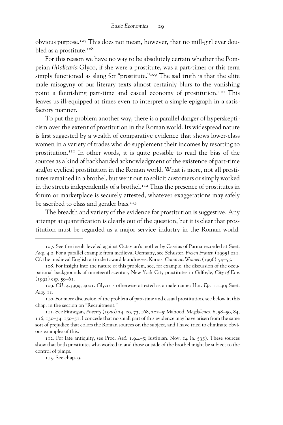obvious purpose.107 This does not mean, however, that no mill-girl ever doubled as a prostitute.<sup>108</sup>

For this reason we have no way to be absolutely certain whether the Pompeian *(h)alicaria* Glyco, if she were a prostitute, was a part-timer or this term simply functioned as slang for "prostitute."<sup>109</sup> The sad truth is that the elite male misogyny of our literary texts almost certainly blurs to the vanishing point a flourishing part-time and casual economy of prostitution.<sup>110</sup> This leaves us ill-equipped at times even to interpret a simple epigraph in a satisfactory manner.

To put the problem another way, there is a parallel danger of hyperskepticism over the extent of prostitution in the Roman world. Its widespread nature is first suggested by a wealth of comparative evidence that shows lower-class women in a variety of trades who do supplement their incomes by resorting to prostitution.111 In other words, it is quite possible to read the bias of the sources as a kind of backhanded acknowledgment of the existence of part-time and/or cyclical prostitution in the Roman world. What is more, not all prostitutes remained in a brothel, but went out to solicit customers or simply worked in the streets independently of a brothel.<sup>112</sup> Thus the presence of prostitutes in forum or marketplace is securely attested, whatever exaggerations may safely be ascribed to class and gender bias.<sup>113</sup>

The breadth and variety of the evidence for prostitution is suggestive. Any attempt at quantification is clearly out of the question, but it is clear that prostitution must be regarded as a major service industry in the Roman world.

<sup>107.</sup> See the insult leveled against Octavian's mother by Cassius of Parma recorded at Suet. *Aug.* 4.2. For a parallel example from medieval Germany, see Schuster, *Freien Frauen* (1995) 221. Cf. the medieval English attitude toward laundresses: Karras, *Common Women* (1996) 54–55.

<sup>108.</sup> For insight into the nature of this problem, see, for example, the discussion of the occupational backgrounds of nineteenth-century New York City prostitutes in Gilfoyle, *City of Eros*  $(1992)$  esp.  $59-61$ .

<sup>109.</sup> *CIL* 4.3999, 4001. Glyco is otherwise attested as a male name: Hor. *Ep.* 1.1.30; Suet. *Aug.* 11.

<sup>110.</sup> For more discussion of the problem of part-time and casual prostitution, see below in this chap. in the section on "Recruitment."

<sup>111.</sup> See Finnegan, *Poverty* (1979) 24, 29, 73, 168, 202–5; Mahood, *Magdalenes,* 6, 58–59, 84, 116, 130–34, 150–51. I concede that no small part of this evidence may have arisen from the same sort of prejudice that colors the Roman sources on the subject, and I have tried to eliminate obvious examples of this.

<sup>112.</sup> For late antiquity, see Proc. *Aed.* 1.9.4–5; Iustinian. Nov. 14 (a. 535). These sources show that both prostitutes who worked in and those outside of the brothel might be subject to the control of pimps.

<sup>113.</sup> See chap. 9.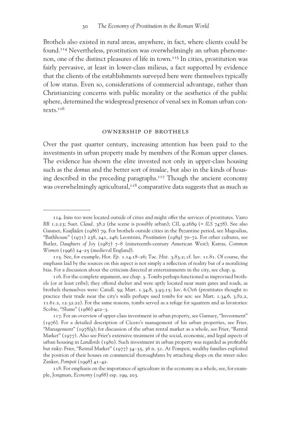Brothels also existed in rural areas, anywhere, in fact, where clients could be found.114 Nevertheless, prostitution was overwhelmingly an urban phenomenon, one of the distinct pleasures of life in town.<sup>115</sup> In cities, prostitution was fairly pervasive, at least in lower-class milieus, a fact supported by evidence that the clients of the establishments surveyed here were themselves typically of low status. Even so, considerations of commercial advantage, rather than Christianizing concerns with public morality or the aesthetics of the public sphere, determined the widespread presence of venal sex in Roman urban contexts.116

#### ownership of brothels

Over the past quarter century, increasing attention has been paid to the investments in urban property made by members of the Roman upper classes. The evidence has shown the elite invested not only in upper-class housing such as the *domus* and the better sort of *insulae,* but also in the kinds of housing described in the preceding paragraphs.117 Though the ancient economy was overwhelmingly agricultural, $118$  comparative data suggests that as much as

<sup>114.</sup> Inns too were located outside of cities and might offer the services of prostitutes. Varro *RR* 1.2.23; Suet. *Claud.* 38.2 (the scene is possibly urban); *CIL* 9.2689 (= *ILS* 7478). See also Gassner, *Kau݊den* (1986) 79. For brothels outside cities in the Byzantine period, see Magoulias, "Bathhouse" (1971) 238, 241, 246; Leontsini, *Prostitution* (1989) 70–72. For other cultures, see Butler, *Daughters of Joy* (1987) 7–8 (nineteenth-century American West); Karras, *Common* Women (1996) 24-25 (medieval England).

<sup>115.</sup> See, for example, Hor. *Ep.* 1.14.18–26; Tac. *Hist.* 3.83.2; cf. Iuv. 11.81. Of course, the emphasis laid by the sources on this aspect is not simply a reflection of reality but of a moralizing bias. For a discussion about the criticism directed at entertainments in the city, see chap. 9.

<sup>116.</sup> For the complete argument, see chap. 3. Tombs perhaps functioned as improvised brothels (or at least cribs); they offered shelter and were aptly located near main gates and roads, as brothels themselves were: Catull. 59; Mart. 1.34.8, 3.93.15; Iuv. 6.O16 (prostitutes thought to practice their trade near the city's walls perhaps used tombs for sex: see Mart. 1.34.6, 3.82.2, 11.61.2, 12.32.22). For the same reasons, tombs served as a refuge for squatters and as lavatories: Scobie, "Slums" (1986) 402–3.

<sup>117.</sup> For an overview of upper-class investment in urban property, see Garnsey, "Investment" (1976). For a detailed description of Cicero's management of his urban properties, see Frier, "Management" ( $1978/q$ ); for discussion of the urban rental market as a whole, see Frier, "Rental Market" (1977). Also see Frier's extensive treatment of the social, economic, and legal aspects of urban housing in *Landlords* (1980). Such investment in urban property was regarded as profitable but risky: Frier, "Rental Market" (1977) 34–35, 36 n. 51. At Pompeii, wealthy families exploited the position of their houses on commercial thoroughfares by attaching shops on the street sides: Zanker, *Pompeii* (1998) 41–42.

<sup>118.</sup> For emphasis on the importance of agriculture in the economy as a whole, see, for example, Jongman, *Economy* (1988) esp. 199, 203.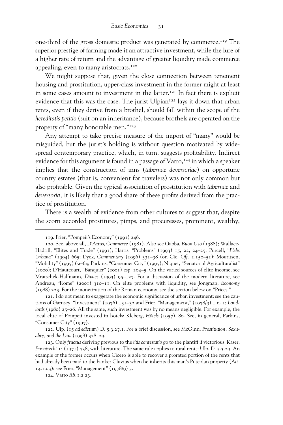one-third of the gross domestic product was generated by commerce.119 The superior prestige of farming made it an attractive investment, while the lure of a higher rate of return and the advantage of greater liquidity made commerce appealing, even to many aristocrats.<sup>120</sup>

We might suppose that, given the close connection between tenement housing and prostitution, upper-class investment in the former might at least in some cases amount to investment in the latter.<sup>121</sup> In fact there is explicit evidence that this was the case. The jurist Ulpian<sup>122</sup> lays it down that urban rents, even if they derive from a brothel, should fall within the scope of the *hereditatis petitio* (suit on an inheritance), because brothels are operated on the property of "many honorable men."<sup>123</sup>

Any attempt to take precise measure of the import of "many" would be misguided, but the jurist's holding is without question motivated by widespread contemporary practice, which, in turn, suggests profitability. Indirect evidence for this argument is found in a passage of  $Varro<sub>1</sub>^{124}$  in which a speaker implies that the construction of inns (*tabernae deversoriae*) on opportune country estates (that is, convenient for travelers) was not only common but also profitable. Given the typical association of prostitution with *tabernae* and *deversoria*, it is likely that a good share of these profits derived from the practice of prostitution.

There is a wealth of evidence from other cultures to suggest that, despite the scorn accorded prostitutes, pimps, and procuresses, prominent, wealthy,

121. I do not mean to exaggerate the economic significance of urban investment: see the cautions of Garnsey, "Investment" (1976) 131–32 and Frier, "Management," (1978/9) 1 n. 1; *Landlords* (1980) 25–26. All the same, such investment was by no means negligible. For example, the local elite of Pompeii invested in hotels: Kleberg, *Hôtels* (1957), 80. See, in general, Parkins, "Consumer City" (1997).

122. Ulp. (15 *ad edictum*) D. 5.3.27.1. For a brief discussion, see McGinn, *Prostitution, Sexuality, and the Law* (1998) 328–29.

124. Varro *RR* 1.2.23.

<sup>119.</sup> Frier, "Pompeii's Economy" (1991) 246.

<sup>120.</sup> See, above all, D'Arms, *Commerce* (1981). Also see Gabba, *Buon Uso* (1988)*;* Wallace-Hadrill, "Elites and Trade" (1991); Harris, "Problems" (1993) 15, 22, 24–25; Purcell, "*Plebs Urbana*" (1994) 665; Dyck, *Commentary* (1996) 331–38 (on Cic. *Off.* 1.150–51); Mouritsen, "Mobility" (1997) 62–64; Parkins, "Consumer City" (1997); Niquet, "Senatorial Agriculturalist" (2000); D'Hautcourt, "Banquier" (2001) esp. 204–5. On the varied sources of elite income, see Mratschek-Halfmann, *Divites* (1993) 95–127. For a discussion of the modern literature, see Andreau, "Rome" (2001) 310–11. On elite problems with liquidity, see Jongman, *Economy* (1988) 223. For the monetization of the Roman economy, see the section below on "Prices."

<sup>123.</sup> Only *fructus* deriving previous to the *litis contestatio* go to the plantiff if victorious: Kaser, *Privatrecht* 12 (1971) 738, with literature. The same rule applies to rural rents: Ulp. D. 5.3.29. An example of the former occurs when Cicero is able to recover a prorated portion of the rents that had already been paid to the banker Cluvius when he inherits this man's Puteolan property (*Att.* 14.10.3): see Frier, "Management" (1978/9) 3.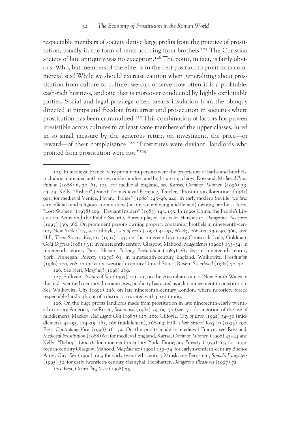respectable members of society derive large profits from the practice of prostitution, usually in the form of rents accruing from brothels.125 The Christian society of late antiquity was no exception.<sup>126</sup> The point, in fact, is fairly obvious. Who, but members of the elite, is in the best position to profit from commercial sex? While we should exercise caution when generalizing about prostitution from culture to culture, we can observe how often it is a profitable, cash-rich business, and one that is moreover conducted by highly exploitable parties. Social and legal privilege often means insulation from the obloquy directed at pimps and freedom from arrest and prosecution in societies where prostitution has been criminalized.127 This combination of factors has proven irresistible across cultures to at least some members of the upper classes, lured in so small measure by the generous return on investment, the price—or reward—of their complaisance.<sup>128</sup> "Prostitutes were deviant; landlords who profited from prostitution were not."<sup>129</sup>

126. See Neri, *Marginali* (1998) 219.

<sup>125.</sup> In medieval France, very prominent persons were the proprietors of baths and brothels, including municipal authorities, noble families, and high-ranking clergy: Rossiaud, *Medieval Prostitution* (1988) 6, 30, 61, 123. For medieval England, see Karras, *Common Women* (1996) 33, 43–44; Kelly, "Bishop" (2000); for medieval Florence, Trexler, "Prostitution florentine" (1981) 991; for medieval Venice, Pavan, "Police" (1980) 245–46, 249. In early modern Seville, we find city officials and religious corporations (at times employing middlemen) owning brothels: Perry, "Lost Women" (1978) 209, "Deviant Insiders" (1985) 145, 155. In 1990s China, the People's Liberation Army and the Public Security Bureau played this role: Hershatter, *Dangerous Pleasures* (1997) 336, 366. On prominent persons owning property containing brothels in nineteenth-century New York City, see Gilfoyle, *City of Eros* (1992) 42–53, 86–87, 266–67, 339–40, 366, 407; Hill, *Their Sisters' Keepers* (1993) 133; on the nineteenth-century Comstock Lode, Goldman, *Gold Diggers* (1981) 31; in nineteenth-century Glasgow, Mahood, *Magdalenes* (1990) 133–34; in nineteenth-century Paris, Harsin, *Policing Prostitution* (1985) 285–87; in nineteenth-century York, Finnegan, *Poverty* (1979) 63; in nineteenth-century England, Walkowitz, *Prostitution* (1980) 200, 208; in the early twentieth-century United States, Rosen, *Sisterhood* (1982) 70–72.

<sup>127.</sup> Sullivan, *Politics of Sex* (1997) 111–13, on the Australian state of New South Wales in the mid-twentieth century. In some cases, publicity has acted as a discouragement to prostitution. See Walkowitz, *City* (1992) 226, on late nineteenth-century London, where notoriety forced respectable landlords out of a district associated with prostitution.

<sup>128.</sup> On the huge profits landlords made from prostitution in late nineteenth-/early twentieth-century America, see Rosen, *Sisterhood* (1982) 29, 69–77 (see, 71, for mention of the use of middlemen); Mackey, *Red Lights Out* (1987) 127, 260; Gilfoyle, *City of Eros* (1992) 34–36 (middlemen), 42–53, 124–25, 163, 166 (middlemen), 168–69; Hill, *Their Sisters' Keepers* (1993) 292; Best, *Controlling Vice* (1998) 16, 72. On the profits made in medieval France, see Rossiaud, *Medieval Prostitution* (1988) 61; for medieval England, Karras, *Common Women* (1996) 43–44 and Kelly, "Bishop" (2000); for nineteenth-century York, Finnegan, *Poverty* (1979) 65; for nineteenth-century Glasgow, Mahood, *Magdalenes* (1990) 133–34; for early twentieth-century Buenos Aires, Guy, *Sex* (1990) 123; for early twentieth-century Minsk, see Bernstein, *Sonia's Daughters* (1995) 32; for early twentieth-century Shanghai, Hershatter, *Dangerous Pleasures* (1997) 72.

<sup>129.</sup> Best, *Controlling Vice* (1998) 75.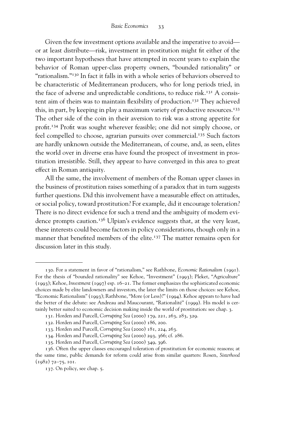Given the few investment options available and the imperative to avoid or at least distribute—risk, investment in prostitution might fit either of the two important hypotheses that have attempted in recent years to explain the behavior of Roman upper-class property owners, "bounded rationality" or "rationalism."130 In fact it falls in with a whole series of behaviors observed to be characteristic of Mediterranean producers, who for long periods tried, in the face of adverse and unpredictable conditions, to reduce risk.<sup>131</sup> A consistent aim of theirs was to maintain flexibility of production.<sup>132</sup> They achieved this, in part, by keeping in play a maximum variety of productive resources.133 The other side of the coin in their aversion to risk was a strong appetite for profit.<sup>134</sup> Profit was sought wherever feasible; one did not simply choose, or feel compelled to choose, agrarian pursuits over commercial.<sup>135</sup> Such factors are hardly unknown outside the Mediterranean, of course, and, as seen, elites the world over in diverse eras have found the prospect of investment in prostitution irresistible. Still, they appear to have converged in this area to great effect in Roman antiquity.

All the same, the involvement of members of the Roman upper classes in the business of prostitution raises something of a paradox that in turn suggests further questions. Did this involvement have a measurable effect on attitudes, or social policy, toward prostitution? For example, did it encourage toleration? There is no direct evidence for such a trend and the ambiguity of modern evidence prompts caution.<sup>136</sup> Ulpian's evidence suggests that, at the very least, these interests could become factors in policy considerations, though only in a manner that benefited members of the elite.<sup>137</sup> The matter remains open for discussion later in this study.

<sup>130.</sup> For a statement in favor of "rationalism," see Rathbone, *Economic Rationalism* (1991). For the thesis of "bounded rationality" see Kehoe, "Investment" (1993); Pleket, "Agriculture" (1993); Kehoe, *Investment* (1997) esp. 16–21. The former emphasizes the sophisticated economic choices made by elite landowners and investors, the later the limits on those choices: see Kehoe, "Economic Rationalism" (1993); Rathbone, "More (or Less)?" (1994). Kehoe appears to have had the better of the debate: see Andreau and Maucourant, "Rationalité" (1999). His model is certainly better suited to economic decision making inside the world of prostitution: see chap. 3.

<sup>131.</sup> Horden and Purcell, *Corrupting Sea* (2000) 179, 221, 263, 283, 329.

<sup>132.</sup> Horden and Purcell, *Corrupting Sea* (2000) 186, 200.

<sup>133.</sup> Horden and Purcell, *Corrupting Sea* (2000) 181, 224, 263.

<sup>134.</sup> Horden and Purcell, *Corrupting Sea* (2000) 293, 366; cf. 286.

<sup>135.</sup> Horden and Purcell, *Corrupting Sea* (2000) 349, 396.

<sup>136.</sup> Often the upper classes encouraged toleration of prostitution for economic reasons; at the same time, public demands for reform could arise from similar quarters: Rosen, *Sisterhood*  $(1982)$  72–75, 101.

<sup>137.</sup> On policy, see chap. 5.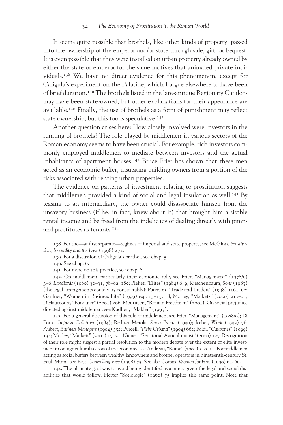It seems quite possible that brothels, like other kinds of property, passed into the ownership of the emperor and/or state through sale, gift, or bequest. It is even possible that they were installed on urban property already owned by either the state or emperor for the same motives that animated private individuals.138 We have no direct evidence for this phenomenon, except for Caligula's experiment on the Palatine, which I argue elsewhere to have been of brief duration.139 The brothels listed in the late-antique Regionary Catalogs may have been state-owned, but other explanations for their appearance are available.<sup>140</sup> Finally, the use of brothels as a form of punishment may reflect state ownership, but this too is speculative.<sup>141</sup>

Another question arises here: How closely involved were investors in the running of brothels? The role played by middlemen in various sectors of the Roman economy seems to have been crucial. For example, rich investors commonly employed middlemen to mediate between investors and the actual inhabitants of apartment houses.142 Bruce Frier has shown that these men acted as an economic buffer, insulating building owners from a portion of the risks associated with renting urban properties.

The evidence on patterns of investment relating to prostitution suggests that middlemen provided a kind of social and legal insulation as well.<sup>143</sup> By leasing to an intermediary, the owner could disassociate himself from the unsavory business (if he, in fact, knew about it) that brought him a sizable rental income and be freed from the indelicacy of dealing directly with pimps and prostitutes as tenants.<sup>144</sup>

143. For a general discussion of this role of middlemen, see Frier, "Management" (1978/9); Di Porto, *Impresa Collettiva* (1984); Reduzzi Merola, *Servo Parere* (1990); Joshel, *Work* (1992) 76; Aubert, *Business Managers* (1994) 352; Purcell, "*Plebs Urbana*" (1994) 662; Földi, "*Caupones*" (1999) 134; Morley, "Markets" (2000) 17–21; Niquet, "Senatorial Agriculturalist" (2000) 127. Recognition of their role might suggest a partial resolution to the modern debate over the extent of elite investment in on-agricultural sectors of the economy; see Andreau, "Rome" (2001) 310–11. For middlemen acting as social buffers between wealthy landowners and brothel operators in nineteenth-century St. Paul, Minn., see Best, *Controlling Vice* (1998) 75. See also Corbin, *Women for Hire* (1990) 64, 69.

144. The ultimate goal was to avoid being identified as a pimp, given the legal and social disabilities that would follow. Herter "Soziologie" (1960) 75 implies this same point. Note that

<sup>138.</sup> For the—at first separate—regimes of imperial and state property, see McGinn, *Prostitution, Sexuality and the Law* (1998) 272.

<sup>139.</sup> For a discussion of Caligula's brothel, see chap. 5.

<sup>140.</sup> See chap. 6.

<sup>141.</sup> For more on this practice, see chap. 8.

<sup>142.</sup> On middlemen, particularly their economic role, see Frier, "Management" (1978/9) 3–6, *Landlords* (1980) 30–31, 78–82, 180; Pleket, "Elites" (1984) 6, 9; Kirschenbaum, *Sons* (1987) (the legal arrangements could vary considerably); Paterson, "Trade and Traders" (1998) 1161–62; Gardner, "Women in Business Life" (1999) esp. 13–15, 18; Morley, "Markets" (2000) 217–21; D'Hautcourt, "Banquier" (2001) 206; Mouritsen, "Roman Freedmen" (2001). On social prejudice directed against middlemen, see Kudlien, "Makler" (1997).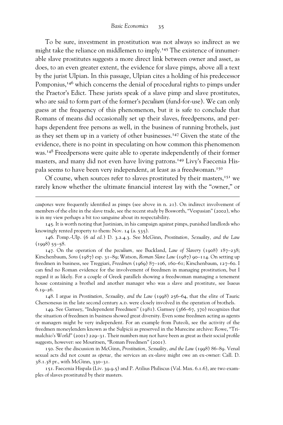To be sure, investment in prostitution was not always so indirect as we might take the reliance on middlemen to imply.<sup>145</sup> The existence of innumerable slave prostitutes suggests a more direct link between owner and asset, as does, to an even greater extent, the evidence for slave pimps, above all a text by the jurist Ulpian. In this passage, Ulpian cites a holding of his predecessor Pomponius,<sup>146</sup> which concerns the denial of procedural rights to pimps under the Praetor's Edict. These jurists speak of a slave pimp and slave prostitutes, who are said to form part of the former's *peculium* (fund-for-use). We can only guess at the frequency of this phenomenon, but it is safe to conclude that Romans of means did occasionally set up their slaves, freedpersons, and perhaps dependent free persons as well, in the business of running brothels, just as they set them up in a variety of other businesses.147 Given the state of the evidence, there is no point in speculating on how common this phenomenon was.148 Freedpersons were quite able to operate independently of their former masters, and many did not even have living patrons.<sup>149</sup> Livy's Faecenia Hispala seems to have been very independent, at least as a freedwoman.150

Of course, when sources refer to slaves prostituted by their masters,<sup>151</sup> we rarely know whether the ultimate financial interest lay with the "owner," or

149. See Garnsey, "Independent Freedmen" (1981). Garnsey (366–67, 370) recognizes that the situation of freedmen in business showed great diversity. Even some freedmen acting as agents or managers might be very independent. For an example from Puteoli, see the activity of the freedmen moneylenders known as the Sulpicii as preserved in the Murecine archive: Rowe, "Trimalchio's World" (2001) 229–31. Their numbers may not have been as great as their social profile suggests, however: see Mouritsen, "Roman Freedmen" (2001).

150. See the discussion in McGinn, *Prostitution, Sexuality, and the Law* (1998) 86–89. Venal sexual acts did not count as *operae,* the services an ex-slave might owe an ex-owner: Call. D. 38.1.38 pr., with McGinn, 330–31.

151. Faecenia Hispala (Liv. 39.9.5) and P. Atilius Philiscus (Val. Max. 6.1.6), are two examples of slaves prostituted by their masters.

*caupones* were frequently identified as pimps (see above in n. 21). On indirect involvement of members of the elite in the slave trade, see the recent study by Bosworth, "Vespasian" (2002), who is in my view perhaps a bit too sanguine about its respectability.

<sup>145.</sup> It is worth noting that Justinian, in his campaign against pimps, punished landlords who knowingly rented property to them: Nov. 14 (a. 535).

<sup>146.</sup> Pomp.-Ulp. (6 *ad ed.*) D. 3.2.4.3. See McGinn, *Prostitution, Sexuality, and the Law*  $(1998)$  55–58.

<sup>147.</sup> On the operation of the *peculium,* see Buckland, *Law of Slavery* (1908) 187–238; Kirschenbaum, *Sons* (1987) esp. 31–89; Watson, *Roman Slave Law* (1987) 90–114. On setting up freedmen in business, see Treggiari, *Freedmen* (1969) 87–106, 160–61; Kirschenbaum, 127–60. I can find no Roman evidence for the involvement of freedmen in managing prostitution, but I regard it as likely. For a couple of Greek parallels showing a freedwoman managing a tenement house containing a brothel and another manager who was a slave and prostitute, see Isaeus 6.19–26.

<sup>148.</sup> I argue in *Prostitution, Sexuality, and the Law* (1998) 256–64, that the elite of Tauric Chersonesus in the late second century A.D. were closely involved in the operation of brothels.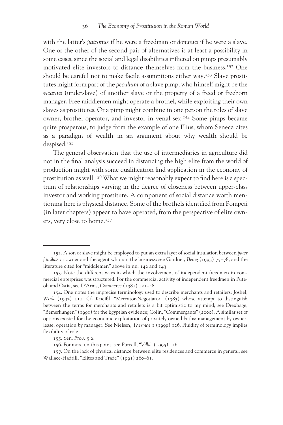with the latter's *patronus* if he were a freedman or *dominus* if he were a slave. One or the other of the second pair of alternatives is at least a possibility in some cases, since the social and legal disabilities inflicted on pimps presumably motivated elite investors to distance themselves from the business.152 One should be careful not to make facile assumptions either way.<sup>153</sup> Slave prostitutes might form part of the *peculium* of a slave pimp, who himself might be the *vicarius* (underslave) of another slave or the property of a freed or freeborn manager. Free middlemen might operate a brothel, while exploiting their own slaves as prostitutes. Or a pimp might combine in one person the roles of slave owner, brothel operator, and investor in venal sex.154 Some pimps became quite prosperous, to judge from the example of one Elius, whom Seneca cites as a paradigm of wealth in an argument about why wealth should be despised.<sup>155</sup>

The general observation that the use of intermediaries in agriculture did not in the final analysis succeed in distancing the high elite from the world of production might with some qualification find application in the economy of prostitution as well.<sup>156</sup> What we might reasonably expect to find here is a spectrum of relationships varying in the degree of closeness between upper-class investor and working prostitute. A component of social distance worth mentioning here is physical distance. Some of the brothels identified from Pompeii (in later chapters) appear to have operated, from the perspective of elite owners, very close to home.<sup>157</sup>

<sup>152.</sup> A son or slave might be employed to put an extra layer of social insulation between *pater familias* or owner and the agent who ran the business: see Gardner, *Being* (1993) 77–78, and the literature cited for "middlemen" above in nn. 142 and 143.

<sup>153.</sup> Note the different ways in which the involvement of independent freedmen in commercial enterprises was structured. For the commercial activity of independent freedmen in Puteoli and Ostia, see D'Arms, *Commerce* (1981) 121–48.

<sup>154.</sup> One notes the imprecise terminology used to describe merchants and retailers: Joshel, *Work* (1992) 111. Cf. Kneißl, "Mercator-Negotiator" (1983) whose attempt to distinguish between the terms for merchants and retailers is a bit optimistic to my mind; see Drexhage, "Bemerkungen" (1991) for the Egyptian evidence; Colin, "Commerçants" (2000). A similar set of options existed for the economic exploitation of privately owned baths: management by owner, lease, operation by manager. See Nielsen, *Thermae* 1 (1999) 126. Fluidity of terminology implies flexibility of role.

<sup>155.</sup> Sen. *Prov.* 5.2.

<sup>156.</sup> For more on this point, see Purcell, "*Villa*" (1995) 156.

<sup>157.</sup> On the lack of physical distance between elite residences and commerce in general, see Wallace-Hadrill, "Elites and Trade" (1991) 260–61.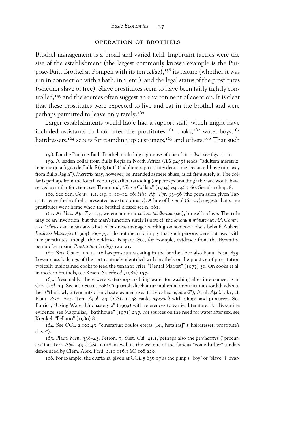#### operation of brothels

Brothel management is a broad and varied field. Important factors were the size of the establishment (the largest commonly known example is the Purpose-Built Brothel at Pompeii with its ten *cellae*),<sup>158</sup> its nature (whether it was run in connection with a bath, inn, etc.), and the legal status of the prostitutes (whether slave or free). Slave prostitutes seem to have been fairly tightly controlled,<sup>159</sup> and the sources often suggest an environment of coercion. It is clear that these prostitutes were expected to live and eat in the brothel and were perhaps permitted to leave only rarely.<sup>160</sup>

Larger establishments would have had a support staff, which might have included assistants to look after the prostitutes,<sup>161</sup> cooks,<sup>162</sup> water-boys,<sup>163</sup> hairdressers,<sup>164</sup> scouts for rounding up customers,<sup>165</sup> and others.<sup>166</sup> That such

162. Sen. *Contr.* 1.2.11, 16 has prostitutes eating in the brothel. See also Plaut. *Poen.* 835. Lower-class lodgings of the sort routinely identified with brothels or the practice of prostitution typically maintained cooks to feed the tenants: Frier, "Rental Market" (1977) 31. On cooks et al. in modern brothels, see Rosen, *Sisterhood* (1982) 157.

163. Presumably, there were water-boys to bring water for washing after intercourse, as in Cic. *Cael.* 34. See also Festus 20M: "aquarioli dicebantur mulierum impudicarum sordidi adseculae" ("the lowly attendants of unchaste women used to be called *aquarioli*"); Apul. *Apol.* 78.1; cf. Plaut. *Poen.* 224. Tert. *Apol.* 43 *CCSL* 1.158 ranks *aquarioli* with pimps and procurers. See Butrica, "Using Water Unchastely 2" (1999) with references to earlier literature. For Byzantine evidence, see Magoulias, "Bathhouse" (1971) 237. For sources on the need for water after sex, see Krenkel, "Fellatio" (1980) 80.

164. See *CGL* 2.100.45: "cinerarius: doulos eteras [i.e., hetairas]" ("hairdresser: prostitute's slave").

165. Plaut. *Men.* 338–43; Petron. 7; Suet. *Cal.* 41.1, perhaps also the *perductores* ("procurers") at Tert. *Apol.* 43 *CCSL* 1.158, as well as the wearers of the famous "come-hither" sandals denounced by Clem. Alex. *Paed.* 2.11.116.1 *SC* 108.220.

166. For example, the *ovariolus,* given at *CGL* 5.636.17 as the pimp's "boy" or "slave" ("ovar-

<sup>158.</sup> For the Purpose-Built Brothel, including a glimpse of one of its *cellae*, see figs. 4–11.

<sup>159.</sup> A leaden collar from Bulla Regia in North Africa (*ILS* 9455) reads: "adultera meretrix; tene me quia fugivi de Bulla R(e)g(ia)" ("adulteress-prostitute: detain me, because I have run away from Bulla Regia"). *Meretrix* may, however, be intended as mere abuse, as *adultera* surely is. The collar is perhaps from the fourth century; earlier, tattooing (or perhaps branding) the face would have served a similar function: see Thurmond, "Slave Collars" (1994) esp. 465-66. See also chap. 8.

<sup>160.</sup> See Sen. *Contr.* 1.2, esp. 1, 11–12, 16; *Hist. Ap. Tyr.* 33–36 (the permission given Tarsia to leave the brothel is presented as extraordinary). A line of Juvenal  $(6.127)$  suggests that some prostitutes went home when the brothel closed: see n. 161.

<sup>161.</sup> At *Hist. Ap. Tyr.* 33, we encounter a *villicus puellarum* (sic), himself a slave. The title may be an invention, but the man's function surely is not: cf. the *lenonum minister* at *HA Comm.* 2.9. *Vilicus* can mean any kind of business manager working on someone else's behalf: Aubert, *Business Managers* (1994) 169–75. I do not mean to imply that such persons were not used with free prostitutes, though the evidence is spare. See, for example, evidence from the Byzantine period: Leontsini, *Prostitution* (1989) 120–21.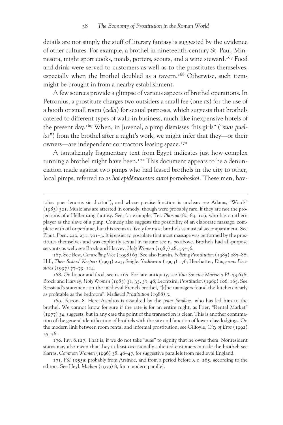details are not simply the stuff of literary fantasy is suggested by the evidence of other cultures. For example, a brothel in nineteenth-century St. Paul, Minnesota, might sport cooks, maids, porters, scouts, and a wine steward.<sup>167</sup> Food and drink were served to customers as well as to the prostitutes themselves, especially when the brothel doubled as a tavern.<sup>168</sup> Otherwise, such items might be brought in from a nearby establishment.

A few sources provide a glimpse of various aspects of brothel operations. In Petronius, a prostitute charges two outsiders a small fee (one *as*) for the use of a booth or small room (*cella*) for sexual purposes, which suggests that brothels catered to different types of walk-in business, much like inexpensive hotels of the present day.169 When, in Juvenal, a pimp dismisses "his girls" ("*suas puellas*") from the brothel after a night's work, we might infer that they—or their owners—are independent contractors leasing space.170

A tantalizingly fragmentary text from Egypt indicates just how complex running a brothel might have been.<sup>171</sup> This document appears to be a denunciation made against two pimps who had leased brothels in the city to other, local pimps, referred to as *hoi epidēmountes autoi pornoboskoi*. These men, hav-

168. On liquor and food, see n. 167. For late antiquity, see *Vita Sanctae Mariae* 7 *PL* 73.656; Brock and Harvey, *Holy Women* (1985) 31, 33, 37, 48; Leontsini, *Prostitution* (1989) 106, 165. See Rossiaud's statement on the medieval French brothel, "[t]he managers found the kitchen nearly as profitable as the bedroom": *Medieval Prostitution* (1988) 5.

169. Petron. 8. Here Ascyltos is assaulted by the *pater familiae,* who has led him to the brothel. We cannot know for sure if the rate is for an entire night, as Frier, "Rental Market"  $(1977)$  34, suggests, but in any case the point of the transaction is clear. This is another confirmation of the general identification of brothels with the site and function of lower-class lodgings. On the modern link between room rental and informal prostitution, see Gilfoyle, *City of Eros* (1992) 55–56.

170. Iuv. 6.127. That is, if we do not take "suas" to signify that he owns them. Nonresident status may also mean that they at least occasionally solicited customers outside the brothel: see Karras, *Common Women* (1996) 38, 46–47, for suggestive parallels from medieval England.

171. *PSI* 1055a: probably from Arsinoe, and from a period before a.d. 265, according to the editors. See Heyl, *Madam* (1979) 8, for a modern parallel.

iolus: puer lenonis sic dicitur"), and whose precise function is unclear: see Adams, "Words" (1983) 321. Musicians are attested in comedy, though were probably rare, if they are not the projections of a Hellenizing fantasy. See, for example, Ter. *Phormio* 80–84, 109, who has a cithern player as the slave of a pimp. Comedy also suggests the possibility of an elaborate massage, complete with oil or perfume, but this seems as likely for most brothels as musical accompaniment. See Plaut. *Poen.* 220, 231, 701-3. It is easier to postulate that most massage was performed by the prostitutes themselves and was explicitly sexual in nature: see n. 70 above. Brothels had all-purpose servants as well: see Brock and Harvey, *Holy Women* (1987) 48, 55–56.

<sup>167.</sup> See Best, *Controlling Vice* (1998) 63. See also Harsin, *Policing Prostitution* (1985) 287–88; Hill, *Their Sisters' Keepers* (1993) 223; Seigle, *Yoshiwara* (1993) 176; Hershatter, *Dangerous Pleasures* (1997) 77–79, 114.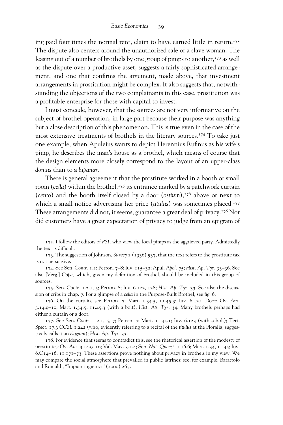ing paid four times the normal rent, claim to have earned little in return.<sup>172</sup> The dispute also centers around the unauthorized sale of a slave woman. The leasing out of a number of brothels by one group of pimps to another,<sup>173</sup> as well as the dispute over a productive asset, suggests a fairly sophisticated arrangement, and one that confirms the argument, made above, that investment arrangements in prostitution might be complex. It also suggests that, notwithstanding the objections of the two complainants in this case, prostitution was a profitable enterprise for those with capital to invest.

I must concede, however, that the sources are not very informative on the subject of brothel operation, in large part because their purpose was anything but a close description of this phenomenon. This is true even in the case of the most extensive treatments of brothels in the literary sources.174 To take just one example, when Apuleius wants to depict Herennius Rufinus as his wife's pimp, he describes the man's house as a brothel, which means of course that the design elements more closely correspond to the layout of an upper-class *domus* than to a *lupanar.*

There is general agreement that the prostitute worked in a booth or small room (*cella*) within the brothel,<sup>175</sup> its entrance marked by a patchwork curtain (*cento*) and the booth itself closed by a door (*ostium*),176 above or next to which a small notice advertising her price (*titulus*) was sometimes placed.<sup>177</sup> These arrangements did not, it seems, guarantee a great deal of privacy.<sup>178</sup> Nor did customers have a great expectation of privacy to judge from an epigram of

<sup>172.</sup> I follow the editors of *PSI,* who view the local pimps as the aggrieved party. Admittedly the text is difficult.

<sup>173.</sup> The suggestion of Johnson, *Survey* 2 (1936) 537, that the text refers to the prostitute tax is not persuasive.

<sup>174.</sup> See Sen. *Contr.* 1.2; Petron. 7–8; Iuv. 115–32; Apul. *Apol.* 75; *Hist. Ap. Tyr.* 33–36. See also [Verg.] *Copa*, which, given my definition of brothel, should be included in this group of sources.

<sup>175.</sup> Sen. *Contr.* 1.2.1, 5; Petron. 8; Iuv. 6.122, 128; *Hist. Ap. Tyr.* 33. See also the discussion of cribs in chap. 7. For a glimpse of a *cella* in the Purpose-Built Brothel, see fig. 6.

<sup>176.</sup> On the curtain, see Petron. 7; Mart. 1.34.5, 11.45.3; Iuv. 6.121. Door: Ov. *Am.* 3.14.9–10; Mart. 1.34.5, 11.45.3 (with a bolt); *Hist. Ap. Tyr.* 34. Many brothels perhaps had either a curtain or a door.

<sup>177.</sup> See Sen. *Contr.* 1.2.1, 5, 7; Petron. 7; Mart. 11.45.1; Iuv. 6.123 (with schol.); Tert. *Spect.* 17.3 *CCSL* 1.242 (who, evidently referring to a recital of the *titulus* at the Floralia, suggestively calls it an *elogium*); *Hist. Ap. Tyr.* 33.

<sup>178.</sup> For evidence that seems to contradict this, see the rhetorical assertion of the modesty of prostitutes: Ov. *Am.* 3.14.9–10; Val. Max. 3.5.4; Sen. *Nat. Quaest.* 1.16.6; Mart. 1.34, 11.45; Iuv. 6.O14–16, 11.171–73. These assertions prove nothing about privacy in brothels in my view. We may compare the social atmosphere that prevailed in public latrines: see, for example, Barattolo and Romaldi, "Impianti igienici" (2000) 265.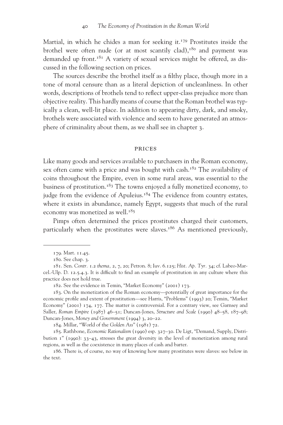Martial, in which he chides a man for seeking it.<sup>179</sup> Prostitutes inside the brothel were often nude (or at most scantily clad),<sup>180</sup> and payment was demanded up front.<sup>181</sup> A variety of sexual services might be offered, as discussed in the following section on prices.

The sources describe the brothel itself as a filthy place, though more in a tone of moral censure than as a literal depiction of uncleanliness. In other words, descriptions of brothels tend to reflect upper-class prejudice more than objective reality. This hardly means of course that the Roman brothel was typically a clean, well-lit place. In addition to appearing dirty, dark, and smoky, brothels were associated with violence and seem to have generated an atmosphere of criminality about them, as we shall see in chapter 3.

#### prices

Like many goods and services available to purchasers in the Roman economy, sex often came with a price and was bought with cash.<sup>182</sup> The availability of coins throughout the Empire, even in some rural areas, was essential to the business of prostitution.<sup>183</sup> The towns enjoyed a fully monetized economy, to judge from the evidence of Apuleius.<sup>184</sup> The evidence from country estates, where it exists in abundance, namely Egypt, suggests that much of the rural economy was monetized as well. $185$ 

Pimps often determined the prices prostitutes charged their customers, particularly when the prostitutes were slaves.<sup>186</sup> As mentioned previously,

184. Millar, "World of the *Golden Ass*" (1981) 72.

<sup>179.</sup> Mart. 11.45.

<sup>180.</sup> See chap. 3.

<sup>181.</sup> Sen. *Contr.* 1.2 *thema,* 2, 7, 20; Petron. 8; Iuv. 6.125; *Hist. Ap. Tyr.* 34; cf. Labeo-Marcel.-Ulp. D. 12.5.4.3. It is difficult to find an example of prostitution in any culture where this practice does not hold true.

<sup>182.</sup> See the evidence in Temin, "Market Economy" (2001) 173.

<sup>183.</sup> On the monetization of the Roman economy—potentially of great importance for the economic profile and extent of prostitution—see Harris, "Problems" (1993) 20; Temin, "Market Economy" (2001) 174, 177. The matter is controversial. For a contrary view, see Garnsey and Saller, *Roman Empire* (1987) 46–51; Duncan-Jones, *Structure and Scale* (1990) 48–58, 187–98; Duncan-Jones, *Money and Government* (1994) 3, 20–22.

<sup>185.</sup> Rathbone, *Economic Rationalism* (1990) esp. 327–30. De Ligt, "Demand, Supply, Distribution  $\mathbf{r}$ " (1990): 33–43, stresses the great diversity in the level of monetization among rural regions, as well as the coexistence in many places of cash and barter.

<sup>186.</sup> There is, of course, no way of knowing how many prostitutes were slaves: see below in the text.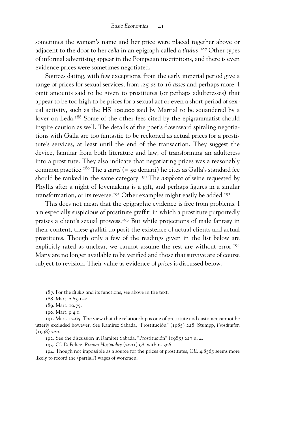sometimes the woman's name and her price were placed together above or adjacent to the door to her *cella* in an epigraph called a *titulus.*<sup>187</sup> Other types of informal advertising appear in the Pompeian inscriptions, and there is even evidence prices were sometimes negotiated.

Sources dating, with few exceptions, from the early imperial period give a range of prices for sexual services, from .25 *as* to 16 *asses* and perhaps more. I omit amounts said to be given to prostitutes (or perhaps adulteresses) that appear to be too high to be prices for a sexual act or even a short period of sexual activity, such as the HS 100,000 said by Martial to be squandered by a lover on Leda.<sup>188</sup> Some of the other fees cited by the epigrammatist should inspire caution as well. The details of the poet's downward spiraling negotiations with Galla are too fantastic to be reckoned as actual prices for a prostitute's services, at least until the end of the transaction. They suggest the device, familiar from both literature and law, of transforming an adulteress into a prostitute. They also indicate that negotiating prices was a reasonably common practice.189 The 2 *aurei* (= 50 denarii) he cites as Galla's standard fee should be ranked in the same category.190 The *amphora* of wine requested by Phyllis after a night of lovemaking is a gift, and perhaps figures in a similar transformation, or its reverse.<sup>191</sup> Other examples might easily be added.<sup>192</sup>

This does not mean that the epigraphic evidence is free from problems. I am especially suspicious of prostitute graffiti in which a prostitute purportedly praises a client's sexual prowess.193 But while projections of male fantasy in their content, these graffiti do posit the existence of actual clients and actual prostitutes. Though only a few of the readings given in the list below are explicitly rated as unclear, we cannot assume the rest are without error.<sup>194</sup> Many are no longer available to be verified and those that survive are of course subject to revision. Their value as evidence of *prices* is discussed below.

<sup>187.</sup> For the *titulus* and its functions, see above in the text.

<sup>188.</sup> Mart. 2.63.1–2.

<sup>189.</sup> Mart. 10.75.

<sup>190.</sup> Mart. 9.4.1.

<sup>191.</sup> Mart. 12.65. The view that the relationship is one of prostitute and customer cannot be utterly excluded however. See Ramirez Sabada, "Prostitución" (1985) 228; Stumpp, *Prostitution* (1998) 220.

<sup>192.</sup> See the discussion in Ramirez Sabada, "Prostitución" (1985) 227 n. 4.

<sup>193.</sup> Cf. DeFelice, *Roman Hospitality* (2001) 98, with n. 306.

<sup>194.</sup> Though not impossible as a source for the prices of prostitutes, *CIL* 4.8565 seems more likely to record the (partial?) wages of workmen.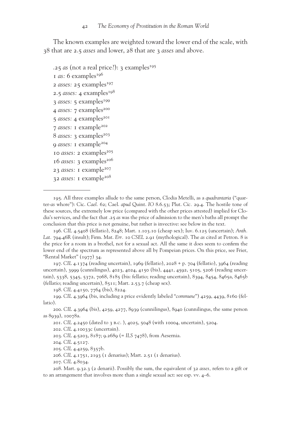The known examples are weighted toward the lower end of the scale, with 38 that are 2.5 *asses* and lower, 28 that are 3 *asses* and above.

 $.25$  *as* (not a real price?): 3 examples<sup>195</sup> 1 as: 6 examples<sup>196</sup> *asses*: 25 examples<sup>197</sup> 2.5 *asses*: 4 examples<sup>198</sup> *asses*: 5 examples<sup>199</sup> *asses*: 7 examples<sup>200</sup> *asses*: 4 examples<sup>201</sup> *asses*: 1 example<sup>202</sup> *asses*: 3 examples<sup>203</sup> *asses:* 1 example204 *asses*: 2 examples<sup>205</sup> *asses*: 3 examples<sup>206</sup> *asses*: 1 example<sup>207</sup> *asses:* 1 example208

195. All three examples allude to the same person, Clodia Metelli, as a *quadrantaria* ("quarter*-as* whore"): Cic. *Cael.* 62; Cael. *apud* Quint. *IO* 8.6.53; Plut. *Cic.* 29.4. The hostile tone of these sources, the extremely low price (compared with the other prices attested) implied for Clodia's services, and the fact that .25 *as* was the price of admission to the men's baths all prompt the conclusion that this price is not genuine, but rather is invective: see below in the text.

196. *CIL* 4.5408 (fellatio), 8248; Mart. 1.103.10 (cheap sex); Iuv. 6.125 (uncertain); *Anth. Lat.* 794.46R (insult); Firm. Mat. *Err.* 10 *CSEL* 2.91 (mythological). The *as* cited at Petron. 8 is the price for a room in a brothel, not for a sexual act. All the same it does seem to confirm the lower end of the spectrum as represented above all by Pompeian prices. On this price, see Frier, "Rental Market" (1977) 34.

197. *CIL* 4.1374 (reading uncertain), 1969 (fellatio), 2028 + p. 704 (fellatio), 3964 (reading uncertain), 3999 (cunnilingus), 4023, 4024, 4150 (bis), 4441, 4592, 5105, 5206 (reading uncertain), 5338, 5345, 5372, 7068, 8185 (bis: fellatio; reading uncertain), 8394, 8454, 8465a, 8465b (fellatio; reading uncertain), 8511; Mart. 2.53.7 (cheap sex).

198. *CIL* 4.4150, 7764 (bis), 8224.

199. *CIL* 4.3964 (bis, including a price evidently labeled "*commune*") 4259, 4439, 8160 (fellatio).

200. *CIL* 4.3964 (bis), 4259, 4277, 8939 (cunnilingus), 8940 (cunnilingus, the same person as 8939), 10078a.

201. *CIL* 4.2450 (dated to 3 b.c. ), 4025, 5048 (with 10004, uncertain), 5204.

202. *CIL* 4.10033c (uncertain).

203. *CIL* 4.5203, 8187; 9.2689 (= *ILS* 7478), from Aesernia.

204. *CIL* 4.5127.

205. *CIL* 4.4259, 8357b.

206. *CIL* 4.1751, 2193 (1 denarius); Mart. 2.51 (1 denarius).

207. *CIL* 4.8034.

208. Mart. 9.32.3 (2 denarii). Possibly the sum, the equivalent of 32 *asses,* refers to a gift or to an arrangement that involves more than a single sexual act: see esp. vv. 4–6.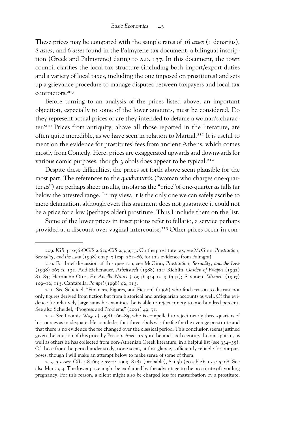These prices may be compared with the sample rates of 16 *asses* (1 denarius), 8 *asses,* and 6 *asses* found in the Palmyrene tax document, a bilingual inscription (Greek and Palmyrene) dating to A.D. 137. In this document, the town council clarifies the local tax structure (including both import/export duties and a variety of local taxes, including the one imposed on prostitutes) and sets up a grievance procedure to manage disputes between taxpayers and local tax contractors.209

Before turning to an analysis of the prices listed above, an important objection, especially to some of the lower amounts, must be considered. Do they represent actual prices or are they intended to defame a woman's character?210 Prices from antiquity, above all those reported in the literature, are often quite incredible, as we have seen in relation to Martial.211 It is useful to mention the evidence for prostitutes' fees from ancient Athens, which comes mostly from Comedy. Here, prices are exaggerated upwards and downwards for various comic purposes, though 3 obols does appear to be typical.<sup>212</sup>

Despite these difficulties, the prices set forth above seem plausible for the most part. The references to the *quadrantaria* ("woman who charges one-quarter *as*") are perhaps sheer insults, insofar as the "price"of one-quarter *as* falls far below the attested range. In my view, it is the only one we can safely ascribe to mere defamation, although even this argument does not guarantee it could not be a price for a low (perhaps older) prostitute. Thus I include them on the list.

Some of the lower prices in inscriptions refer to fellatio, a service perhaps provided at a discount over vaginal intercourse.<sup>213</sup> Other prices occur in con-

<sup>209.</sup> *IGR* 3.1056-*OGIS* 2.629-*CIS* 2.3.3913. On the prostitute tax, see McGinn, *Prostitution, Sexuality, and the Law* (1998) chap. 7 (esp. 282–86, for this evidence from Palmgra).

<sup>210.</sup> For brief discussion of this question, see McGinn, *Prostitution, Sexuality, and the Law* (1998) 267 n. 132. Add Eichenauer, *Arbeitswelt* (1988) 121; Richlin, *Garden of Priapus* (1992) 81–83; Herrmann-Otto, *Ex Ancilla Natus* (1994) 344 n. 9 (345); Savunen, *Women* (1997) 109–10, 113; Cantarella, *Pompei* (1998) 92, 113.

<sup>211.</sup> See Scheidel, "Finances, Figures, and Fiction" (1996) who finds reason to distrust not only figures derived from fiction but from historical and antiquarian accounts as well. Of the evidence for relatively large sums he examines, he is able to reject ninety to one-hundred percent. See also Scheidel, "Progress and Problems" (2001) 49, 71.

<sup>212.</sup> See Loomis, *Wages* (1998) 166–85, who is compelled to reject nearly three-quarters of his sources as inadequate. He concludes that three obols was the fee for the average prostitute and that there is no evidence the fee changed over the classical period. This conclusion seems justified given the citation of this price by Procop. *Anec.* 17.5 in the mid-sixth century. Loomis puts it, as well as others he has collected from non-Athenian Greek literature, in a helpful list (see 334–35). Of those from the period under study, none seem, at first glance, sufficiently reliable for our purposes, though I will make an attempt below to make sense of some of them.

<sup>213. 3</sup> *asses: CIL* 4.8160; 2 *asses:* 1969, 8185 (probable), 8465b (possible); 1 *as:* 5408. See also Mart. 9.4. The lower price might be explained by the advantage to the prostitute of avoiding pregnancy. For this reason, a client might also be charged less for masturbation by a prostitute,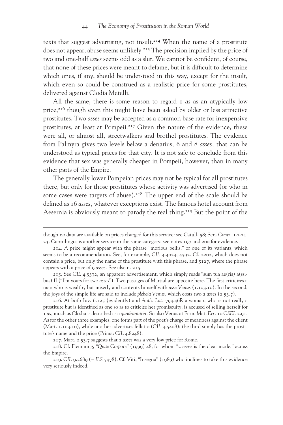texts that suggest advertising, not insult.<sup>214</sup> When the name of a prostitute does not appear, abuse seems unlikely.215 The precision implied by the price of two and one-half *asses* seems odd as a slur. We cannot be confident, of course, that none of these prices were meant to defame, but it is difficult to determine which ones, if any, should be understood in this way, except for the insult, which even so could be construed as a realistic price for some prostitutes, delivered against Clodia Metelli.

All the same, there is some reason to regard 1 *as* as an atypically low price,<sup>216</sup> though even this might have been asked by older or less attractive prostitutes. Two *asses* may be accepted as a common base rate for inexpensive prostitutes, at least at Pompeii.<sup>217</sup> Given the nature of the evidence, these were all, or almost all, streetwalkers and brothel prostitutes. The evidence from Palmyra gives two levels below a denarius*,* 6 and 8 *asses,* that can be understood as typical prices for that city. It is not safe to conclude from this evidence that sex was generally cheaper in Pompeii, however, than in many other parts of the Empire.

The generally lower Pompeian prices may not be typical for all prostitutes there, but only for those prostitutes whose activity was advertised (or who in some cases were targets of abuse).<sup>218</sup> The upper end of the scale should be defined as 16 *asses*, whatever exceptions exist. The famous hotel account from Aesernia is obviously meant to parody the real thing.219 But the point of the

216. At both Iuv. 6.125 (evidently) and *Anth. Lat.* 794.46R a woman, who is not really a prostitute but is identified as one so as to criticize her promiscuity, is accused of selling herself for 1 *as,* much as Clodia is described as a *quadrantaria.* So also Venus at Firm. Mat. *Err.* 10 *CSEL* 2.91. As for the other three examples, one forms part of the poet's charge of meanness against the client (Mart. 1.103.10), while another advertises fellatio (*CIL* 4.5408); the third simply has the prostitute's name and the price (Prima: *CIL* 4.8248).

217. Mart. 2.53.7 suggests that 2 *asses* was a very low price for Rome.

218. Cf. Flemming, "*Quae Corpore*" (1999) 48, for whom "2 asses is the clear mode," across the Empire.

219. *CIL* 9.2689 (= *ILS* 7478). Cf. Viti, "Insegna" (1989) who inclines to take this evidence very seriously indeed.

though no data are available on prices charged for this service: see Catull. 58; Sen. *Contr.* 1.2.21, 23. Cunnilingus is another service in the same category: see notes 197 and 200 for evidence.

<sup>214.</sup> A price might appear with the phrase "moribus bellis," or one of its variants, which seems to be a recommendation. See, for example, *CIL* 4.4024, 4592. Cf. 2202, which does not contain a price, but only the name of the prostitute with this phrase, and 5127, where the phrase appears with a price of 9 *asses.* See also n. 215.

<sup>215.</sup> See *CIL* 4.5372, an apparent advertisement, which simply reads "sum tua ae(ris) a(ssibus) II ("I'm yours for two *asses*"). Two passages of Martial are apposite here. The first criticizes a man who is wealthy but miserly and contents himself with *asse Venus* (1.103.10). In the second, the joys of the simple life are said to include *plebeia Venus,* which costs two 2 *asses* (2.53.7).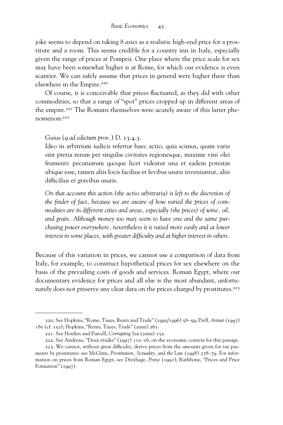joke seems to depend on taking 8 *asses* as a realistic high-end price for a prostitute and a room. This seems credible for a country inn in Italy, especially given the range of prices at Pompeii. One place where the price scale for sex may have been somewhat higher is at Rome, for which our evidence is even scantier. We can safely assume that prices in general were higher there than elsewhere in the Empire.<sup>220</sup>

Of course, it is conceivable that prices fluctuated, as they did with other commodities, so that a range of "spot" prices cropped up in different areas of the empire.<sup>221</sup> The Romans themselves were acutely aware of this latter phenomenon:222

### Gaius (9 *ad edictum prov.*) D. 13.4.3.

Ideo in arbitrium iudicis refertur haec actio, quia scimus, quam varia sint pretia rerum per singulas civitates regionesque, maxime vini olei frumenti: pecuniarum quoque licet videatur una et eadem potestas ubique esse, tamen aliis locis facilius et levibus usuris inveniuntur, aliis difficilius et gravibus usuris.

*On that account this action (the* actio arbitraria*) is left to the discretion of* the finder of fact, because we are aware of how varied the prices of com*modities are in different cities and areas, especially (the prices) of wine, oil, and grain. Although money too may seem to have one and the same purchasing power everywhere, nevertheless it is raised more easily and at lower* interest in some places, with greater difficulty and at higher interest in others.

Because of this variation in prices, we cannot use a comparison of data from Italy, for example, to construct hypothetical prices for sex elsewhere on the basis of the prevailing costs of goods and services. Roman Egypt, where our documentary evidence for prices and all else is the most abundant, unfortunately does not preserve any clear data on the prices charged by prostitutes.<sup>223</sup>

<sup>220.</sup> See Hopkins, "Rome, Taxes, Rents and Trade" (1995/1996) 58–59; Prell, *Armut* (1997) 180 (cf. 152); Hopkins, "Rents, Taxes, Trade" (2000) 261.

<sup>221.</sup> See Horden and Purcell, *Corrupting Sea* (2000) 152.

<sup>222.</sup> See Andreau, "Deux études"  $(1997) 112–16$ , on the economic context for this passage.

<sup>223.</sup> We cannot, without great difficulty, derive prices from the amounts given for tax payments by prostitutes: see McGinn, *Prostitution, Sexuality, and the Law* (1998) 278–79. For information on prices from Roman Egypt, see Drexhage, *Preise* (1991); Rathbone, "Prices and Price Formation" (1997).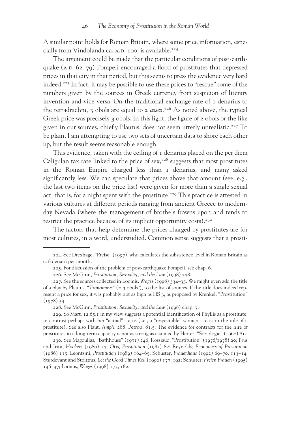A similar point holds for Roman Britain, where some price information, especially from Vindolanda ca. A.D. 100, is available.<sup>224</sup>

The argument could be made that the particular conditions of post-earthquake ( $A.D. 62–79$ ) Pompeii encouraged a flood of prostitutes that depressed prices in that city in that period, but this seems to press the evidence very hard indeed.225 In fact, it may be possible to use these prices to "rescue" some of the numbers given by the sources in Greek currency from suspicion of literary invention and vice versa. On the traditional exchange rate of 1 denarius to the tetradrachm, 3 obols are equal to 2 *asses.*<sup>226</sup> As noted above, the typical Greek price was precisely 3 obols. In this light, the figure of 2 obols or the like given in our sources, chiefly Plautus, does not seem utterly unrealistic.<sup>227</sup> To be plain, I am attempting to use two sets of uncertain data to shore each other up, but the result seems reasonable enough.

This evidence, taken with the ceiling of 1 denarius placed on the per diem Caligulan tax rate linked to the price of  $sex$ , $228$  suggests that most prostitutes in the Roman Empire charged less than 1 denarius, and many asked significantly less. We can speculate that prices above that amount (see, e.g., the last two items on the price list) were given for more than a single sexual act, that is, for a night spent with the prostitute.<sup>229</sup> This practice is attested in various cultures at different periods ranging from ancient Greece to modernday Nevada (where the management of brothels frowns upon and tends to restrict the practice because of its implicit opportunity costs).<sup>230</sup>

The factors that help determine the prices charged by prostitutes are for most cultures, in a word, understudied. Common sense suggests that a prosti-

228. See McGinn, *Prostitution, Sexuality, and the Law* (1998) chap. 7.

229. So Mart.  $12.65$ . I in my view suggests a potential identification of Phyllis as a prostitute, in contrast perhaps with her "actual" status (i.e., a "respectable" woman is cast in the role of a prostitute). See also Plaut. *Amph.* 288; Petron. 81.5. The evidence for contracts for the hire of prostitutes in a long-term capacity is not as strong as assumed by Herter, "Soziologie" (1960) 81.

230. See Magoulias, "Bathhouse" (1971) 246; Rossiaud, "Prostitution" (1976/1978) 20; Prus and Irini, *Hookers* (1980) 57; Otis, *Prostitution* (1985) 82; Reynolds, *Economics of Prostitution* (1986) 115; Leontsini, *Prostitution* (1989) 164–65; Schuster, *Frauenhaus* (1992) 69–70, 113–14; Sturdevant and Stoltzfus, *Let the Good Times Roll* (1992) 177, 192; Schuster, *Freien Frauen* (1995) 146–47; Loomis, *Wages* (1998) 173, 182.

<sup>224.</sup> See Drexhage, "Preise" (1997), who calculates the subsistence level in Roman Britain as c. 8 denarii per month.

<sup>225.</sup> For discussion of the problem of post-earthquake Pompeii, see chap. 6.

<sup>226.</sup> See McGinn, *Prostitution, Sexuality, and the Law* (1998) 278.

<sup>227.</sup> See the sources collected in Loomis, *Wages* (1998) 334–35. We might even add the title of a play by Plautus, "*Trinummus*" (= 3 obols?), to the list of sources. If the title does indeed represent a price for sex, it was probably not as high as HS 3, as proposed by Krenkel, "Prostitution" (1978) 54.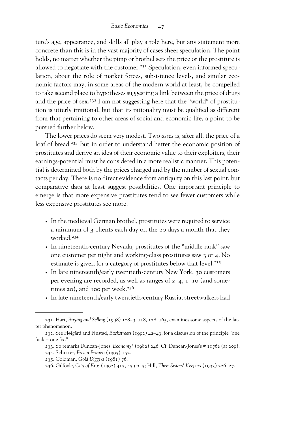tute's age, appearance, and skills all play a role here, but any statement more concrete than this is in the vast majority of cases sheer speculation. The point holds, no matter whether the pimp or brothel sets the price or the prostitute is allowed to negotiate with the customer.<sup>231</sup> Speculation, even informed speculation, about the role of market forces, subsistence levels, and similar economic factors may, in some areas of the modern world at least, be compelled to take second place to hypotheses suggesting a link between the price of drugs and the price of sex.<sup>232</sup> I am not suggesting here that the "world" of prostitution is utterly irrational, but that its rationality must be qualified as different from that pertaining to other areas of social and economic life, a point to be pursued further below.

The lower prices do seem very modest. Two *asses* is, after all, the price of a loaf of bread.<sup>233</sup> But in order to understand better the economic position of prostitutes and derive an idea of their economic value to their exploiters, their earnings-potential must be considered in a more realistic manner. This potential is determined both by the prices charged and by the number of sexual contacts per day. There is no direct evidence from antiquity on this last point, but comparative data at least suggest possibilities. One important principle to emerge is that more expensive prostitutes tend to see fewer customers while less expensive prostitutes see more.

- In the medieval German brothel, prostitutes were required to service a minimum of 3 clients each day on the 20 days a month that they worked.<sup>234</sup>
- In nineteenth-century Nevada, prostitutes of the "middle rank" saw one customer per night and working-class prostitutes saw 3 or 4. No estimate is given for a category of prostitutes below that level.<sup>235</sup>
- In late nineteenth/early twentieth-century New York, 30 customers per evening are recorded, as well as ranges of 2–4, 1–10 (and sometimes 20), and 100 per week.<sup>236</sup>
- In late nineteenth/early twentieth-century Russia, streetwalkers had

<sup>231.</sup> Hart, *Buying and Selling* (1998) 108–9, 118, 128, 165, examines some aspects of the latter phenomenon.

<sup>232.</sup> See Høigård and Finstad, *Backstreets* (1992) 42–43, for a discussion of the principle "one  $fuck = one fix."$ 

<sup>233.</sup> So remarks Duncan-Jones, *Economy*<sup>2</sup> (1982) 246. Cf. Duncan-Jones's # 1176e (at 209).

<sup>234.</sup> Schuster, *Freien Frauen* (1995) 152.

<sup>235.</sup> Goldman, *Gold Diggers* (1981) 76.

<sup>236.</sup> Gilfoyle, *City of Eros* (1992) 415, 459 n. 5; Hill, *Their Sisters' Keepers* (1993) 226–27.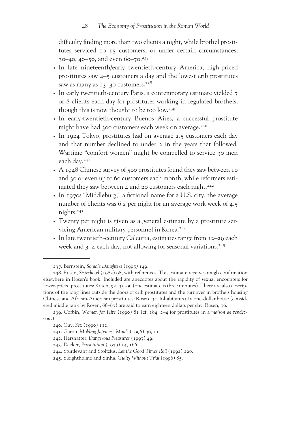difficulty finding more than two clients a night, while brothel prostitutes serviced 10–15 customers, or under certain circumstances, 30–40, 40–50, and even 60–70.237

- In late nineteenth/early twentieth-century America, high-priced prostitutes saw 4–5 customers a day and the lowest crib prostitutes saw as many as  $13-30$  customers.<sup>238</sup>
- In early twentieth-century Paris, a contemporary estimate yielded 7 or 8 clients each day for prostitutes working in regulated brothels, though this is now thought to be too low.239
- In early-twentieth-century Buenos Aires, a successful prostitute might have had 300 customers each week on average.<sup>240</sup>
- In 1924 Tokyo, prostitutes had on average 2.5 customers each day and that number declined to under 2 in the years that followed. Wartime "comfort women" might be compelled to service 30 men each day.241
- A 1948 Chinese survey of 500 prostitutes found they saw between 10 and 30 or even up to 60 customers each month, while reformers estimated they saw between 4 and 20 customers each night.<sup>242</sup>
- In 1970s "Middleburg," a fictional name for a U.S. city, the average number of clients was 6.2 per night for an average work week of 4.5 nights.243
- Twenty per night is given as a general estimate by a prostitute servicing American military personnel in Korea.244
- In late twentieth-century Calcutta, estimates range from 12–29 each week and  $3-4$  each day, not allowing for seasonal variations.<sup>245</sup>

<sup>237.</sup> Bernstein, *Sonia's Daughters* (1995) 149.

<sup>238.</sup> Rosen, *Sisterhood* (1982) 98, with references. This estimate receives rough confirmation elsewhere in Rosen's book. Included are anecdotes about the rapidity of sexual encounters for lower-priced prostitutes: Rosen, 92, 95–96 (one estimate is three minutes). There are also descriptions of the long lines outside the doors of crib prostitutes and the turnover in brothels housing Chinese and African-American prostitutes: Rosen, 94. Inhabitants of a one-dollar house (considered middle rank by Rosen, 86–87) are said to earn eighteen dollars per day: Rosen, 76.

<sup>239.</sup> Corbin, *Women for Hire* (1990) 81 (cf. 184: 2–4 for prostitutes in a *maison de rendezvous*).

<sup>240.</sup> Guy, *Sex* (1990) 110.

<sup>241.</sup> Garon, *Molding Japanese Minds* (1996) 96, 111.

<sup>242.</sup> Hershatter, *Dangerous Pleasures* (1997) 49.

<sup>243.</sup> Decker, *Prostitution* (1979) 14, 166.

<sup>244.</sup> Sturdevant and Stoltzfus, *Let the Good Times Roll* (1992) 228.

<sup>245.</sup> Sleightholme and Sinha, *Guilty Without Trial* (1996) 85.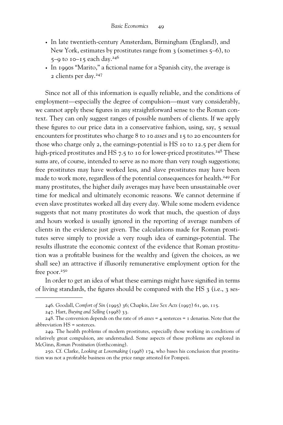- In late twentieth-century Amsterdam, Birmingham (England), and New York, estimates by prostitutes range from 3 (sometimes 5-6), to  $5-9$  to  $10-15$  each day.<sup>246</sup>
- In 1990s "Marito," a fictional name for a Spanish city, the average is 2 clients per day.247

Since not all of this information is equally reliable, and the conditions of employment—especially the degree of compulsion—must vary considerably, we cannot apply these figures in any straightforward sense to the Roman context. They can only suggest ranges of possible numbers of clients. If we apply these figures to our price data in a conservative fashion, using, say, 5 sexual encounters for prostitutes who charge 8 to 10 *asses* and 15 to 20 encounters for those who charge only 2, the earnings-potential is HS 10 to 12.5 per diem for high-priced prostitutes and HS 7.5 to 10 for lower-priced prostitutes.<sup>248</sup> These sums are, of course, intended to serve as no more than very rough suggestions; free prostitutes may have worked less, and slave prostitutes may have been made to work more, regardless of the potential consequences for health.<sup>249</sup> For many prostitutes, the higher daily averages may have been unsustainable over time for medical and ultimately economic reasons. We cannot determine if even slave prostitutes worked all day every day. While some modern evidence suggests that not many prostitutes do work that much, the question of days and hours worked is usually ignored in the reporting of average numbers of clients in the evidence just given. The calculations made for Roman prostitutes serve simply to provide a very rough idea of earnings-potential. The results illustrate the economic context of the evidence that Roman prostitution was a profitable business for the wealthy and (given the choices, as we shall see) an attractive if illusorily remunerative employment option for the free poor.<sup>250</sup>

In order to get an idea of what these earnings might have signified in terms of living standards, the figures should be compared with the HS  $_3$  (i.e.,  $_3$  ses-

<sup>246.</sup> Goodall, *Comfort of Sin* (1995) 36; Chapkis, *Live Sex Acts* (1997) 61, 90, 115.

<sup>247.</sup> Hart, *Buying and Selling* (1998) 33.

<sup>248.</sup> The conversion depends on the rate of 16 *asses* = 4 sesterces = 1 denarius. Note that the abbreviation HS = sesterces.

<sup>249.</sup> The health problems of modern prostitutes, especially those working in conditions of relatively great compulsion, are understudied. Some aspects of these problems are explored in McGinn, *Roman Prostitution* (forthcoming).

<sup>250.</sup> Cf. Clarke, *Looking at Lovemaking* (1998) 174, who bases his conclusion that prostitution was not a profitable business on the price range attested for Pompeii.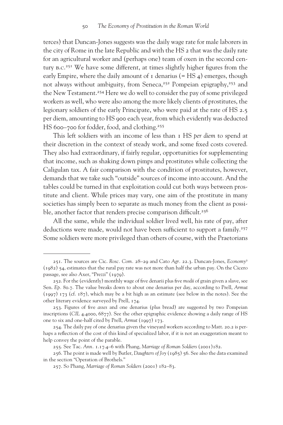terces) that Duncan-Jones suggests was the daily wage rate for male laborers in the city of Rome in the late Republic and with the HS 2 that was the daily rate for an agricultural worker and (perhaps one) team of oxen in the second century  $B.C.<sup>251</sup>$  We have some different, at times slightly higher figures from the early Empire, where the daily amount of  $\iota$  denarius (= HS  $\iota$ ) emerges, though not always without ambiguity, from Seneca,<sup>252</sup> Pompeian epigraphy,<sup>253</sup> and the New Testament.<sup>254</sup> Here we do well to consider the pay of some privileged workers as well, who were also among the more likely clients of prostitutes, the legionary soldiers of the early Principate, who were paid at the rate of HS 2.5 per diem, amounting to HS 900 each year, from which evidently was deducted HS 600-700 for fodder, food, and clothing.<sup>255</sup>

This left soldiers with an income of less than 1 HS *per diem* to spend at their discretion in the context of steady work, and some fixed costs covered. They also had extraordinary, if fairly regular, opportunities for supplementing that income, such as shaking down pimps and prostitutes while collecting the Caligulan tax. A fair comparison with the condition of prostitutes, however, demands that we take such "outside" sources of income into account. And the tables could be turned in that exploitation could cut both ways between prostitute and client. While prices may vary, one aim of the prostitute in many societies has simply been to separate as much money from the client as possible, another factor that renders precise comparison difficult.<sup>256</sup>

All the same, while the individual soldier lived well, his rate of pay, after deductions were made, would not have been sufficient to support a family.<sup>257</sup> Some soldiers were more privileged than others of course, with the Praetorians

<sup>251.</sup> The sources are Cic. *Rosc. Com.* 28–29 and Cato *Agr.* 22.3. Duncan-Jones, *Economy*<sup>2</sup> (1982) 54, estimates that the rural pay rate was not more than half the urban pay. On the Cicero passage, see also Axer, "Prezzi" (1979).

<sup>252.</sup> For the (evidently) monthly wage of five denarii plus five *modii* of grain given a slave, see Sen. *Ep.* 80.7. The value breaks down to about one denarius per day, according to Prell, *Armut* (1997) 173 (cf. 187), which may be a bit high as an estimate (see below in the notes). See the other literary evidence surveyed by Prell, 174.

<sup>253.</sup> Figures of five *asses* and one denarius (plus bread) are suggested by two Pompeian inscriptions (*CIL* 4.4000, 6877). See the other epigraphic evidence showing a daily range of HS one to six and one-half cited by Prell, *Armut* (1997) 173.

<sup>254.</sup> The daily pay of one denarius given the vineyard workers according to Matt. 20.2 is perhaps a reflection of the cost of this kind of specialized labor, if it is not an exaggeration meant to help convey the point of the parable.

<sup>255.</sup> See Tac. *Ann.* 1.17.4–6 with Phang, *Marriage of Roman Soldiers* (2001)182.

<sup>256.</sup> The point is made well by Butler, *Daughters of Joy* (1985) 56. See also the data examined in the section "Operation of Brothels."

<sup>257.</sup> So Phang, *Marriage of Roman Soldiers* (2001) 182–83.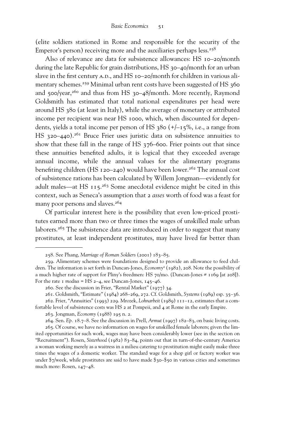(elite soldiers stationed in Rome and responsible for the security of the Emperor's person) receiving more and the auxiliaries perhaps less.<sup>258</sup>

Also of relevance are data for subsistence allowances: HS 10–20/month during the late Republic for grain distributions, HS 30–40/month for an urban slave in the first century A.D., and HS 10–20/month for children in various alimentary schemes.<sup>259</sup> Minimal urban rent costs have been suggested of HS 360 and  $500$ /year,<sup>260</sup> and thus from HS  $30-48$ /month. More recently, Raymond Goldsmith has estimated that total national expenditures per head were around HS 380 (at least in Italy), while the average of monetary or attributed income per recipient was near HS 1000, which, when discounted for dependents, yields a total income per person of HS  $380 (+/-15%)$ , i.e., a range from HS 320-440).<sup>261</sup> Bruce Frier uses juristic data on subsistence annuities to show that these fall in the range of HS 376–600. Frier points out that since these annuities benefited adults, it is logical that they exceeded average annual income, while the annual values for the alimentary programs benefiting children (HS 120–240) would have been lower.<sup>262</sup> The annual cost of subsistence rations has been calculated by Willem Jongman—evidently for adult males—at HS  $115$ <sup>263</sup> Some anecdotal evidence might be cited in this context, such as Seneca's assumption that 2 *asses* worth of food was a feast for many poor persons and slaves.<sup>264</sup>

Of particular interest here is the possibility that even low-priced prostitutes earned more than two or three times the wages of unskilled male urban laborers.<sup>265</sup> The subsistence data are introduced in order to suggest that many prostitutes, at least independent prostitutes, may have lived far better than

262. Frier, "Annuities" (1993) 229. Mrozek, *Lohnarbeit* (1989) 111–12, estimates that a comfortable level of subsistence costs was HS 2 at Pompeii, and 4 at Rome in the early Empire.

<sup>258.</sup> See Phang, *Marriage of Roman Soldiers* (2001) 183–85.

<sup>259.</sup> Alimentary schemes were foundations designed to provide an allowance to feed children. The information is set forth in Duncan-Jones, *Economy*<sup>2</sup> (1982), 208. Note the possibility of a much higher rate of support for Pliny's freedmen: HS 70/mo. (Duncan-Jones # 1169 [at 208]). For the rate  $\bar{1}$  *modius* = HS  $\bar{2}$ –4, see Duncan-Jones,  $\bar{1}$ 45–46.

<sup>260.</sup> See the discussion in Frier, "Rental Market" (1977) 34.

<sup>261.</sup> Goldsmith, "Estimate" (1984) 268–269, 272. Cf. Goldsmith, *Systems* (1989) esp. 35–36.

<sup>263.</sup> Jongman, *Economy* (1988) 195 n. 2.

<sup>264.</sup> Sen. *Ep.* 18.7–8. See the discussion in Prell, *Armut* (1997) 182–83, on basic living costs.

<sup>265.</sup> Of course, we have no information on wages for unskilled female laborers; given the limited opportunities for such work, wages may have been considerably lower (see in the section on "Recruitment"). Rosen, *Sisterhood* (1982) 83–84, points out that in turn-of-the-century America a woman working merely as a waitress in a milieu catering to prostitution might easily make three times the wages of a domestic worker. The standard wage for a shop girl or factory worker was under \$7/week, while prostitutes are said to have made \$30–\$50 in various cities and sometimes much more: Rosen, 147–48.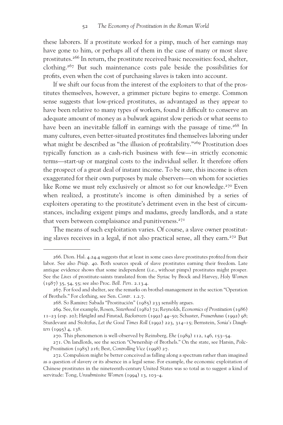these laborers. If a prostitute worked for a pimp, much of her earnings may have gone to him, or perhaps all of them in the case of many or most slave prostitutes.<sup>266</sup> In return, the prostitute received basic necessities: food, shelter, clothing.267 But such maintenance costs pale beside the possibilities for profits, even when the cost of purchasing slaves is taken into account.

If we shift our focus from the interest of the exploiters to that of the prostitutes themselves, however, a grimmer picture begins to emerge. Common sense suggests that low-priced prostitutes, as advantaged as they appear to have been relative to many types of workers, found it difficult to conserve an adequate amount of money as a bulwark against slow periods or what seems to have been an inevitable falloff in earnings with the passage of time.<sup>268</sup> In many cultures, even better-situated prostitutes find themselves laboring under what might be described as "the illusion of profitability." $2^{69}$  Prostitution does typically function as a cash-rich business with few—in strictly economic terms—start-up or marginal costs to the individual seller. It therefore offers the prospect of a great deal of instant income. To be sure, this income is often exaggerated for their own purposes by male observers—on whom for societies like Rome we must rely exclusively or almost so for our knowledge.<sup>270</sup> Even when realized, a prostitute's income is often diminished by a series of exploiters operating to the prostitute's detriment even in the best of circumstances, including exigent pimps and madams, greedy landlords, and a state that veers between complaisance and punitiveness.<sup>271</sup>

The means of such exploitation varies. Of course, a slave owner prostituting slaves receives in a legal, if not also practical sense, all they earn.272 But

<sup>266.</sup> Dion. Hal. 4.24.4 suggests that at least in some cases slave prostitutes profited from their labor. See also *Priap.* 40. Both sources speak of slave prostitutes earning their freedom. Late antique evidence shows that some independent (i.e., without pimps) prostitutes might prosper. See the *Lives* of prostitute-saints translated from the Syriac by Brock and Harvey, *Holy Women* (1987) 35, 54, 55; see also Proc. *Bell. Pers.* 2.13.4.

<sup>267.</sup> For food and shelter, see the remarks on brothel-management in the section "Operation of Brothels." For clothing, see Sen. *Contr.* 1.2.7.

<sup>268.</sup> So Ramirez Sabada "Prostitución" (1985) 233 sensibly argues.

<sup>269.</sup> See, for example, Rosen, *Sisterhood* (1982) 72; Reynolds, *Economics of Prostitution* (1986) 11–23 (esp. 20); Høigård and Finstad, *Backstreets* (1992) 44–50; Schuster, *Frauenhaus* (1992) 98; Sturdevant and Stoltzfus, *Let the Good Times Roll* (1992) 223, 314–15; Bernstein, *Sonia's Daughters* (1995) 4, 138.

<sup>270.</sup> This phenomenon is well-observed by Reinsberg, *Ehe* (1989) 112, 146, 153–54.

<sup>271.</sup> On landlords, see the section "Ownership of Brothels." On the state, see Harsin, *Policing Prostitution* (1985) 216; Best, *Controlling Vice* (1998) 27.

<sup>272.</sup> Compulsion might be better conceived as falling along a spectrum rather than imagined as a question of slavery or its absence in a legal sense. For example, the economic exploitation of Chinese prostitutes in the nineteenth-century United States was so total as to suggest a kind of servitude: Tong, *Unsubmissive Women* (1994) 13, 103–4.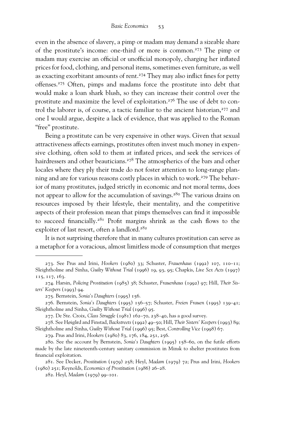even in the absence of slavery, a pimp or madam may demand a sizeable share of the prostitute's income: one-third or more is common.273 The pimp or madam may exercise an official or unofficial monopoly, charging her inflated prices for food, clothing, and personal items, sometimes even furniture, as well as exacting exorbitant amounts of rent.<sup>274</sup> They may also inflict fines for petty offenses.275 Often, pimps and madams force the prostitute into debt that would make a loan shark blush, so they can increase their control over the prostitute and maximize the level of exploitation.276 The use of debt to control the laborer is, of course, a tactic familiar to the ancient historian,<sup>277</sup> and one I would argue, despite a lack of evidence, that was applied to the Roman "free" prostitute.

Being a prostitute can be very expensive in other ways. Given that sexual attractiveness affects earnings, prostitutes often invest much money in expensive clothing, often sold to them at inflated prices, and seek the services of hairdressers and other beauticians.<sup>278</sup> The atmospherics of the bars and other locales where they ply their trade do not foster attention to long-range planning and are for various reasons costly places in which to work.279 The behavior of many prostitutes, judged strictly in economic and not moral terms, does not appear to allow for the accumulation of savings.<sup>280</sup> The various drains on resources imposed by their lifestyle, their mentality, and the competitive aspects of their profession mean that pimps themselves can find it impossible to succeed financially.<sup>281</sup> Profit margins shrink as the cash flows to the exploiter of last resort, often a landlord.<sup>282</sup>

It is not surprising therefore that in many cultures prostitution can serve as a metaphor for a voracious, almost limitless mode of consumption that merges

278. See Høigård and Finstad, *Backstreets* (1992) 49–50; Hill, *Their Sisters' Keepers* (1993) 89; Sleightholme and Sinha, *Guilty Without Trial* (1996) 95; Best, *Controlling Vice* (1998) 67.

279. Prus and Irini, *Hookers* (1980) 83, 176, 184, 251, 256.

<sup>273.</sup> See Prus and Irini, *Hookers* (1980) 33; Schuster, *Frauenhaus* (1992) 107, 110–11; Sleightholme and Sinha, *Guilty Without Trial* (1996) 19, 93, 95; Chapkis, *Live Sex Acts* (1997) 115, 117, 163.

<sup>274.</sup> Harsin, *Policing Prostitution* (1985) 38; Schuster, *Frauenhaus* (1992) 97; Hill, *Their Sisters' Keepers* (1993) 94.

<sup>275.</sup> Bernstein, *Sonia's Daughters* (1995) 156.

<sup>276.</sup> Bernstein, *Sonia's Daughters* (1995) 156–57; Schuster, *Freien Frauen* (1995) 139–41; Sleightholme and Sinha, *Guilty Without Trial* (1996) 95.

<sup>277.</sup> De Ste. Croix, *Class Struggle* (1981) 162–70, 238–40, has a good survey.

<sup>280.</sup> See the account by Bernstein, *Sonia's Daughters* (1995) 158–60, on the futile efforts made by the late nineteenth-century sanitary commission in Minsk to shelter prostitutes from financial exploitation.

<sup>281.</sup> See Decker, *Prostitution* (1979) 258; Heyl, *Madam* (1979) 72; Prus and Irini, *Hookers* (1980) 251; Reynolds, *Economics of Prostitution* (1986) 26–28.

<sup>282.</sup> Heyl, *Madam* (1979) 99–101.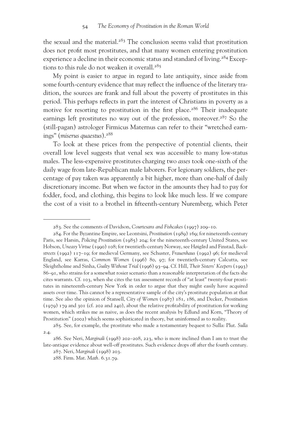the sexual and the material. $2^{83}$  The conclusion seems valid that prostitution does not profit most prostitutes, and that many women entering prostitution experience a decline in their economic status and standard of living.<sup>284</sup> Exceptions to this rule do not weaken it overall.<sup>285</sup>

My point is easier to argue in regard to late antiquity, since aside from some fourth-century evidence that may reflect the influence of the literary tradition, the sources are frank and full about the poverty of prostitutes in this period. This perhaps reflects in part the interest of Christians in poverty as a motive for resorting to prostitution in the first place.<sup>286</sup> Their inadequate earnings left prostitutes no way out of the profession, moreover.<sup>287</sup> So the (still-pagan) astrologer Firmicus Maternus can refer to their "wretched earnings" (*miserus quaestus*).288

To look at these prices from the perspective of potential clients, their overall low level suggests that venal sex was accessible to many low-status males. The less-expensive prostitutes charging two *asses* took one-sixth of the daily wage from late-Republican male laborers. For legionary soldiers, the percentage of pay taken was apparently a bit higher, more than one-half of daily discretionary income. But when we factor in the amounts they had to pay for fodder, food, and clothing, this begins to look like much less. If we compare the cost of a visit to a brothel in fifteenth-century Nuremberg, which Peter

<sup>283.</sup> See the comments of Davidson, *Courtesans and Fishcakes* (1997) 209–10.

<sup>284.</sup> For the Byzantine Empire, see Leontsini, *Prostitution* (1989) 169; for nineteenth-century Paris, see Harsin, *Policing Prostitution* (1985) 204; for the nineteenth-century United States, see Hobson, *Uneasy Virtue* (1990) 108; for twentieth-century Norway, see Høigård and Finstad, *Backstreets* (1992) 117–19; for medieval Germany, see Schuster, *Frauenhaus* (1992) 96; for medieval England, see Karras, *Common Women* (1996) 80, 97; for twentieth-century Calcutta, see Sleightholme and Sinha, *Guilty Without Trial* (1996) 93–94. Cf. Hill, *Their Sisters' Keepers* (1993) 86–91, who strains for a somewhat rosier scenario than a reasonable interpretation of the facts she cites warrants. Cf. 103, when she cites the tax assessment records of "at least" twenty-four prostitutes in nineteenth-century New York in order to argue that they might easily have acquired assets over time. This cannot be a representative sample of the city's prostitute population at that time. See also the opinion of Stansell, *City of Women* (1987) 181, 186, and Decker, *Prostitution*  $(1979)$  179 and 301 (cf. 202 and 240), about the relative profitability of prostitution for working women, which strikes me as naive, as does the recent analysis by Edlund and Korn, "Theory of Prostitution" (2002) which seems sophisticated in theory, but uninformed as to reality.

<sup>285.</sup> See, for example, the prostitute who made a testamentary bequest to Sulla: Plut. *Sulla* 2.4.

<sup>286.</sup> See Neri, *Marginali* (1998) 202–208, 223, who is more inclined than I am to trust the late-antique evidence about well-off prostitutes. Such evidence drops off after the fourth century.

<sup>287.</sup> Neri, *Marginali* (1998) 203.

<sup>288.</sup> Firm. Mat. *Math.* 6.31.79.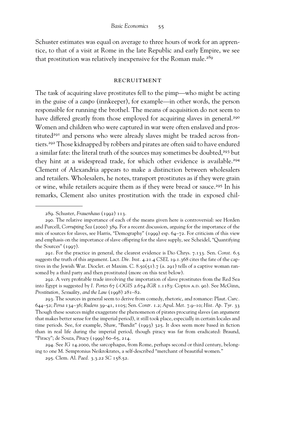Schuster estimates was equal on average to three hours of work for an apprentice, to that of a visit at Rome in the late Republic and early Empire, we see that prostitution was relatively inexpensive for the Roman male.<sup>289</sup>

#### **RECRUITMENT**

The task of acquiring slave prostitutes fell to the pimp—who might be acting in the guise of a *caupo* (innkeeper), for example—in other words, the person responsible for running the brothel. The means of acquisition do not seem to have differed greatly from those employed for acquiring slaves in general.<sup>290</sup> Women and children who were captured in war were often enslaved and prostituted<sup>291</sup> and persons who were already slaves might be traded across frontiers.<sup>292</sup> Those kidnapped by robbers and pirates are often said to have endured a similar fate: the literal truth of the sources may sometimes be doubted,<sup>293</sup> but they hint at a widespread trade, for which other evidence is available.<sup>294</sup> Clement of Alexandria appears to make a distinction between wholesalers and retailers. Wholesalers, he notes, transport prostitutes as if they were grain or wine, while retailers acquire them as if they were bread or sauce.<sup>295</sup> In his remarks, Clement also unites prostitution with the trade in exposed chil-

<sup>289.</sup> Schuster, *Frauenhaus* (1992) 113.

<sup>290.</sup> The relative importance of each of the means given here is controversial: see Horden and Purcell, *Corrupting Sea* (2000) 389. For a recent discussion, arguing for the importance of the mix of sources for slaves, see Harris, "Demography" (1999) esp. 64–72. For criticism of this view and emphasis on the importance of slave offspring for the slave supply, see Scheidel, "Quantifying the Sources" (1997).

<sup>291.</sup> For the practice in general, the clearest evidence is Dio Chrys. 7.133. Sen. *Const.* 6.5 suggests the truth of this argument. Lact. *Div. Inst.* 4.21.4 *CSEL* 19.1.368 cites the fate of the captives in the Jewish War. Dioclet. et Maxim. C. 8.50(51).7 (a. 291) tells of a captive woman ransomed by a third party and then prostituted (more on this text below).

<sup>292.</sup> A very profitable trade involving the importation of slave prostitutes from the Red Sea into Egypt is suggested by *I. Portes* 67 (-*OGIS* 2.674-*IGR* 1.1183: Coptos a.d. 90). See McGinn, *Prostitution, Sexuality, and the Law* (1998) 281–82.

<sup>293.</sup> The sources in general seem to derive from comedy, rhetoric, and romance: Plaut. *Curc.* 644–52; *Persa* 134–36; *Rudens* 39–41, 1105; Sen. *Contr.* 1.2; Apul. *Met.* 7.9–10; *Hist. Ap. Tyr.* 33 Though these sources might exaggerate the phenomenon of pirates procuring slaves (an argument that makes better sense for the imperial period), it still took place, especially in certain locales and time periods. See, for example, Shaw, "Bandit" (1993) 325. It does seem more based in fiction than in real life during the imperial period, though piracy was far from eradicated: Braund, "Piracy"; de Souza, *Piracy* (1999) 60–65, 214.

<sup>294.</sup> See *IG* 14.2000, the sarcophagus, from Rome, perhaps second or third century, belonging to one M. Sempronius Neikrokrates, a self-described "merchant of beautiful women."

<sup>295.</sup> Clem. Al. *Paed.* 3.3.22 *SC* 158.52.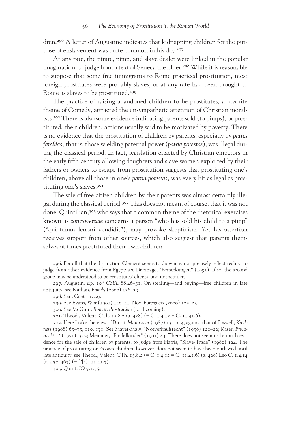dren.296 A letter of Augustine indicates that kidnapping children for the purpose of enslavement was quite common in his day.297

At any rate, the pirate, pimp, and slave dealer were linked in the popular imagination, to judge from a text of Seneca the Elder.<sup>298</sup> While it is reasonable to suppose that some free immigrants to Rome practiced prostitution, most foreign prostitutes were probably slaves, or at any rate had been brought to Rome as slaves to be prostituted.<sup>299</sup>

The practice of raising abandoned children to be prostitutes, a favorite theme of Comedy, attracted the unsympathetic attention of Christian moralists.300 There is also some evidence indicating parents sold (to pimps), or prostituted, their children, actions usually said to be motivated by poverty. There is no evidence that the prostitution of children by parents, especially by *patres familias,* that is, those wielding paternal power (*patria potestas*), was illegal during the classical period. In fact, legislation enacted by Christian emperors in the early fifth century allowing daughters and slave women exploited by their fathers or owners to escape from prostitution suggests that prostituting one's children, above all those in one's *patria potestas,* was every bit as legal as prostituting one's slaves.301

The sale of free citizen children by their parents was almost certainly illegal during the classical period.302 This does not mean, of course, that it was not done. Quintilian,<sup>303</sup> who says that a common theme of the rhetorical exercises known as *controversiae* concerns a person "who has sold his child to a pimp" ("qui filium lenoni vendidit"), may provoke skepticism. Yet his assertion receives support from other sources, which also suggest that parents themselves at times prostituted their own children.

<sup>296.</sup> For all that the distinction Clement seems to draw may not precisely reflect reality, to judge from other evidence from Egypt: see Drexhage, "Bemerkungen" (1991). If so, the second group may be understood to be prostitutes' clients, and not retailers.

<sup>297.</sup> Augustin. *Ep.* 10\* *CSEL* 88.46–51. On stealing—and buying—free children in late antiquity, see Nathan, *Family* (2000) 136–39.

<sup>298.</sup> Sen. *Contr.* 1.2.9.

<sup>299.</sup> See Evans, *War* (1991) 140–41; Noy, *Foreigners* (2000) 122–23.

<sup>300.</sup> See McGinn, *Roman Prostitution* (forthcoming).

<sup>301.</sup> Theod., Valent. CTh. 15.8.2 (a. 428) (= C. 1.4.12 = C. 11.41.6).

<sup>302.</sup> Here I take the view of Brunt, *Manpower* (1987) 131 n. 4, against that of Boswell, *Kindness* (1988) 65–75, 110, 171. See Mayer-Maly, "Notverkaufsrecht" (1958) 120–22; Kaser, *Privatrecht*  $1^2$  (1971): 342; Memmer, "Findelkinder" (1991) 43. There does not seem to be much evidence for the sale of children by parents, to judge from Harris, "Slave-Trade" (1980) 124. The practice of prostituting one's own children, however, does not seem to have been outlawed until late antiquity: see Theod., Valent. CTh. 15.8.2 (= C. 1.4.12 = C. 11.41.6) (a. 428) Leo C. 1.4.14  $(a. 457-467)$  (= [?] C. 11.41.7).

<sup>303.</sup> Quint. *IO* 7.1.55.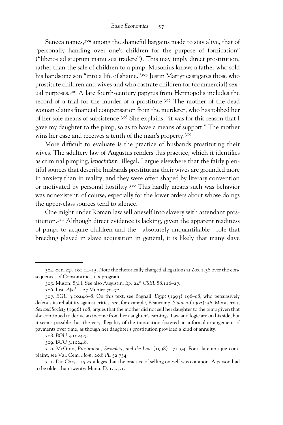Seneca names,<sup>304</sup> among the shameful bargains made to stay alive, that of "personally handing over one's children for the purpose of fornication" ("liberos ad stuprum manu sua tradere"). This may imply direct prostitution, rather than the sale of children to a pimp. Musonius knows a father who sold his handsome son "into a life of shame."<sup>305</sup> Justin Martyr castigates those who prostitute children and wives and who castrate children for (commercial) sexual purposes.<sup>306</sup> A late fourth-century papyrus from Hermopolis includes the record of a trial for the murder of a prostitute.<sup>307</sup> The mother of the dead woman claims financial compensation from the murderer, who has robbed her of her sole means of subsistence.308 She explains, "it was for this reason that I gave my daughter to the pimp, so as to have a means of support." The mother wins her case and receives a tenth of the man's property.<sup>309</sup>

More difficult to evaluate is the practice of husbands prostituting their wives. The adultery law of Augustus renders this practice, which it identifies as criminal pimping, *lenocinium,* illegal. I argue elsewhere that the fairly plentiful sources that describe husbands prostituting their wives are grounded more in anxiety than in reality, and they were often shaped by literary convention or motivated by personal hostility.310 This hardly means such was behavior was nonexistent, of course, especially for the lower orders about whose doings the upper-class sources tend to silence.

One might under Roman law sell oneself into slavery with attendant prostitution.311 Although direct evidence is lacking, given the apparent readiness of pimps to acquire children and the—absolutely unquantifiable—role that breeding played in slave acquisition in general, it is likely that many slave

<sup>304.</sup> Sen. *Ep.* 101.14–15. Note the rhetorically charged allegations at Zos. 2.38 over the consequences of Constantine's tax program.

<sup>305.</sup> Muson. 83H. See also Augustin. *Ep.* 24\* *CSEL* 88.126–27.

<sup>306.</sup> Iust. *Apol.* 1.27 Munier 70–72.

<sup>307.</sup> *BGU* 3.1024.6–8. On this text, see Bagnall, *Egypt* (1993) 196–98, who persuasively defends its reliability against critics; see, for example, Beaucamp, *Statut* 2 (1992): 56. Montserrat, *Sex and Society* (1996) 108, argues that the mother did not sell her daughter to the pimp given that she continued to derive an income from her daughter's earnings. Law and logic are on his side, but it seems possible that the very illegality of the transaction fostered an informal arrangement of payments over time, as though her daughter's prostitution provided a kind of annuity.

<sup>308.</sup> *BGU* 3.1024.7.

<sup>309.</sup> *BGU* 3.1024.8.

<sup>310.</sup> McGinn, *Prostitution, Sexuality, and the Law* (1998) 171–94. For a late-antique complaint, see Val. Cem. *Hom.* 20.8 *PL* 52.754.

<sup>311.</sup> Dio Chrys. 15.23 alleges that the practice of selling oneself was common. A person had to be older than twenty: Marci. D. 1.5.5.1.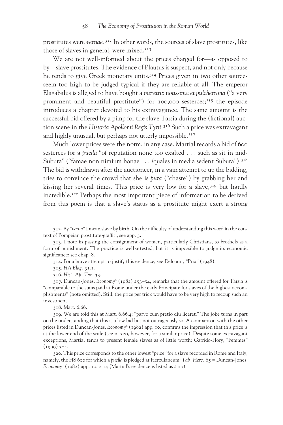prostitutes were *vernae.*<sup>312</sup> In other words, the sources of slave prostitutes, like those of slaves in general, were mixed.313

We are not well-informed about the prices charged for—as opposed to by—slave prostitutes. The evidence of Plautus is suspect, and not only because he tends to give Greek monetary units.314 Prices given in two other sources seem too high to be judged typical if they are reliable at all. The emperor Elagabalus is alleged to have bought a *meretrix notissima et pulcherrima* ("a very prominent and beautiful prostitute") for 100,000 sesterces;315 the episode introduces a chapter devoted to his extravagance. The same amount is the successful bid offered by a pimp for the slave Tarsia during the (fictional) auction scene in the *Historia Apollonii Regis Tyrii.*<sup>316</sup> Such a price was extravagant and highly unusual, but perhaps not utterly impossible.317

Much lower prices were the norm, in any case. Martial records a bid of 600 sesterces for a *puella* "of reputation none too exalted . . . such as sit in mid-Subura" ("famae non nimium bonae . . . /quales in media sedent Subura").318 The bid is withdrawn after the auctioneer, in a vain attempt to up the bidding, tries to convince the crowd that she is *pura* ("chaste") by grabbing her and kissing her several times. This price is very low for a slave,<sup>319</sup> but hardly incredible.320 Perhaps the most important piece of information to be derived from this poem is that a slave's status as a prostitute might exert a strong

318. Mart. 6.66.

319. We are told this at Mart. 6.66.4: "parvo cum pretio diu liceret." The joke turns in part on the understanding that this is a low bid but not outrageously so. A comparison with the other prices listed in Duncan-Jones, *Economy*<sup>2</sup> (1982) app. 10, confirms the impression that this price is at the lower end of the scale (see n. 320, however, for a similar price). Despite some extravagant exceptions, Martial tends to present female slaves as of little worth: Garrido-Hory, "Femmes"  $(1999)$  304.

320. This price corresponds to the other lowest "price" for a slave recorded in Rome and Italy, namely, the HS 600 for which a *puella* is pledged at Herculaneum: *Tab. Herc.* 65 = Duncan-Jones, *Economy*<sup>2</sup> (1982) app. 10,  $\#$  14 (Martial's evidence is listed as  $\#$  27).

<sup>312.</sup> By "verna" I mean slave by birth. On the difficulty of understanding this word in the context of Pompeian prostitute-graffiti, see app. 3.

<sup>313.</sup> I note in passing the consignment of women, particularly Christians, to brothels as a form of punishment. The practice is well-attested, but it is impossible to judge its economic significance: see chap. 8.

<sup>314.</sup> For a brave attempt to justify this evidence, see Delcourt, "Prix" (1948).

<sup>315.</sup> *HA Elag.* 31.1.

<sup>316.</sup> *Hist. Ap. Tyr.* 33.

<sup>317.</sup> Duncan-Jones, *Economy*<sup>2</sup> (1982) 253–54, remarks that the amount offered for Tarsia is "comparable to the sums paid at Rome under the early Principate for slaves of the highest accomplishments" (note omitted). Still, the price per trick would have to be very high to recoup such an investment.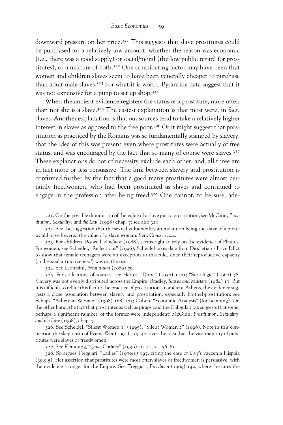downward pressure on her price.321 This suggests that slave prostitutes could be purchased for a relatively low amount, whether the reason was economic (i.e., there was a good supply) or social/moral (the low public regard for prostitutes), or a mixture of both.322 One contributing factor may have been that women and children slaves seem to have been generally cheaper to purchase than adult male slaves.323 For what it is worth, Byzantine data suggest that it was not expensive for a pimp to set up shop.<sup>324</sup>

When the ancient evidence registers the status of a prostitute, more often than not she is a slave.<sup>325</sup> The easiest explanation is that most were, in fact, slaves. Another explanation is that our sources tend to take a relatively higher interest in slaves as opposed to the free poor.<sup>326</sup> Or it might suggest that prostitution as practiced by the Romans was so fundamentally stamped by slavery, that the idea of this was present even where prostitutes were actually of free status, and was encouraged by the fact that so many of course were slaves.<sup>327</sup> These explanations do not of necessity exclude each other, and, all three are in fact more or less persuasive. The link between slavery and prostitution is confirmed further by the fact that a good many prostitutes were almost certainly freedwomen, who had been prostituted as slaves and continued to engage in the profession after being freed.<sup>328</sup> One cannot, to be sure, ade-

326. See Scheidel, "Silent Women 1" (1995); "Silent Women 2" (1996). Note in this connection the skepticism of Evans, *War* (1991) 139–40, over the idea that the vast majority of prostitutes were slaves or freedwomen.

328. So argues Treggiari, "Ladies" (1970/1) 197, citing the case of Livy's Faecenia Hispala (39.9.5). Her assertion that prostitutes were most often slaves or freedwomen is persuasive, with the evidence stronger for the Empire. See Treggiari, *Freedmen* (1969) 142, where she cites the

<sup>321.</sup> On the possible diminution of the value of a slave put to prostitution, see McGinn, *Prostitution, Sexuality, and the Law* (1998) chap. 7; see also 321.

<sup>322.</sup> See the suggestion that the sexual vulnerability attendant on being the slave of a pirate would have lowered the value of a slave woman: Sen. *Contr.* 1.2.4.

<sup>323.</sup> For children, Boswell, *Kindness* (1988), seems right to rely on the evidence of Plautus. For women, see Scheidel, "Reflections" (1996); Scheidel takes data from Diocletian's Price Edict to show that female teenagers were an exception to this rule, since their reproductive capacity (and sexual attractiveness?) was on the rise.

<sup>324.</sup> See Leontsini, *Prostitution* (1989) 79.

<sup>325.</sup> For collections of sources, see Herter, "Dirne" (1957) 1171; "Soziologie" (1960) 78. Slavery was not evenly distributed across the Empire: Bradley, *Slaves and Masters* (1984) 17. But it is difficult to relate this fact to the practice of prostitution. In ancient Athens, the evidence suggests a close association between slavery and prostitution, especially brothel-prostitution: see Schaps, "Athenian Woman" (1998) 168, 175; Cohen, "Economic Analysis" (forthcoming). On the other hand, the fact that prostitutes as well as pimps paid the Caligulan tax suggests that some, perhaps a significant number, of the former were independent: McGinn, *Prostitution*, *Sexuality*, *and the Law* (1998), chap. 7.

<sup>327.</sup> See Flemming, "*Quae Corpore*" (1999) 40–41, 51, 56–61.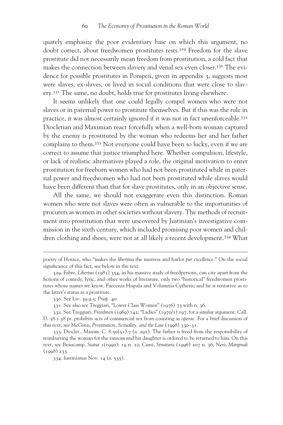quately emphasize the poor evidentiary base on which this argument, no doubt correct, about freedwomen prostitutes rests.329 Freedom for the slave prostitute did not necessarily mean freedom from prostitution, a cold fact that makes the connection between slavery and venal sex even closer.<sup>330</sup> The evidence for possible prostitutes in Pompeii, given in appendix 3, suggests most were slaves, ex-slaves, or lived in social conditions that were close to slavery.<sup>331</sup> The same, no doubt, holds true for prostitutes living elsewhere.

It seems unlikely that one could legally compel women who were not slaves or in paternal power to prostitute themselves. But if this was the rule in practice, it was almost certainly ignored if it was not in fact unenforceable.332 Diocletian and Maximian react forcefully when a well-born woman captured by the enemy is prostituted by the woman who redeems her and her father complains to them.333 Not everyone could have been so lucky, even if we are correct to assume that justice triumphed here. Whether compulsion, lifestyle, or lack of realistic alternatives played a role, the original motivation to enter prostitution for freeborn women who had not been prostituted while in paternal power and freedwomen who had not been prostituted while slaves would have been different than that for slave prostitutes, only in an objective sense.

All the same, we should not exaggerate even this distinction. Roman women who were not slaves were often as vulnerable to the importunities of procurers as women in other societies without slavery. The methods of recruitment into prostitution that were uncovered by Justinian's investigative commission in the sixth century, which included promising poor women and children clothing and shoes, were not at all likely a recent development.334 What

poetry of Horace, who "makes the *libertina* the mistress and harlot *par excellence.*" On the social significance of this fact, see below in the text.

<sup>329.</sup> Fabre, *Libertus* (1981) 354, in his massive study of freedpersons, can cite apart from the fictions of comedy, lyric, and other works of literature, only two "historical" freedwomen prostitutes whose names we know, Faecenia Hispala and Volumnia Cytheris; and he is tentative as to the latter's status as a prostitute.

<sup>330.</sup> See Liv. 39.9.5; *Priap.* 40.

<sup>331.</sup> See also see Treggiari, "Lower Class Women" (1976) 73 with n. 36.

<sup>332.</sup> See Treggiari, *Freedmen* (1969) 142; "Ladies" (1970/1) 197, for a similar argument. Call. D. 38.1.38 pr. prohibits acts of commercial sex from counting as *operae.* For a brief discussion of this text, see McGinn, *Prostitution, Sexuality, and the Law* (1998) 330–31.

<sup>333.</sup> Dioclet., Maxim. C. 8.50(51).7 (a. 291). The father is freed from the responsibility of reimbursing the woman for the ransom and his daughter is ordered to be returned to him. On this text, see Beaucamp, *Statut* 1(1990): 19 n. 22; Cursi, *Struttura* (1996) 207 n. 36; Neri, *Marginali* (1998) 233.

<sup>334.</sup> Iustinianus Nov. 14 (a. 535).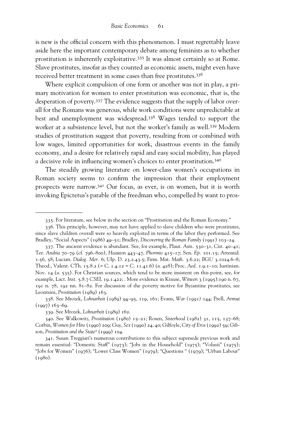is new is the official concern with this phenomenon. I must regrettably leave aside here the important contemporary debate among feminists as to whether prostitution is inherently exploitative.335 It was almost certainly so at Rome. Slave prostitutes, insofar as they counted as economic assets, might even have received better treatment in some cases than free prostitutes.<sup>336</sup>

Where explicit compulsion of one form or another was not in play, a primary motivation for women to enter prostitution was economic, that is, the desperation of poverty.337 The evidence suggests that the supply of labor overall for the Romans was generous, while work conditions were unpredictable at best and unemployment was widespread.338 Wages tended to support the worker at a subsistence level, but not the worker's family as well.339 Modern studies of prostitution suggest that poverty, resulting from or combined with low wages, limited opportunities for work, disastrous events in the family economy, and a desire for relatively rapid and easy social mobility, has played a decisive role in influencing women's choices to enter prostitution.<sup>340</sup>

The steadily growing literature on lower-class women's occupations in Roman society seems to confirm the impression that their employment prospects were narrow.341 Our focus, as ever, is on women, but it is worth invoking Epictetus's parable of the freedman who, compelled by want to pros-

<sup>335.</sup> For literature, see below in the section on "Prostitution and the Roman Economy."

<sup>336.</sup> This principle, however, may not have applied to slave children who were prostitutes, since slave children overall were so heavily exploited in terms of the labor they performed. See Bradley, "Social Aspects" (1986) 49–51; Bradley, *Discovering the Roman Family* (1991) 103–24.

<sup>337.</sup> The ancient evidence is abundant. See, for example, Plaut. *Asin.* 530–31, *Cist.* 40–41; Ter. *Andria* 70–79 (cf. 796–800), *Heauton* 443–47, *Phormio* 415–17; Sen. *Ep.* 101.15; Artemid. 1.56, 58; Lucian. *Dialog. Mer.* 6; Ulp. D. 23.2.43.5; Firm. Mat. *Math.* 3.6.22; *BGU* 3.1024.6–8; Theod., Valent. CTh. 15.8.2 (= C. 1.4.12 = C. 11.41.6) (a. 428); Proc. *Aed.* 1.9.1–10; Iustinian. Nov. 14 (a. 535). For Christian sources, which tend to be more insistent on this point, see, for example, Lact. *Inst.* 5.8.7 *CSEL* 19.1.422; . More evidence in Krause, *Witwen* 3 (1995):190 n. 67, 191 n. 78, 192 nn. 81–82. For discussion of the poverty motive for Byzantine prostitutes, see Leontsini, *Prostitution* (1989) 163.

<sup>338.</sup> See Mrozek, *Lohnarbeit* (1989) 94–95, 119, 161; Evans, *War (1991)* 144; Prell, *Armut*  $(1997) 163 - 69.$ 

<sup>339.</sup> See Mrozek, *Lohnarbeit* (1989) 162.

<sup>340.</sup> See Walkowitz, *Prostitution* (1980) 15–21; Rosen, *Sisterhood* (1982) 31, 115, 137–68; Corbin, *Women for Hire* (1990) 209; Guy, *Sex* (1990) 24, 40; Gilfoyle, *City of Eros* (1992) 59; Gibson, *Prostitution and the State*<sup>2</sup> (1999) 104.

<sup>341.</sup> Susan Treggiari's numerous contributions to this subject supersede previous work and remain essential: "Domestic Staff" (1973); "Jobs in the Household" (1975); "Volusii" (1975); "Jobs for Women" (1976); "Lower Class Women" (1979); "Questions " (1979); "Urban Labour"  $(1980)$ .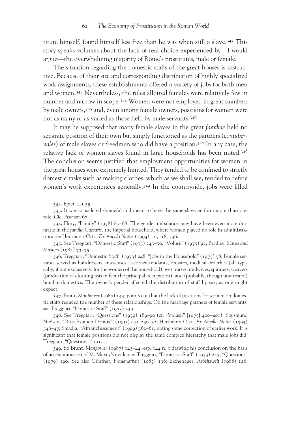titute himself, found himself less free than he was when still a slave.342 This story speaks volumes about the lack of real choice experienced by—I would argue—the overwhelming majority of Rome's prostitutes, male or female.

The situation regarding the domestic staffs of the great houses is instructive. Because of their size and corresponding distribution of highly specialized work assignments, these establishments offered a variety of jobs for both men and women.343 Nevertheless, the roles allotted females were relatively few in number and narrow in scope.344 Women were not employed in great numbers by male owners,345 and, even among female owners, positions for women were not as many or as varied as those held by male servants.346

It may be supposed that many female slaves in the great *familiae* held no separate position of their own but simply functioned as the partners (*contubernales*) of male slaves or freedmen who did have a position.347 In any case, the relative lack of women slaves found in large households has been noted.348 The conclusion seems justified that employment opportunities for women in the great houses were extremely limited. They tended to be confined to strictly domestic tasks such as making clothes, which as we shall see, tended to define women's work experiences generally.<sup>349</sup> In the countryside, jobs were filled

345. See Treggiari, "Domestic Staff" (1973) 243–50, "Volusii" (1975) 92; Bradley, *Slaves and Masters* (1984) 73–75.

 $346.$  Treggiari, "Domestic Staff" ( $1973$ )  $248$ , "Jobs in the Household" ( $1975$ )  $58.$  Female servants served as hairdressers, masseuses, escorts/attendants, dressers, medical orderlies (all typically, if not exclusively, for the women of the household), wet nurses, midwives, spinners, weavers (production of clothing was in fact the principal occupation), and (probably, though unattested) humble domestics. The owner's gender affected the distribution of staff by sex, as one might expect.

347. Brunt, *Manpower* (1987) 144, points out that the lack of positions for women on domestic staffs reduced the number of these relationships. On the marriage partners of female servants, see Treggiari, "Domestic Staff" (1973) 249.

348. See Treggiari, "Questions" (1979) 189–90 (cf. "Volusii" [1975] 400–401); Sigismund Nielsen, "Ditis Examen Domus?" (1991) esp. 230–32; Herrmann-Otto, *Ex Ancilla Natus* (1994) 346–47; Smadja, "Affranchissement" (1999) 360–61, noting some correction of earlier work. It is significant that female positions did not display the same complex hierarchy that male jobs did: Treggiari, "Questions," 191.

349. So Brunt, *Manpower* (1987) 143–44, esp. 144 n. 1 drawing his conclusion on the basis of an examination of M. Maxey's evidence; Treggiari, "Domestic Staff" (1973) 245, "Questions" (1979) 190. See also Günther, *Frauenarbeit* (1987) 136; Eichenauer, *Arbeitswelt* (1988) 126;

<sup>342.</sup> Epict. 4.1.35.

<sup>343.</sup> It was considered shameful and mean to have the same slave perform more than one role: Cic. *Pisonem* 67.

<sup>344.</sup> Flory, "Family" (1978) 87–88. The gender imbalance may have been even more dramatic in the *familia Caesaris,* the imperial household, where women played no role in administration: see Herrmann-Otto, *Ex Ancilla Natus* (1994) 117–18, 346.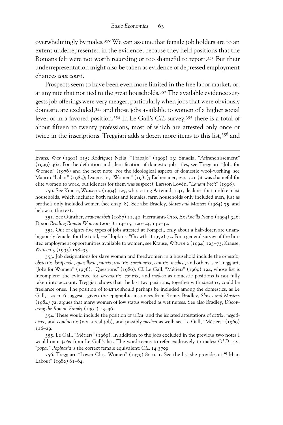overwhelmingly by males.350 We can assume that female job holders are to an extent underrepresented in the evidence, because they held positions that the Romans felt were not worth recording or too shameful to report.<sup>351</sup> But their underrepresentation might also be taken as evidence of depressed employment chances *tout court.*

Prospects seem to have been even more limited in the free labor market, or, at any rate that not tied to the great households.<sup>352</sup> The available evidence suggests job offerings were very meager, particularly when jobs that were obviously domestic are excluded,353 and those jobs available to women of a higher social level or in a favored position.354 In Le Gall's *CIL* survey,355 there is a total of about fifteen to twenty professions, most of which are attested only once or twice in the inscriptions. Treggiari adds a dozen more items to this list,<sup>356</sup> and

Evans, *War* (1991) 115; Rodríguez Neila, "Trabajo" (1999) 13; Smadja, "Affranchissement" (1999) 362. For the definition and identification of domestic job titles, see Treggiari, "Jobs for Women" (1976) and the next note. For the ideological aspects of domestic wool-working, see Maurin "Labor" (1983); Lyapustin, "Women" (1985); Eichenauer, esp. 301 (it was shameful for elite women to work, but idleness for them was suspect); Larsson Lovén, "*Lanam Fecit*" (1998).

<sup>350.</sup> See Krause, *Witwen* 2 (1994) 127, who, citing Artemid. 1.31, declares that, unlike most households, which included both males and females, farm households only included men, just as brothels only included women (see chap. 8). See also Bradley, *Slaves and Masters* (1984) 75, and below in the text.

<sup>351.</sup> See Günther, *Frauenarbeit* (1987) 21, 42; Herrmann-Otto, *Ex Ancilla Natus* (1994) 346; Dixon *Reading Roman Women* (2001) 114–15, 120–24, 130–32.

<sup>352.</sup> Out of eighty-five types of jobs attested at Pompeii, only about a half-dozen are unambiguously female: for the total, see Hopkins, "Growth" (1972) 72. For a general survey of the limited employment opportunities available to women, see Krause, *Witwen* 2 (1994) 123–73; Krause, *Witwen* 3 (1995) 178–93.

<sup>353.</sup> Job designations for slave women and freedwomen in a household include the *ornatrix, obstetrix, lanipenda, quasillaria, nutrix, unctrix, sarcinatrix, cantrix, medica,* and others: see Treggiari, "Jobs for Women" (1976), "Questions" (1980). Cf. Le Gall, "Métiers" (1969) 124, whose list is incomplete; the evidence for *sarcinatrix, cantrix,* and *medica* as domestic positions is not fully taken into account. Treggiari shows that the last two positions, together with *obstetrix,* could be freelance ones. The position of *tonstrix* should perhaps be included among the domestics, as Le Gall, 125 n. 6 suggests, given the epigraphic instances from Rome. Bradley, *Slaves and Masters* (1984) 72, argues that many women of low status worked as wet nurses. See also Bradley, *Discovering the Roman Family* (1991) 13–36.

<sup>354.</sup> These would include the position of *vilica,* and the isolated attestations of *actrix, negotiatrix,* and *conductrix* (not a real job), and possibly *medica* as well: see Le Gall, "Métiers" (1969) 126–29.

<sup>355.</sup> Le Gall, "Métiers" (1969). In addition to the jobs excluded in the previous two notes I would omit *popa* from Le Gall's list. The word seems to refer exclusively to males: *OLD,* s.v. "*popa." Popinaria* is the correct female equivalent: *CIL* 14.3709.

<sup>356.</sup> Treggiari, "Lower Class Women" (1979) 80 n. 1. See the list she provides at "Urban Labour" (1980) 61–64.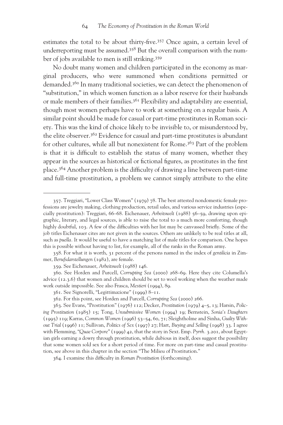estimates the total to be about thirty-five.<sup>357</sup> Once again, a certain level of underreporting must be assumed.<sup>358</sup> But the overall comparison with the number of jobs available to men is still striking.359

No doubt many women and children participated in the economy as marginal producers, who were summoned when conditions permitted or demanded.<sup>360</sup> In many traditional societies, we can detect the phenomenon of "substitution," in which women function as a labor reserve for their husbands or male members of their families.361 Flexibility and adaptability are essential, though most women perhaps have to work at something on a regular basis. A similar point should be made for casual or part-time prostitutes in Roman society. This was the kind of choice likely to be invisible to, or misunderstood by, the elite observer.<sup>362</sup> Evidence for casual and part-time prostitutes is abundant for other cultures, while all but nonexistent for Rome.<sup>363</sup> Part of the problem is that it is difficult to establish the status of many women, whether they appear in the sources as historical or fictional figures, as prostitutes in the first place.<sup>364</sup> Another problem is the difficulty of drawing a line between part-time and full-time prostitution, a problem we cannot simply attribute to the elite

364. I examine this difficulty in *Roman Prostitution* (forthcoming).

<sup>357.</sup> Treggiari, "Lower Class Women" (1979) 78. The best attested nondomestic female professions are jewelry making, clothing production, retail sales, and various service industries (especially prostitution): Treggiari, 66–68. Eichenauer, *Arbeitswelt* (1988) 56–59, drawing upon epigraphic, literary, and legal sources, is able to raise the total to a much more comforting, though highly doubtful, 103. A few of the difficulties with her list may be canvassed briefly. Some of the job titles Eichenauer cites are not given in the sources. Others are unlikely to be real titles at all, such as *puella.* It would be useful to have a matching list of male titles for comparison. One hopes this is possible without having to list, for example, all of the ranks in the Roman army.

<sup>358.</sup> For what it is worth, 31 percent of the persons named in the index of *gentilicia* in Zimmer, *Berufsdarstellungen* (1982), are female.

<sup>359.</sup> See Eichenauer, *Arbeitswelt* (1988) 146.

<sup>360.</sup> See Horden and Purcell, *Corrupting Sea* (2000) 268–69. Here they cite Columella's advice (12.3.6) that women and children should be set to wool working when the weather made work outside impossible. See also Frasca, *Mestieri* (1994), 89.

<sup>361.</sup> See Signorelli, "Legittimazione" (1999) 8–11.

<sup>362.</sup> For this point, see Horden and Purcell, *Corrupting Sea* (2000) 266.

<sup>363.</sup> See Evans, "Prostitution" (1976) 112; Decker, *Prostitution* (1979) 4–5, 13; Harsin, *Policing Prostitution* (1985) 15; Tong, *Unsubmissive Women* (1994) 19; Bernstein, *Sonia's Daughters* (1995) 119; Karras, *Common Women* (1996) 53–54, 60, 71; Sleightholme and Sinha, *Guilty Without Trial* (1996) 11; Sullivan, *Politics of Sex* (1997) 27; Hart, *Buying and Selling* (1998) 33. I agree with Flemming, "*Quae Corpore*" (1999) 42, that the story in Sext. Emp. *Pyrrh.* 3.201, about Egyptian girls earning a dowry through prostitution, while dubious in itself, does suggest the possibility that some women sold sex for a short period of time. For more on part-time and casual prostitution, see above in this chapter in the section "The Milieu of Prostitution."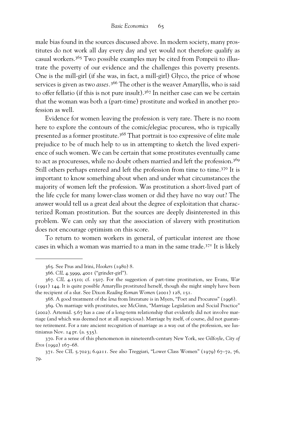male bias found in the sources discussed above. In modern society, many prostitutes do not work all day every day and yet would not therefore qualify as casual workers.365 Two possible examples may be cited from Pompeii to illustrate the poverty of our evidence and the challenges this poverty presents. One is the mill-girl (if she was, in fact, a mill-girl) Glyco, the price of whose services is given as two *asses.*<sup>366</sup> The other is the weaver Amaryllis, who is said to offer fellatio (if this is not pure insult).<sup>367</sup> In neither case can we be certain that the woman was both a (part-time) prostitute and worked in another profession as well.

Evidence for women leaving the profession is very rare. There is no room here to explore the contours of the comic/elegiac procuress, who is typically presented as a former prostitute.<sup>368</sup> That portrait is too expressive of elite male prejudice to be of much help to us in attempting to sketch the lived experience of such women. We can be certain that some prostitutes eventually came to act as procuresses, while no doubt others married and left the profession.<sup>369</sup> Still others perhaps entered and left the profession from time to time.<sup>370</sup> It is important to know something about when and under what circumstances the majority of women left the profession. Was prostitution a short-lived part of the life cycle for many lower-class women or did they have no way out? The answer would tell us a great deal about the degree of exploitation that characterized Roman prostitution. But the sources are deeply disinterested in this problem. We can only say that the association of slavery with prostitution does not encourage optimism on this score.

To return to women workers in general, of particular interest are those cases in which a woman was married to a man in the same trade.371 It is likely

<sup>365.</sup> See Prus and Irini, *Hookers* (1980) 8.

<sup>366.</sup> *CIL* 4.3999, 4001 ("grinder-girl").

<sup>367.</sup> *CIL* 4.1510; cf. 1507. For the suggestion of part-time prostitution, see Evans, *War* (1991) 144. It is quite possible Amaryllis prostituted herself, though she might simply have been the recipient of a slur. See Dixon *Reading Roman Women* (2001) 128, 151.

<sup>368.</sup> A good treatment of the *lena* from literature is in Myers, "Poet and Procuress" (1996).

<sup>369.</sup> On marriage with prostitutes, see McGinn, "Marriage Legislation and Social Practice" (2002). Artemid. 5.67 has a case of a long-term relationship that evidently did not involve marriage (and which was deemed not at all auspicious). Marriage by itself, of course, did not guarantee retirement. For a rare ancient recognition of marriage as a way out of the profession, see Iustinianus Nov. 14 pr. (a. 535).

<sup>370.</sup> For a sense of this phenomenon in nineteenth-century New York, see Gilfoyle, *City of Eros* (1992) 167–68.

<sup>371.</sup> See *CIL* 5.7023; 6.9211. See also Treggiari, "Lower Class Women" (1979) 67–72, 76, 79.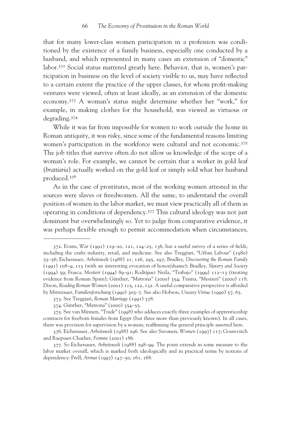that for many lower-class women participation in a profession was conditioned by the existence of a family business, especially one conducted by a husband, and which represented in many cases an extension of "domestic" labor.372 Social status mattered greatly here. Behavior, that is, women's participation in business on the level of society visible to us, may have reflected to a certain extent the practice of the upper classes, for whom profit-making ventures were viewed, often at least ideally, as an extension of the domestic economy.373 A woman's status might determine whether her "work," for example, in making clothes for the household, was viewed as virtuous or degrading.374

While it was far from impossible for women to work outside the home in Roman antiquity, it was risky, since some of the fundamental reasons limiting women's participation in the workforce were cultural and not economic.<sup>375</sup> The job titles that survive often do not allow us knowledge of the scope of a woman's role. For example, we cannot be certain that a worker in gold leaf (*brattiaria*) actually worked on the gold leaf or simply sold what her husband produced.376

As in the case of prostitutes, most of the working women attested in the sources were slaves or freedwomen. All the same, to understand the overall position of women in the labor market, we must view practically all of them as operating in conditions of dependency.377 This cultural ideology was not just dominant but overwhelmingly so. Yet to judge from comparative evidence, it was perhaps flexible enough to permit accommodation when circumstances,

 $372.$  Evans, *War*  $(1991)$   $119-20$ ,  $121$ ,  $124-25$ ,  $136$ , has a useful survey of a series of fields, including the crafts industry, retail, and medicine. See also Treggiari, "Urban Labour" (1980) 55–56; Eichenauer, *Arbeitswelt* (1988) 21, 126, 295, 297; Bradley, *Discovering the Roman Family* (1991) 108–9, 115 (with an interesting evocation of honor/shame); Bradley, *Slavery and Society* (1994) 59; Frasca, *Mestieri* (1994) 89–91; Rodríguez Neila, "Trabajo" (1999) 112–13 (treating evidence from Roman Spain); Günther, "Matrona" (2000) 354; Traina, "Mestieri" (2000) 118; Dixon, *Reading Roman Women* (2001) 115, 122, 132. A useful comparative perspective is afforded by Mitterauer, *Familienforschung* (1990) 305–7. See also Hobson, *Uneasy Virtue* (1990) 57, 65.

<sup>373.</sup> See Treggiari, *Roman Marriage* (1991) 378.

<sup>374.</sup> Günther, "Matrona" (2000) 354–55.

<sup>375.</sup> See van Minnen, "Trade" (1998) who adduces exactly three examples of apprenticeship contracts for freeborn females from Egypt (but three more than previously known). In all cases, there was provision for supervision by a woman, reaffirming the general principle asserted here.

<sup>376.</sup> Eichenauer, *Arbeitswelt* (1988) 296. See also Savunen, *Women* (1997) 117; Gourevitch and Raepsaet-Charlier, *Femme* (2001) 186.

<sup>377.</sup> So Eichenauer, *Arbeitswelt* (1988) 298–99. The point extends in some measure to the labor market overall, which is marked both ideologically and in practical terms by notions of dependency: Prell, *Armut* (1997) 147–50, 161, 168.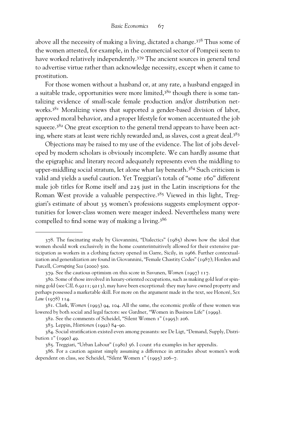above all the necessity of making a living, dictated a change.<sup>378</sup> Thus some of the women attested, for example, in the commercial sector of Pompeii seem to have worked relatively independently.<sup>379</sup> The ancient sources in general tend to advertise virtue rather than acknowledge necessity, except when it came to prostitution.

For those women without a husband or, at any rate, a husband engaged in a suitable trade, opportunities were more limited,<sup>380</sup> though there is some tantalizing evidence of small-scale female production and/or distribution networks.<sup>381</sup> Moralizing views that supported a gender-based division of labor, approved moral behavior, and a proper lifestyle for women accentuated the job squeeze. $382$  One great exception to the general trend appears to have been acting, where stars at least were richly rewarded and, as slaves, cost a great deal.383

Objections may be raised to my use of the evidence. The list of jobs developed by modern scholars is obviously incomplete. We can hardly assume that the epigraphic and literary record adequately represents even the middling to upper-middling social stratum, let alone what lay beneath.384 Such criticism is valid and yields a useful caution. Yet Treggiari's totals of "some 160" different male job titles for Rome itself and 225 just in the Latin inscriptions for the Roman West provide a valuable perspective.<sup>385</sup> Viewed in this light, Treggiari's estimate of about 35 women's professions suggests employment opportunities for lower-class women were meager indeed. Nevertheless many were compelled to find some way of making a living. $3^{86}$ 

<sup>378.</sup> The fascinating study by Giovannini, "Dialectics" (1985) shows how the ideal that women should work exclusively in the home counterintuitively allowed for their extensive participation as workers in a clothing factory opened in Garre, Sicily, in 1966. Further contextualization and generalization are found in Giovannini, "Female Chastity Codes" (1987); Horden and Purcell, *Corrupting Sea* (2000) 500.

<sup>379.</sup> See the cautious optimism on this score in Savunen, *Women* (1997) 117.

<sup>380.</sup> Some of those involved in luxury-oriented occupations, such as making gold leaf or spinning gold (see *CIL* 6.9211; 9213), may have been exceptional: they may have owned property and perhaps possessed a marketable skill. For more on the argument made in the text, see Honoré, *Sex Law* (1978) 114.

<sup>381.</sup> Clark, *Women* (1993) 94, 104. All the same, the economic profile of these women was lowered by both social and legal factors: see Gardner, "Women in Business Life" (1999).

<sup>382.</sup> See the comments of Scheidel, "Silent Women 1" (1995): 206.

<sup>383.</sup> Leppin, *Histrionen* (1992) 84–90.

<sup>384.</sup> Social stratification existed even among peasants: see De Ligt, "Demand, Supply, Distribution 1" (1990) 49.

<sup>385.</sup> Treggiari, "Urban Labour" (1980) 56. I count 162 examples in her appendix.

<sup>386.</sup> For a caution against simply assuming a difference in attitudes about women's work dependent on class, see Scheidel, "Silent Women 1" (1995) 206–7.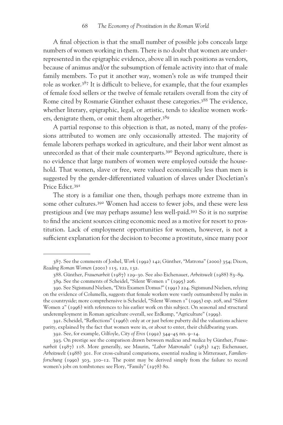A final objection is that the small number of possible jobs conceals large numbers of women working in them. There is no doubt that women are underrepresented in the epigraphic evidence, above all in such positions as vendors, because of animus and/or the subsumption of female activity into that of male family members. To put it another way, women's role as wife trumped their role as worker.<sup>387</sup> It is difficult to believe, for example, that the four examples of female food sellers or the twelve of female retailers overall from the city of Rome cited by Rosmarie Günther exhaust these categories.388 The evidence, whether literary, epigraphic, legal, or artistic, tends to idealize women workers, denigrate them, or omit them altogether.<sup>389</sup>

A partial response to this objection is that, as noted, many of the professions attributed to women are only occasionally attested. The majority of female laborers perhaps worked in agriculture, and their labor went almost as unrecorded as that of their male counterparts.<sup>390</sup> Beyond agriculture, there is no evidence that large numbers of women were employed outside the household. That women, slave or free, were valued economically less than men is suggested by the gender-differentiated valuation of slaves under Diocletian's Price Edict.391

The story is a familiar one then, though perhaps more extreme than in some other cultures.<sup>392</sup> Women had access to fewer jobs, and these were less prestigious and (we may perhaps assume) less well-paid.393 So it is no surprise to find the ancient sources citing economic need as a motive for resort to prostitution. Lack of employment opportunities for women, however, is not a sufficient explanation for the decision to become a prostitute, since many poor

<sup>387.</sup> See the comments of Joshel, *Work* (1992) 142; Günther, "Matrona" (2000) 354; Dixon, *Reading Roman Women* (2001) 115, 122, 132.

<sup>388.</sup> Günther, *Frauenarbeit* (1987) 129–30. See also Eichenauer, *Arbeitswelt* (1988) 83–89.

<sup>389.</sup> See the comments of Scheidel, "Silent Women 1" (1995) 206.

<sup>390.</sup> See Sigismund Nielsen, "Ditis Examen Domus?" (1991) 224. Sigismund Nielsen, relying on the evidence of Columella, suggests that female workers were vastly outnumbered by males in the countryside; more comprehensive is Scheidel, "Silent Women 1" (1995) esp. 208, and "Silent Women 2" (1996) with references to his earlier work on this subject. On seasonal and structural underemployment in Roman agriculture overall, see Erdkamp, "Agriculture" (1999).

<sup>391.</sup> Scheidel, "Reflections" (1996): only at or just before puberty did the valuations achieve parity, explained by the fact that women were in, or about to enter, their childbearing years.

<sup>392.</sup> See, for example, Gilfoyle, *City of Eros* (1992) 344–45 nn. 9–14.

<sup>393.</sup> On prestige see the comparison drawn between *medicus* and *medica* by Günther, *Frauenarbeit* (1987) 118. More generally, see Maurin, "*Labor Matronalis*" (1983) 147; Eichenauer, *Arbeitswelt* (1988) 301. For cross-cultural comparisons, essential reading is Mitterauer, *Familienforschung* (1990) 303, 310–12. The point may be derived simply from the failure to record women's jobs on tombstones: see Flory, "Family" (1978) 80.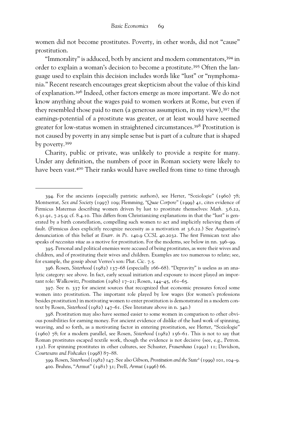women did not become prostitutes. Poverty, in other words, did not "cause" prostitution.

"Immorality" is adduced, both by ancient and modern commentators,394 in order to explain a woman's decision to become a prostitute.395 Often the language used to explain this decision includes words like "lust" or "nymphomania." Recent research encourages great skepticism about the value of this kind of explanation.396 Indeed, other factors emerge as more important. We do not know anything about the wages paid to women workers at Rome, but even if they resembled those paid to men (a generous assumption, in my view),397 the earnings-potential of a prostitute was greater, or at least would have seemed greater for low-status women in straightened circumstances.398 Prostitution is not caused by poverty in any simple sense but is part of a culture that is shaped by poverty.399

Charity, public or private, was unlikely to provide a respite for many. Under any definition, the numbers of poor in Roman society were likely to have been vast.<sup>400</sup> Their ranks would have swelled from time to time through

396. Rosen, *Sisterhood* (1982) 137–68 (especially 166–68). "Depravity" is useless as an analytic category: see above. In fact, early sexual initiation and exposure to incest played an important role: Walkowitz, *Prostitution* (1980) 17–21; Rosen, 144–45, 161–65.

398. Prostitution may also have seemed easier to some women in comparison to other obvious possibilities for earning money. For ancient evidence of dislike of the hard work of spinning, weaving, and so forth, as a motivating factor in entering prostitution, see Herter, "Soziologie" (1960) 78; for a modern parallel, see Rosen, *Sisterhood* (1982) 156–61. This is not to say that Roman prostitutes escaped textile work, though the evidence is not decisive (see, e.g., Petron. 132). For spinning prostitutes in other cultures, see Schuster, *Frauenhaus* (1992) 11; Davidson, *Courtesans and Fishcakes* (1998) 87–88.

399. Rosen, *Sisterhood* (1982) 147. See also Gibson, *Prostitution and the State*<sup>2</sup> (1999) 101, 104–9. 400. Bruhns, "Armut" (1981) 31; Prell, *Armut* (1996) 66.

<sup>394.</sup> For the ancients (especially patristic authors), see Herter, "Soziologie" (1960) 78; Montserrat, *Sex and Society* (1997) 109; Flemming, "*Quae Corpore*" (1999) 41, cites evidence of Firmicus Maternus describing women driven by lust to prostitute themselves: *Math.* 3.6.22, 6.31.91, 7.25.9; cf. 8.4.10. This differs from Christianizing explanations in that the "lust" is generated by a birth constellation, compelling such women to act and implicitly relieving them of fault. (Firmicus does explicitly recognize necessity as a motivation at 3.6.22.) See Augustine's denunciation of this belief at *Enarr. in Ps.* 140.9 *CCSL* 40.2032. The first Firmican text also speaks of *necessitas vitae* as a motive for prostitution. For the moderns, see below in nn. 396–99.

<sup>395.</sup> Personal and political enemies were accused of being prostitutes, as were their wives and children, and of prostituting their wives and children. Examples are too numerous to relate; see, for example, the gossip about Verres's son: Plut. *Cic.* 7.5.

<sup>397.</sup> See n. 337 for ancient sources that recognized that economic pressures forced some women into prostitution. The important role played by low wages (for women's professions besides prostitution) in motivating women to enter prostitution is demonstrated in a modern context by Rosen, *Sisterhood* (1982) 147–61. (See literature above in n. 340.)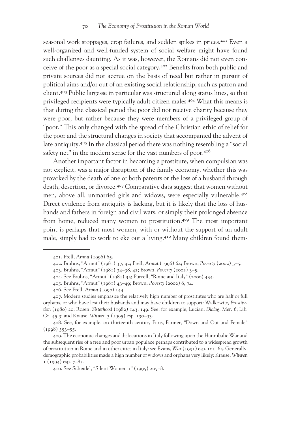seasonal work stoppages, crop failures, and sudden spikes in prices.401 Even a well-organized and well-funded system of social welfare might have found such challenges daunting. As it was, however, the Romans did not even conceive of the poor as a special social category.<sup>402</sup> Benefits from both public and private sources did not accrue on the basis of need but rather in pursuit of political aims and/or out of an existing social relationship, such as patron and client.403 Public largesse in particular was structured along status lines, so that privileged recipients were typically adult citizen males.404 What this means is that during the classical period the poor did not receive charity because they were poor, but rather because they were members of a privileged group of "poor." This only changed with the spread of the Christian ethic of relief for the poor and the structural changes in society that accompanied the advent of late antiquity.405 In the classical period there was nothing resembling a "social safety net" in the modern sense for the vast numbers of poor.<sup>406</sup>

Another important factor in becoming a prostitute, when compulsion was not explicit, was a major disruption of the family economy, whether this was provoked by the death of one or both parents or the loss of a husband through death, desertion, or divorce.<sup>407</sup> Comparative data suggest that women without men, above all, unmarried girls and widows, were especially vulnerable.<sup>408</sup> Direct evidence from antiquity is lacking, but it is likely that the loss of husbands and fathers in foreign and civil wars, or simply their prolonged absence from home, reduced many women to prostitution.<sup>409</sup> The most important point is perhaps that most women, with or without the support of an adult male, simply had to work to eke out a living.<sup>410</sup> Many children found them-

<sup>401.</sup> Prell, *Armut* (1996) 65.

<sup>402.</sup> Bruhns, "Armut" (1981) 37, 42; Prell, *Armut* (1996) 64; Brown, *Poverty* (2002) 3–5.

<sup>403.</sup> Bruhns, "Armut" (1981) 34–38, 42; Brown, *Poverty* (2002) 3–5.

<sup>404.</sup> See Bruhns, "Armut" (1981) 35; Purcell, "Rome and Italy" (2000) 434.

<sup>405.</sup> Bruhns, "Armut" (1981) 43–49; Brown, *Poverty* (2002) 6, 74.

<sup>406.</sup> See Prell, *Armut* (1997) 144.

<sup>407.</sup> Modern studies emphasize the relatively high number of prostitutes who are half or full orphans, or who have lost their husbands and may have children to support: Walkowitz, *Prostitution* (1980) 20; Rosen, *Sisterhood* (1982) 143, 149. See, for example, Lucian. *Dialog. Mer.* 6; Lib. *Or.* 45.9; and Krause, *Witwen* 3 (1995) esp. 190–93.

<sup>408.</sup> See, for example, on thirteenth-century Paris, Farmer, "Down and Out and Female" (1998) 353–55.

<sup>409.</sup> The economic changes and dislocations in Italy following upon the Hannibalic War and the subsequent rise of a free and poor urban populace perhaps contributed to a widespread growth of prostitution in Rome and in other cities in Italy: see Evans, *War* (1991) esp. 101–65. Generally, demographic probabilities made a high number of widows and orphans very likely: Krause, *Witwen*  $1 (1994)$  esp.  $7-85$ .

<sup>410.</sup> See Scheidel, "Silent Women 1" (1995) 207–8.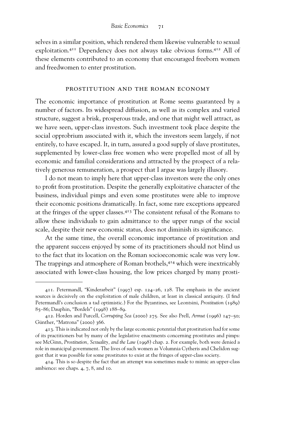selves in a similar position, which rendered them likewise vulnerable to sexual exploitation.411 Dependency does not always take obvious forms.412 All of these elements contributed to an economy that encouraged freeborn women and freedwomen to enter prostitution.

#### prostitution and the roman economy

The economic importance of prostitution at Rome seems guaranteed by a number of factors. Its widespread diffusion, as well as its complex and varied structure, suggest a brisk, prosperous trade, and one that might well attract, as we have seen, upper-class investors. Such investment took place despite the social opprobrium associated with it, which the investors seem largely, if not entirely, to have escaped. It, in turn, assured a good supply of slave prostitutes, supplemented by lower-class free women who were propelled most of all by economic and familial considerations and attracted by the prospect of a relatively generous remuneration, a prospect that I argue was largely illusory.

I do not mean to imply here that upper-class investors were the only ones to profit from prostitution. Despite the generally exploitative character of the business, individual pimps and even some prostitutes were able to improve their economic positions dramatically. In fact, some rare exceptions appeared at the fringes of the upper classes.413 The consistent refusal of the Romans to allow these individuals to gain admittance to the upper rungs of the social scale, despite their new economic status, does not diminish its significance.

At the same time, the overall economic importance of prostitution and the apparent success enjoyed by some of its practitioners should not blind us to the fact that its location on the Roman socioeconomic scale was very low. The trappings and atmosphere of Roman brothels,<sup>414</sup> which were inextricably associated with lower-class housing, the low prices charged by many prosti-

<sup>411.</sup> Petermandl, "Kinderarbeit" (1997) esp. 124–26, 128. The emphasis in the ancient sources is decisively on the exploitation of male children, at least in classical antiquity. (I find Petermandl's conclusion a tad optimistic.) For the Byzantines, see Leontsini, *Prostitution* (1989) 85–86; Dauphin, "Bordels" (1998) 188–89.

<sup>412.</sup> Horden and Purcell, *Corrupting Sea* (2000) 275. See also Prell, *Armut* (1996) 147–50; Günther, "Matrona" (2000) 366.

<sup>413.</sup> This is indicated not only by the large economic potential that prostitution had for some of its practitioners but by many of the legislative enactments concerning prostitutes and pimps: see McGinn, *Prostitution, Sexuality, and the Law* (1998) chap. 2. For example, both were denied a role in municipal government. The lives of such women as Volumnia Cytheris and Chelidon suggest that it was possible for some prostitutes to exist at the fringes of upper-class society.

<sup>414.</sup> This is so despite the fact that an attempt was sometimes made to mimic an upper-class ambience: see chaps. 4, 7, 8, and 10.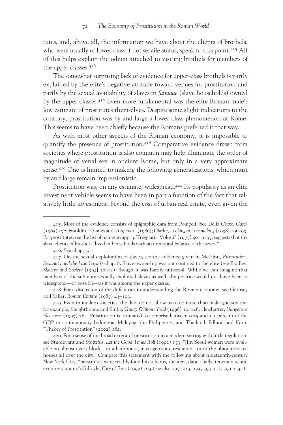tutes, and, above all, the information we have about the clients of brothels, who were usually of lower-class if not servile status, speak to this point.<sup>415</sup> All of this helps explain the odium attached to visiting brothels for members of the upper classes.416

The somewhat surprising lack of evidence for upper-class brothels is partly explained by the elite's negative attitude toward venues for prostitution and partly by the sexual availability of slaves in *familiae* (slave households) owned by the upper classes.417 Even more fundamental was the elite Roman male's low estimate of prostitutes themselves. Despite some slight indications to the contrary, prostitution was by and large a lower-class phenomenon at Rome. This seems to have been chiefly because the Romans preferred it that way.

As with most other aspects of the Roman economy, it is impossible to quantify the presence of prostitution.418 Comparative evidence drawn from societies where prostitution is also common may help illuminate the order of magnitude of venal sex in ancient Rome, but only in a very approximate sense.419 One is limited to making the following generalizations, which must by and large remain impressionistic.

Prostitution was, on any estimate, widespread.<sup>420</sup> Its popularity as an elite investment vehicle seems to have been in part a function of the fact that relatively little investment, beyond the cost of urban real estate, even given the

418. For a discussion of the difficulties in understanding the Roman economy, see Garnsey and Saller, *Roman Empire* (1987) 43–103.

419. Even in modern societies, the data do not allow us to do more than make guesses: see, for example, Sleightholme and Sinha, *Guilty Without Trial* (1996) 10, 146; Hershatter, *Dangerous Pleasures* (1997) 264. Prostitution is estimated to comprise between 0.25 and 1.5 percent of the GDP in contemporary Indonesia, Malaysia, the Philippines, and Thailand: Edlund and Korn, "Theory of Prostitution" (2002) 182.

420. For a sense of the broad extent of prostitution in a modern setting with little regulation, see Sturdevant and Stoltzfus, *Let the Good Times Roll* (1992) 173: "[I]n Seoul women were available on almost every block—in a bathhouse, massage room, restaurant, or in the ubiquitous tea houses all over the city." Compare this statement with the following about nineteenth-century New York City, "prostitutes were readily found in saloons, theaters, dance halls, tenements, and even restaurants": Gilfoyle, *City of Eros* (1992) 164 (see also 197–223, 224, 394 n. 2, 399 n. 41).

<sup>415.</sup> Most of the evidence consists of epigraphic data from Pompeii: See Della Corte, *Case*<sup>3</sup> (1965) 170; Franklin, "Games and a *Lupanar*" (1986); Clarke, *Looking at Lovemaking* (1998) 196–99. For prostitutes, see the list of names in app. 3. Treggiari, "Volusii" (1975) 401 n. 37, suggests that the slave clients of brothels "lived in households with an unnatural balance of the sexes."

<sup>416.</sup> See chap. 3.

<sup>417.</sup> On the sexual exploitation of slaves, see the evidence given in McGinn, *Prostitution, Sexuality and the Law* (1998) chap. 8. Slave ownership was not confined to the elite (see Bradley, *Slavery and Society* [1994] 10–12), though it was hardly universal. While we can imagine that members of the sub-elite sexually exploited slaves as well, the practice would not have been as widespread—or possible—as it was among the upper classes.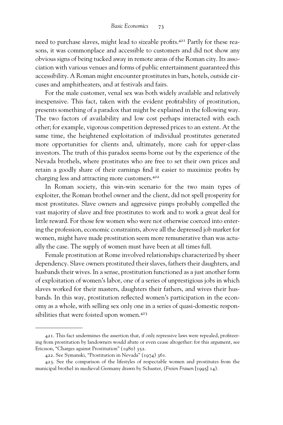need to purchase slaves, might lead to sizeable profits.<sup>421</sup> Partly for these reasons, it was commonplace and accessible to customers and did not show any obvious signs of being tucked away in remote areas of the Roman city. Its association with various venues and forms of public entertainment guaranteed this accessibility. A Roman might encounter prostitutes in bars, hotels, outside circuses and amphitheaters, and at festivals and fairs.

For the male customer, venal sex was both widely available and relatively inexpensive. This fact, taken with the evident profitability of prostitution, presents something of a paradox that might be explained in the following way. The two factors of availability and low cost perhaps interacted with each other; for example, vigorous competition depressed prices to an extent. At the same time, the heightened exploitation of individual prostitutes generated more opportunities for clients and, ultimately, more cash for upper-class investors. The truth of this paradox seems borne out by the experience of the Nevada brothels, where prostitutes who are free to set their own prices and retain a goodly share of their earnings find it easier to maximize profits by charging less and attracting more customers.422

In Roman society, this win-win scenario for the two main types of exploiter, the Roman brothel owner and the client, did not spell prosperity for most prostitutes. Slave owners and aggressive pimps probably compelled the vast majority of slave and free prostitutes to work and to work a great deal for little reward. For those few women who were not otherwise coerced into entering the profession, economic constraints, above all the depressed job market for women, might have made prostitution seem more remunerative than was actually the case. The supply of women must have been at all times full.

Female prostitution at Rome involved relationships characterized by sheer dependency. Slave owners prostituted their slaves, fathers their daughters, and husbands their wives. In a sense, prostitution functioned as a just another form of exploitation of women's labor, one of a series of unprestigious jobs in which slaves worked for their masters, daughters their fathers, and wives their husbands. In this way, prostitution reflected women's participation in the economy as a whole, with selling sex only one in a series of quasi-domestic responsibilities that were foisted upon women.<sup>423</sup>

<sup>421.</sup> This fact undermines the assertion that, if only repressive laws were repealed, profiteering from prostitution by landowners would abate or even cease altogether: for this argument, see Ericsson, "Charges against Prostitution" (1980) 352.

<sup>422.</sup> See Symanski, "Prostitution in Nevada" (1974) 361.

<sup>423.</sup> See the comparison of the lifestyles of respectable women and prostitutes from the municipal brothel in medieval Germany drawn by Schuster, (*Freien Frauen* [1995] 14).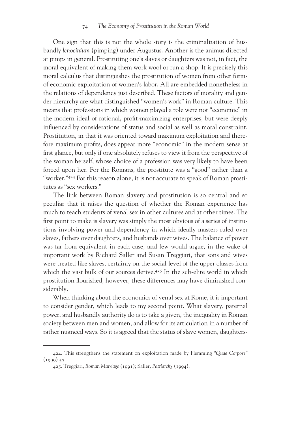One sign that this is not the whole story is the criminalization of husbandly *lenocinium* (pimping) under Augustus. Another is the animus directed at pimps in general. Prostituting one's slaves or daughters was not, in fact, the moral equivalent of making them work wool or run a shop. It is precisely this moral calculus that distinguishes the prostitution of women from other forms of economic exploitation of women's labor. All are embedded nonetheless in the relations of dependency just described. These factors of morality and gender hierarchy are what distinguished "women's work" in Roman culture. This means that professions in which women played a role were not "economic" in the modern ideal of rational, profit-maximizing enterprises, but were deeply influenced by considerations of status and social as well as moral constraint. Prostitution, in that it was oriented toward maximum exploitation and therefore maximum profits, does appear more "economic" in the modern sense at first glance, but only if one absolutely refuses to view it from the perspective of the woman herself, whose choice of a profession was very likely to have been forced upon her. For the Romans, the prostitute was a "good" rather than a "worker."424 For this reason alone, it is not accurate to speak of Roman prostitutes as "sex workers."

The link between Roman slavery and prostitution is so central and so peculiar that it raises the question of whether the Roman experience has much to teach students of venal sex in other cultures and at other times. The first point to make is slavery was simply the most obvious of a series of institutions involving power and dependency in which ideally masters ruled over slaves, fathers over daughters, and husbands over wives. The balance of power was far from equivalent in each case, and few would argue, in the wake of important work by Richard Saller and Susan Treggiari, that sons and wives were treated like slaves, certainly on the social level of the upper classes from which the vast bulk of our sources derive.<sup>425</sup> In the sub-elite world in which prostitution flourished, however, these differences may have diminished considerably.

When thinking about the economics of venal sex at Rome, it is important to consider gender, which leads to my second point. What slavery, paternal power, and husbandly authority do is to take a given, the inequality in Roman society between men and women, and allow for its articulation in a number of rather nuanced ways. So it is agreed that the status of slave women, daughters-

<sup>424.</sup> This strengthens the statement on exploitation made by Flemming "*Quae Corpore*"  $(1999)$  57.

<sup>425.</sup> Treggiari, *Roman Marriage* (1991); Saller, *Patriarchy* (1994).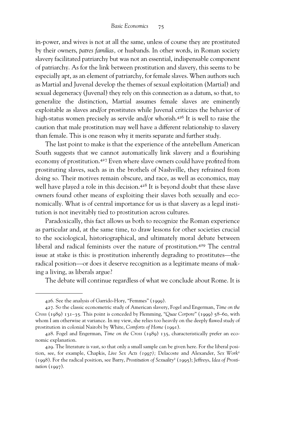in-power, and wives is not at all the same, unless of course they are prostituted by their owners, *patres familias,* or husbands. In other words, in Roman society slavery facilitated patriarchy but was not an essential, indispensable component of patriarchy. As for the link between prostitution and slavery, this seems to be especially apt, as an element of patriarchy, for female slaves. When authors such as Martial and Juvenal develop the themes of sexual exploitation (Martial) and sexual degeneracy (Juvenal) they rely on this connection as a datum, so that, to generalize the distinction, Martial assumes female slaves are eminently exploitable as slaves and/or prostitutes while Juvenal criticizes the behavior of high-status women precisely as servile and/or whorish.426 It is well to raise the caution that male prostitution may well have a different relationship to slavery than female. This is one reason why it merits separate and further study.

The last point to make is that the experience of the antebellum American South suggests that we cannot automatically link slavery and a flourishing economy of prostitution.<sup>427</sup> Even where slave owners could have profited from prostituting slaves, such as in the brothels of Nashville, they refrained from doing so. Their motives remain obscure, and race, as well as economics, may well have played a role in this decision.<sup>428</sup> It is beyond doubt that these slave owners found other means of exploiting their slaves both sexually and economically. What is of central importance for us is that slavery as a legal institution is not inevitably tied to prostitution across cultures.

Paradoxically, this fact allows us both to recognize the Roman experience as particular and, at the same time, to draw lessons for other societies crucial to the sociological, historiographical, and ultimately moral debate between liberal and radical feminists over the nature of prostitution.<sup>429</sup> The central issue at stake is this: is prostitution inherently degrading to prostitutes—the radical position—or does it deserve recognition as a legitimate means of making a living, as liberals argue?

The debate will continue regardless of what we conclude about Rome. It is

<sup>426.</sup> See the analysis of Garrido-Hory, "Femmes" (1999).

<sup>427.</sup> So the classic econometric study of American slavery, Fogel and Engerman, *Time on the Cross* (1989) 131–35. This point is conceded by Flemming, "*Quae Corpore*" (1999) 58–60, with whom I am otherwise at variance. In my view, she relies too heavily on the deeply flawed study of prostitution in colonial Nairobi by White, *Comforts of Home* (1991).

<sup>428.</sup> Fogel and Engerman, *Time on the Cross* (1989) 135, characteristically prefer an economic explanation.

<sup>429.</sup> The literature is vast, so that only a small sample can be given here. For the liberal position, see, for example, Chapkis, *Live Sex Acts (1997)*; Delacoste and Alexander, *Sex Work<sup>2</sup>* (1998). For the radical position, see Barry, *Prostitution of Sexuality*<sup>2</sup> (1995); Jeffreys, *Idea of Prostitution* (1997).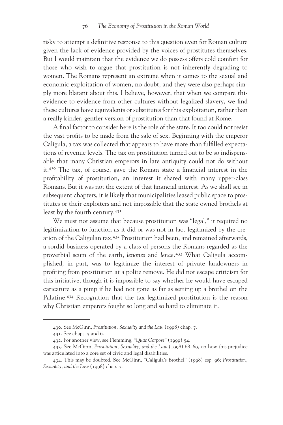risky to attempt a definitive response to this question even for Roman culture given the lack of evidence provided by the voices of prostitutes themselves. But I would maintain that the evidence we do possess offers cold comfort for those who wish to argue that prostitution is not inherently degrading to women. The Romans represent an extreme when it comes to the sexual and economic exploitation of women, no doubt, and they were also perhaps simply more blatant about this. I believe, however, that when we compare this evidence to evidence from other cultures without legalized slavery, we find these cultures have equivalents or substitutes for this exploitation, rather than a really kinder, gentler version of prostitution than that found at Rome.

A final factor to consider here is the role of the state. It too could not resist the vast profits to be made from the sale of sex. Beginning with the emperor Caligula, a tax was collected that appears to have more than fulfilled expectations of revenue levels. The tax on prostitution turned out to be so indispensable that many Christian emperors in late antiquity could not do without it.<sup>430</sup> The tax, of course, gave the Roman state a financial interest in the profitability of prostitution, an interest it shared with many upper-class Romans. But it was not the extent of that financial interest. As we shall see in subsequent chapters, it is likely that municipalities leased public space to prostitutes or their exploiters and not impossible that the state owned brothels at least by the fourth century.431

We must not assume that because prostitution was "legal," it required no legitimization to function as it did or was not in fact legitimized by the creation of the Caligulan tax.432 Prostitution had been, and remained afterwards, a sordid business operated by a class of persons the Romans regarded as the proverbial scum of the earth, *lenones* and *lenae.*<sup>433</sup> What Caligula accomplished, in part, was to legitimize the interest of private landowners in profiting from prostitution at a polite remove. He did not escape criticism for this initiative, though it is impossible to say whether he would have escaped caricature as a pimp if he had not gone as far as setting up a brothel on the Palatine.434 Recognition that the tax legitimized prostitution is the reason why Christian emperors fought so long and so hard to eliminate it.

<sup>430.</sup> See McGinn, *Prostitution, Sexuality and the Law* (1998) chap. 7.

<sup>431.</sup> See chaps. 5 and 6.

<sup>432.</sup> For another view, see Flemming, "*Quae Corpore*" (1999) 54.

<sup>433.</sup> See McGinn, *Prostitution, Sexuality, and the Law* (1998) 68–69, on how this prejudice was articulated into a core set of civic and legal disabilities.

<sup>434.</sup> This may be doubted. See McGinn, "Caligula's Brothel" (1998) esp. 96; *Prostitution, Sexuality, and the Law* (1998) chap. 7.